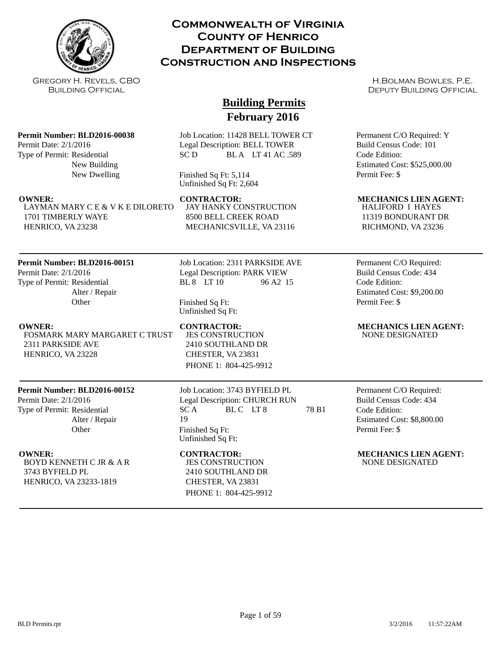

## **Commonwealth of Virginia County of Henrico Department of Building Construction and Inspections**

Gregory H. Revels, CBO Building Official

**Permit Number: BLD2016-00038**

Permit Date: 2/1/2016 Type of Permit: Residential

# **Building Permits February 2016**

Job Location: 11428 BELL TOWER CT Legal Description: BELL TOWER  $SC D$  BLA LT41 AC 589

Finished Sq Ft: 5,114 Unfinished Sq Ft: 2,604

LAYMAN MARY C E & V K E DILORETO 1701 TIMBERLY WAYE HENRICO, VA 23238

New Building New Dwelling

## **Permit Number: BLD2016-00151**

Permit Date: 2/1/2016 Type of Permit: Residential Alter / Repair **Other** 

FOSMARK MARY MARGARET C TRUST 2311 PARKSIDE AVE HENRICO, VA 23228

## **Permit Number: BLD2016-00152**

Permit Date: 2/1/2016 Type of Permit: Residential Alter / Repair **Other** 

BOYD KENNETH C JR & A R 3743 BYFIELD PL HENRICO, VA 23233-1819

Job Location: 2311 PARKSIDE AVE Legal Description: PARK VIEW BL 8 LT 10 96 A2 15

JAY HANKY CONSTRUCTION 8500 BELL CREEK ROAD MECHANICSVILLE, VA 23116

Finished Sq Ft: Unfinished Sq Ft:

JES CONSTRUCTION 2410 SOUTHLAND DR CHESTER, VA 23831 PHONE 1: 804-425-9912

Job Location: 3743 BYFIELD PL Legal Description: CHURCH RUN  $SC A$  BLC LT8 78 B1 19 Finished Sq Ft: Unfinished Sq Ft:

# JES CONSTRUCTION 2410 SOUTHLAND DR

CHESTER, VA 23831 PHONE 1: 804-425-9912

H.Bolman Bowles, P.E. DEPUTY BUILDING OFFICIAL

Permanent C/O Required: Y Build Census Code: 101 Code Edition: Estimated Cost: \$525,000.00 Permit Fee: \$

## **OWNER: CONTRACTOR: MECHANICS LIEN AGENT:**

HALIFORD I HAYES 11319 BONDURANT DR RICHMOND, VA 23236

Permanent C/O Required: Build Census Code: 434 Code Edition: Estimated Cost: \$9,200.00 Permit Fee: \$

### **OWNER:** CONTRACTOR: MECHANICS LIEN AGENT: NONE DESIGNATED

Permanent C/O Required: Build Census Code: 434 Code Edition: Estimated Cost: \$8,800.00 Permit Fee: \$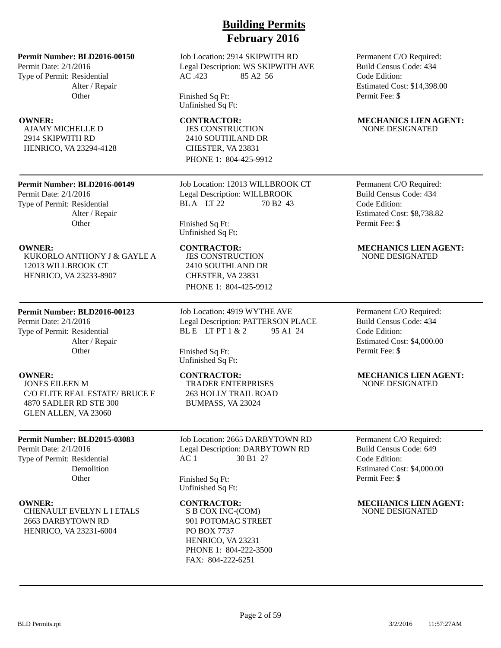Permit Date: 2/1/2016 Type of Permit: Residential Alter / Repair **Other** 

AJAMY MICHELLE D 2914 SKIPWITH RD HENRICO, VA 23294-4128

### **Permit Number: BLD2016-00149**

Permit Date: 2/1/2016 Type of Permit: Residential Alter / Repair **Other** 

KUKORLO ANTHONY J & GAYLE A 12013 WILLBROOK CT HENRICO, VA 23233-8907

### **Permit Number: BLD2016-00123**

Permit Date: 2/1/2016 Type of Permit: Residential Alter / Repair **Other** 

JONES EILEEN M C/O ELITE REAL ESTATE/ BRUCE F 4870 SADLER RD STE 300 GLEN ALLEN, VA 23060

### **Permit Number: BLD2015-03083**

Permit Date: 2/1/2016 Type of Permit: Residential Demolition **Other** 

CHENAULT EVELYN L I ETALS 2663 DARBYTOWN RD HENRICO, VA 23231-6004

# **Building Permits February 2016**

Job Location: 2914 SKIPWITH RD Legal Description: WS SKIPWITH AVE AC .423 85 A2 56

Finished Sq Ft: Unfinished Sq Ft:

JES CONSTRUCTION 2410 SOUTHLAND DR CHESTER, VA 23831 PHONE 1: 804-425-9912

Job Location: 12013 WILLBROOK CT Legal Description: WILLBROOK BL A LT 22 70 B2 43

Finished Sq Ft: Unfinished Sq Ft:

JES CONSTRUCTION 2410 SOUTHLAND DR CHESTER, VA 23831 PHONE 1: 804-425-9912

Job Location: 4919 WYTHE AVE Legal Description: PATTERSON PLACE BL E LT PT  $1 & 2 & 95 & 41 & 24$ 

Finished Sq Ft: Unfinished Sq Ft:

TRADER ENTERPRISES 263 HOLLY TRAIL ROAD BUMPASS, VA 23024

Job Location: 2665 DARBYTOWN RD Legal Description: DARBYTOWN RD AC 1 30 B1 27

Finished Sq Ft: Unfinished Sq Ft:

S B COX INC-(COM) 901 POTOMAC STREET PO BOX 7737 HENRICO, VA 23231 PHONE 1: 804-222-3500 FAX: 804-222-6251

Permanent C/O Required: Build Census Code: 434 Code Edition: Estimated Cost: \$14,398.00 Permit Fee: \$

### **OWNER:** CONTRACTOR: MECHANICS LIEN AGENT: NONE DESIGNATED

Permanent C/O Required: Build Census Code: 434 Code Edition: Estimated Cost: \$8,738.82 Permit Fee: \$

### **OWNER: CONTRACTOR: MECHANICS LIEN AGENT:** NONE DESIGNATED

Permanent C/O Required: Build Census Code: 434 Code Edition: Estimated Cost: \$4,000.00 Permit Fee: \$

### **OWNER:** CONTRACTOR: MECHANICS LIEN AGENT: NONE DESIGNATED

Permanent C/O Required: Build Census Code: 649 Code Edition: Estimated Cost: \$4,000.00 Permit Fee: \$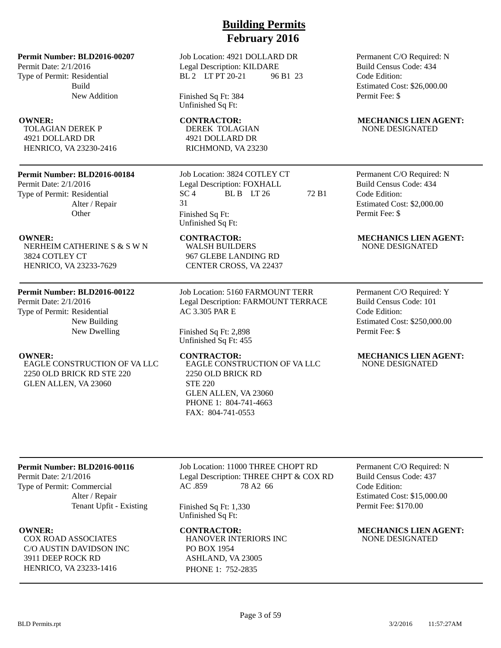Permit Date: 2/1/2016 Type of Permit: Residential Build New Addition

TOLAGIAN DEREK P 4921 DOLLARD DR HENRICO, VA 23230-2416

### **Permit Number: BLD2016-00184**

Permit Date: 2/1/2016 Type of Permit: Residential Alter / Repair **Other** 

NERHEIM CATHERINE S & S W N 3824 COTLEY CT HENRICO, VA 23233-7629

### **Permit Number: BLD2016-00122**

Permit Date: 2/1/2016 Type of Permit: Residential New Building New Dwelling

EAGLE CONSTRUCTION OF VA LLC 2250 OLD BRICK RD STE 220 GLEN ALLEN, VA 23060

# **Building Permits February 2016**

Job Location: 4921 DOLLARD DR Legal Description: KILDARE BL 2 LT PT 20-21 96 B1 23

Finished Sq Ft: 384 Unfinished Sq Ft:

DEREK TOLAGIAN 4921 DOLLARD DR RICHMOND, VA 23230

WALSH BUILDERS 967 GLEBE LANDING RD CENTER CROSS, VA 22437

AC 3.305 PAR E

Finished Sq Ft: 2,898 Unfinished Sq Ft: 455

STE 220

2250 OLD BRICK RD

GLEN ALLEN, VA 23060 PHONE 1: 804-741-4663 FAX: 804-741-0553

Job Location: 3824 COTLEY CT Legal Description: FOXHALL SC 4 BL B LT 26 72 B1 31 Finished Sq Ft: Unfinished Sq Ft:

Job Location: 5160 FARMOUNT TERR Legal Description: FARMOUNT TERRACE

EAGLE CONSTRUCTION OF VA LLC

### Permanent C/O Required: N Build Census Code: 434 Code Edition: Estimated Cost: \$26,000.00 Permit Fee: \$

### **OWNER:** CONTRACTOR: MECHANICS LIEN AGENT: NONE DESIGNATED

Permanent C/O Required: N Build Census Code: 434 Code Edition: Estimated Cost: \$2,000.00 Permit Fee: \$

### **OWNER:** CONTRACTOR: MECHANICS LIEN AGENT: NONE DESIGNATED

Permanent C/O Required: Y Build Census Code: 101 Code Edition: Estimated Cost: \$250,000.00 Permit Fee: \$

### **OWNER: CONTRACTOR: MECHANICS LIEN AGENT:** NONE DESIGNATED

### **Permit Number: BLD2016-00116**

Permit Date: 2/1/2016 Type of Permit: Commercial Alter / Repair Tenant Upfit - Existing

COX ROAD ASSOCIATES C/O AUSTIN DAVIDSON INC 3911 DEEP ROCK RD HENRICO, VA 23233-1416

Job Location: 11000 THREE CHOPT RD Legal Description: THREE CHPT & COX RD AC .859 78 A2 66

Finished Sq Ft: 1,330 Unfinished Sq Ft:

HANOVER INTERIORS INC PO BOX 1954 ASHLAND, VA 23005 PHONE 1: 752-2835

Permanent C/O Required: N Build Census Code: 437 Code Edition: Estimated Cost: \$15,000.00 Permit Fee: \$170.00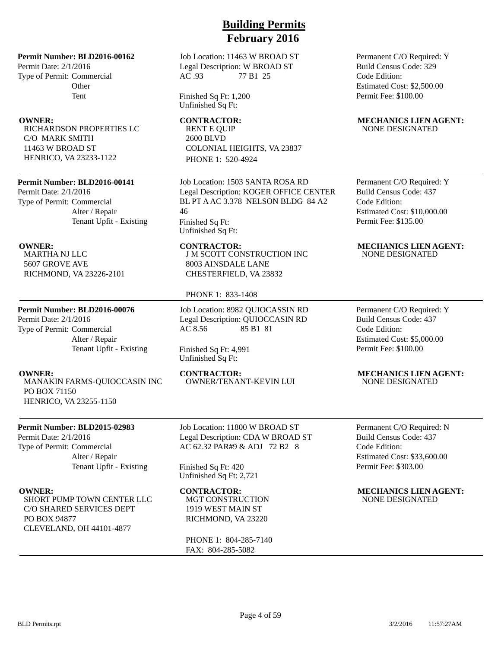Permit Date: 2/1/2016 Type of Permit: Commercial **Other** Tent

RICHARDSON PROPERTIES LC C/O MARK SMITH 11463 W BROAD ST HENRICO, VA 23233-1122

### **Permit Number: BLD2016-00141**

Permit Date: 2/1/2016 Type of Permit: Commercial Alter / Repair Tenant Upfit - Existing

MARTHA NJ LLC 5607 GROVE AVE RICHMOND, VA 23226-2101

### **Permit Number: BLD2016-00076**

Permit Date: 2/1/2016 Type of Permit: Commercial Alter / Repair Tenant Upfit - Existing

MANAKIN FARMS-QUIOCCASIN INC PO BOX 71150 HENRICO, VA 23255-1150

### **Permit Number: BLD2015-02983**

Permit Date: 2/1/2016 Type of Permit: Commercial Alter / Repair Tenant Upfit - Existing

SHORT PUMP TOWN CENTER LLC C/O SHARED SERVICES DEPT PO BOX 94877 CLEVELAND, OH 44101-4877

# **Building Permits February 2016**

Job Location: 11463 W BROAD ST Legal Description: W BROAD ST AC .93 77 B1 25

Finished Sq Ft: 1,200 Unfinished Sq Ft:

RENT E QUIP 2600 BLVD COLONIAL HEIGHTS, VA 23837 PHONE 1: 520-4924

Job Location: 1503 SANTA ROSA RD Legal Description: KOGER OFFICE CENTER BL PT A AC 3.378 NELSON BLDG 84 A2 46 Finished Sq Ft:

Unfinished Sq Ft:

J M SCOTT CONSTRUCTION INC 8003 AINSDALE LANE CHESTERFIELD, VA 23832

### PHONE 1: 833-1408

Job Location: 8982 QUIOCASSIN RD Legal Description: QUIOCCASIN RD AC 8.56 85 B1 81

### Finished Sq Ft: 4,991 Unfinished Sq Ft:

OWNER/TENANT-KEVIN LUI

Job Location: 11800 W BROAD ST Legal Description: CDA W BROAD ST AC 62.32 PAR#9 & ADJ 72 B2 8

Finished Sq Ft: 420 Unfinished Sq Ft: 2,721

MGT CONSTRUCTION 1919 WEST MAIN ST RICHMOND, VA 23220

PHONE 1: 804-285-7140 FAX: 804-285-5082

Permanent C/O Required: Y Build Census Code: 329 Code Edition: Estimated Cost: \$2,500.00 Permit Fee: \$100.00

### **OWNER:** CONTRACTOR: MECHANICS LIEN AGENT: NONE DESIGNATED

Permanent C/O Required: Y Build Census Code: 437 Code Edition: Estimated Cost: \$10,000.00 Permit Fee: \$135.00

### **OWNER: CONTRACTOR: MECHANICS LIEN AGENT:** NONE DESIGNATED

Permanent C/O Required: Y Build Census Code: 437 Code Edition: Estimated Cost: \$5,000.00 Permit Fee: \$100.00

# **OWNER:** CONTRACTOR: MECHANICS LIEN AGENT:<br>MANAKIN FARMS-OUIOCCASIN INC OWNER/TENANT-KEVIN LUI NONE DESIGNATED

Permanent C/O Required: N Build Census Code: 437 Code Edition: Estimated Cost: \$33,600.00 Permit Fee: \$303.00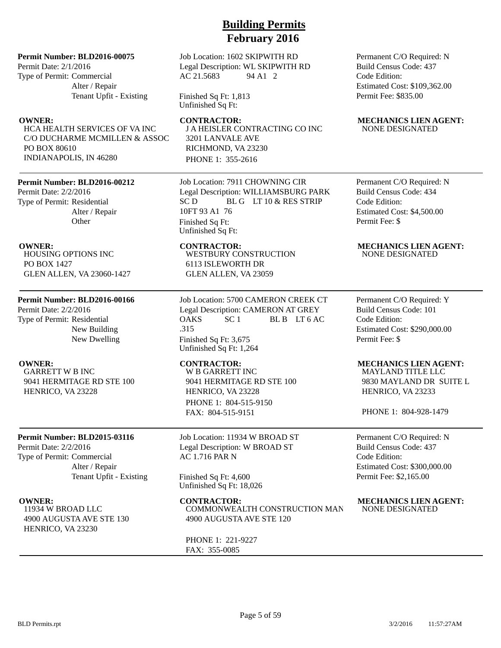### **Permit Number: BLD2016-00075**

Permit Date: 2/1/2016 Type of Permit: Commercial Alter / Repair Tenant Upfit - Existing

HCA HEALTH SERVICES OF VA INC C/O DUCHARME MCMILLEN & ASSOC PO BOX 80610 INDIANAPOLIS, IN 46280

### **Permit Number: BLD2016-00212**

Permit Date: 2/2/2016 Type of Permit: Residential Alter / Repair **Other** 

HOUSING OPTIONS INC PO BOX 1427 GLEN ALLEN, VA 23060-1427

### **Permit Number: BLD2016-00166**

Permit Date: 2/2/2016 Type of Permit: Residential New Building New Dwelling

GARRETT W B INC 9041 HERMITAGE RD STE 100 HENRICO, VA 23228

### **Permit Number: BLD2015-03116**

Permit Date: 2/2/2016 Type of Permit: Commercial Alter / Repair Tenant Upfit - Existing

11934 W BROAD LLC 4900 AUGUSTA AVE STE 130 HENRICO, VA 23230

### Job Location: 1602 SKIPWITH RD Legal Description: WL SKIPWITH RD AC 21.5683 94 A1 2

Finished Sq Ft: 1,813 Unfinished Sq Ft:

**OWNER:** CONTRACTOR: MECHANICS LIEN AGENT: J A HEISLER CONTRACTING CO INC 3201 LANVALE AVE RICHMOND, VA 23230 PHONE 1: 355-2616

> Job Location: 7911 CHOWNING CIR Legal Description: WILLIAMSBURG PARK SC D BL G LT 10 & RES STRIP 10FT 93 A1 76 Finished Sq Ft: Unfinished Sq Ft:

WESTBURY CONSTRUCTION 6113 ISLEWORTH DR GLEN ALLEN, VA 23059

Job Location: 5700 CAMERON CREEK CT Legal Description: CAMERON AT GREY OAKS SC 1 BL B LT 6 AC .315 Finished Sq Ft: 3,675 Unfinished Sq Ft: 1,264

W B GARRETT INC 9041 HERMITAGE RD STE 100 HENRICO, VA 23228 PHONE 1: 804-515-9150 FAX: 804-515-9151

Job Location: 11934 W BROAD ST Legal Description: W BROAD ST AC 1.716 PAR N

Finished Sq Ft: 4,600 Unfinished Sq Ft: 18,026

COMMONWEALTH CONSTRUCTION MAN 4900 AUGUSTA AVE STE 120

PHONE 1: 221-9227 FAX: 355-0085

Permanent C/O Required: N Build Census Code: 437 Code Edition: Estimated Cost: \$109,362.00 Permit Fee: \$835.00

# NONE DESIGNATED

Permanent C/O Required: N Build Census Code: 434 Code Edition: Estimated Cost: \$4,500.00 Permit Fee: \$

### **OWNER:** CONTRACTOR: MECHANICS LIEN AGENT: NONE DESIGNATED

Permanent C/O Required: Y Build Census Code: 101 Code Edition: Estimated Cost: \$290,000.00 Permit Fee: \$

### **OWNER: CONTRACTOR: MECHANICS LIEN AGENT:**

MAYLAND TITLE LLC 9830 MAYLAND DR SUITE L HENRICO, VA 23233

PHONE 1: 804-928-1479

Permanent C/O Required: N Build Census Code: 437 Code Edition: Estimated Cost: \$300,000.00 Permit Fee: \$2,165.00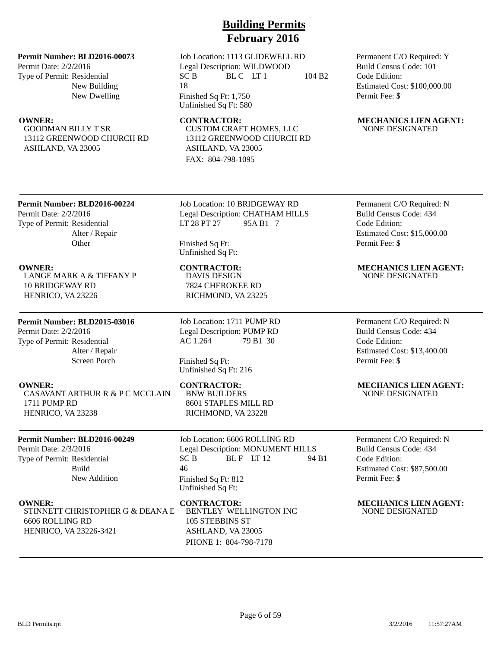### **Permit Number: BLD2016-00073**

Permit Date: 2/2/2016 Type of Permit: Residential New Building New Dwelling

GOODMAN BILLY T SR 13112 GREENWOOD CHURCH RD ASHLAND, VA 23005

Job Location: 1113 GLIDEWELL RD Legal Description: WILDWOOD  $SC B$  BLC LT1 104 B2 18 Finished Sq Ft: 1,750

Unfinished Sq Ft: 580

CUSTOM CRAFT HOMES, LLC 13112 GREENWOOD CHURCH RD ASHLAND, VA 23005 FAX: 804-798-1095

Permanent C/O Required: Y Build Census Code: 101 Code Edition: Estimated Cost: \$100,000.00 Permit Fee: \$

### **OWNER:** CONTRACTOR: MECHANICS LIEN AGENT: NONE DESIGNATED

## **Permit Number: BLD2016-00224**

Permit Date: 2/2/2016 Type of Permit: Residential Alter / Repair **Other** 

LANGE MARK A & TIFFANY P 10 BRIDGEWAY RD HENRICO, VA 23226

## **Permit Number: BLD2015-03016**

Permit Date: 2/2/2016 Type of Permit: Residential Alter / Repair Screen Porch

CASAVANT ARTHUR R & P C MCCLAIN 1711 PUMP RD HENRICO, VA 23238

## **Permit Number: BLD2016-00249**

Permit Date: 2/3/2016 Type of Permit: Residential Build New Addition

STINNETT CHRISTOPHER G & DEANA E 6606 ROLLING RD HENRICO, VA 23226-3421

Job Location: 10 BRIDGEWAY RD Legal Description: CHATHAM HILLS LT 28 PT 27 95A B1 7

Finished Sq Ft: Unfinished Sq Ft:

DAVIS DESIGN 7824 CHEROKEE RD RICHMOND, VA 23225

Job Location: 1711 PUMP RD Legal Description: PUMP RD AC 1.264 79 B1 30

Finished Sq Ft: Unfinished Sq Ft: 216

BNW BUILDERS 8601 STAPLES MILL RD RICHMOND, VA 23228

Job Location: 6606 ROLLING RD Legal Description: MONUMENT HILLS  $SC B$  BLF LT 12 94 B1 46 Finished Sq Ft: 812 Unfinished Sq Ft:

## BENTLEY WELLINGTON INC 105 STEBBINS ST ASHLAND, VA 23005

PHONE 1: 804-798-7178

Permanent C/O Required: N Build Census Code: 434 Code Edition: Estimated Cost: \$15,000.00 Permit Fee: \$

### **OWNER: CONTRACTOR: MECHANICS LIEN AGENT:** NONE DESIGNATED

Permanent C/O Required: N Build Census Code: 434 Code Edition: Estimated Cost: \$13,400.00 Permit Fee: \$

### **OWNER:** CONTRACTOR: MECHANICS LIEN AGENT: NONE DESIGNATED

Permanent C/O Required: N Build Census Code: 434 Code Edition: Estimated Cost: \$87,500.00 Permit Fee: \$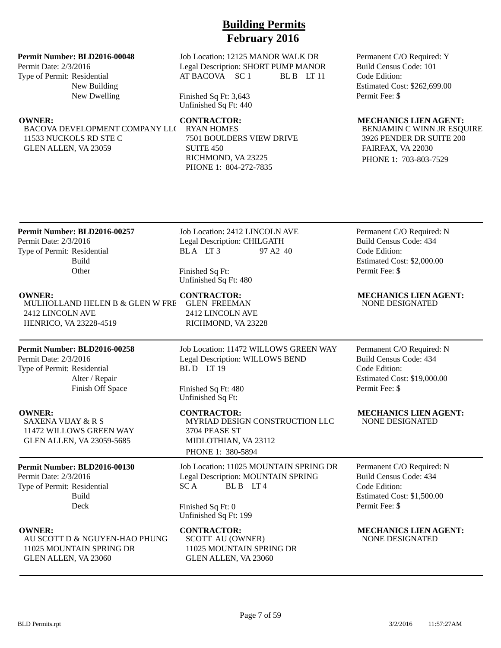### **Permit Number: BLD2016-00048**

Permit Date: 2/3/2016 Type of Permit: Residential New Building New Dwelling

BACOVA DEVELOPMENT COMPANY LLC RYAN HOMES 11533 NUCKOLS RD STE C GLEN ALLEN, VA 23059

### Job Location: 12125 MANOR WALK DR Legal Description: SHORT PUMP MANOR AT BACOVA SC 1 BL B LT 11

Finished Sq Ft: 3,643 Unfinished Sq Ft: 440

7501 BOULDERS VIEW DRIVE SUITE 450 RICHMOND, VA 23225 PHONE 1: 804-272-7835

Permanent C/O Required: Y Build Census Code: 101 Code Edition: Estimated Cost: \$262,699.00 Permit Fee: \$

### **OWNER: CONTRACTOR: MECHANICS LIEN AGENT:**

BENJAMIN C WINN JR ESQUIRE 3926 PENDER DR SUITE 200 FAIRFAX, VA 22030 PHONE 1: 703-803-7529

## **Permit Number: BLD2016-00257** Permit Date: 2/3/2016 Type of Permit: Residential

Build **Other** 

### **OWNER: CONTRACTOR: MECHANICS LIEN AGENT:** MULHOLLAND HELEN B & GLEN W FRE 2412 LINCOLN AVE HENRICO, VA 23228-4519

## **Permit Number: BLD2016-00258**

Permit Date: 2/3/2016 Type of Permit: Residential Alter / Repair Finish Off Space

SAXENA VIJAY & R S 11472 WILLOWS GREEN WAY GLEN ALLEN, VA 23059-5685

### **Permit Number: BLD2016-00130**

Permit Date: 2/3/2016 Type of Permit: Residential Build Deck

AU SCOTT D & NGUYEN-HAO PHUNG 11025 MOUNTAIN SPRING DR GLEN ALLEN, VA 23060

Job Location: 2412 LINCOLN AVE Legal Description: CHILGATH BL A LT 3 97 A2 40

Finished Sq Ft: Unfinished Sq Ft: 480

GLEN FREEMAN 2412 LINCOLN AVE RICHMOND, VA 23228

Job Location: 11472 WILLOWS GREEN WAY Legal Description: WILLOWS BEND BLD LT 19

Finished Sq Ft: 480 Unfinished Sq Ft:

**OWNER:** CONTRACTOR: MECHANICS LIEN AGENT: MYRIAD DESIGN CONSTRUCTION LLC 3704 PEASE ST MIDLOTHIAN, VA 23112 PHONE 1: 380-5894

> Job Location: 11025 MOUNTAIN SPRING DR Legal Description: MOUNTAIN SPRING SCA BLB LT4

Finished Sq Ft: 0 Unfinished Sq Ft: 199

**OWNER: CONTRACTOR: MECHANICS LIEN AGENT:** SCOTT AU (OWNER) 11025 MOUNTAIN SPRING DR GLEN ALLEN, VA 23060

Permanent C/O Required: N Build Census Code: 434 Code Edition: Estimated Cost: \$2,000.00 Permit Fee: \$

NONE DESIGNATED

Permanent C/O Required: N Build Census Code: 434 Code Edition: Estimated Cost: \$19,000.00 Permit Fee: \$

NONE DESIGNATED

Permanent C/O Required: N Build Census Code: 434 Code Edition: Estimated Cost: \$1,500.00 Permit Fee: \$

NONE DESIGNATED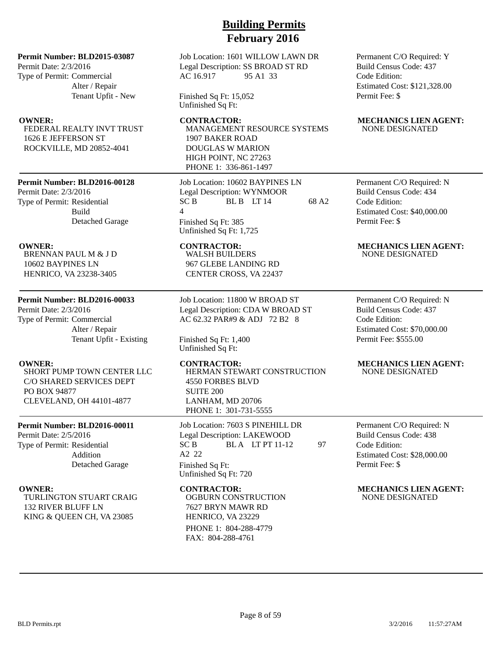### **Permit Number: BLD2015-03087**

Permit Date: 2/3/2016 Type of Permit: Commercial Alter / Repair Tenant Upfit - New

FEDERAL REALTY INVT TRUST 1626 E JEFFERSON ST ROCKVILLE, MD 20852-4041

### **Permit Number: BLD2016-00128**

Permit Date: 2/3/2016 Type of Permit: Residential Build Detached Garage

BRENNAN PAUL M & J D 10602 BAYPINES LN HENRICO, VA 23238-3405

### **Permit Number: BLD2016-00033**

Permit Date: 2/3/2016 Type of Permit: Commercial Alter / Repair Tenant Upfit - Existing

SHORT PUMP TOWN CENTER LLC C/O SHARED SERVICES DEPT PO BOX 94877 CLEVELAND, OH 44101-4877

### **Permit Number: BLD2016-00011**

Permit Date: 2/5/2016 Type of Permit: Residential Addition Detached Garage

TURLINGTON STUART CRAIG 132 RIVER BLUFF LN KING & QUEEN CH, VA 23085

Job Location: 1601 WILLOW LAWN DR Legal Description: SS BROAD ST RD AC 16.917 95 A1 33

Finished Sq Ft: 15,052 Unfinished Sq Ft:

MANAGEMENT RESOURCE SYSTEMS 1907 BAKER ROAD DOUGLAS W MARION HIGH POINT, NC 27263 PHONE 1: 336-861-1497

Job Location: 10602 BAYPINES LN Legal Description: WYNMOOR  $SC B$  BLB LT 14 68 A2 4 Finished Sq Ft: 385 Unfinished Sq Ft: 1,725

WALSH BUILDERS 967 GLEBE LANDING RD CENTER CROSS, VA 22437

Job Location: 11800 W BROAD ST Legal Description: CDA W BROAD ST AC 62.32 PAR#9 & ADJ 72 B2 8

Finished Sq Ft: 1,400 Unfinished Sq Ft:

HERMAN STEWART CONSTRUCTION 4550 FORBES BLVD SUITE 200 LANHAM, MD 20706 PHONE 1: 301-731-5555

Job Location: 7603 S PINEHILL DR Legal Description: LAKEWOOD  $SC B$  BLA LT PT 11-12 97 A2 22 Finished Sq Ft: Unfinished Sq Ft: 720

OGBURN CONSTRUCTION 7627 BRYN MAWR RD HENRICO, VA 23229 PHONE 1: 804-288-4779 FAX: 804-288-4761

Permanent C/O Required: Y Build Census Code: 437 Code Edition: Estimated Cost: \$121,328.00 Permit Fee: \$

### **OWNER:** CONTRACTOR: MECHANICS LIEN AGENT: NONE DESIGNATED

Permanent C/O Required: N Build Census Code: 434 Code Edition: Estimated Cost: \$40,000.00 Permit Fee: \$

### **OWNER:** CONTRACTOR: MECHANICS LIEN AGENT: NONE DESIGNATED

Permanent C/O Required: N Build Census Code: 437 Code Edition: Estimated Cost: \$70,000.00 Permit Fee: \$555.00

### **OWNER: CONTRACTOR: MECHANICS LIEN AGENT:** NONE DESIGNATED

Permanent C/O Required: N Build Census Code: 438 Code Edition: Estimated Cost: \$28,000.00 Permit Fee: \$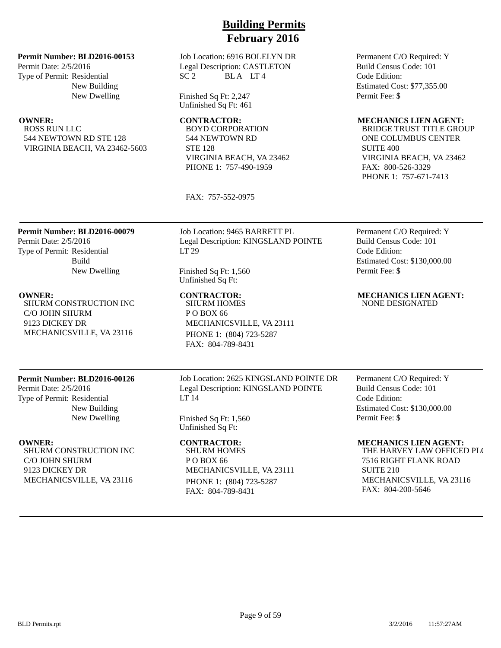Job Location: 6916 BOLELYN DR Legal Description: CASTLETON  $SC<sub>2</sub>$  BLA LT4

> Finished Sq Ft: 2,247 Unfinished Sq Ft: 461

BOYD CORPORATION 544 NEWTOWN RD STE 128 VIRGINIA BEACH, VA 23462 PHONE 1: 757-490-1959

FAX: 757-552-0975

Permanent C/O Required: Y Build Census Code: 101 Code Edition: Estimated Cost: \$77,355.00 Permit Fee: \$

### **OWNER: CONTRACTOR: MECHANICS LIEN AGENT:**

BRIDGE TRUST TITLE GROUP ONE COLUMBUS CENTER SUITE 400 VIRGINIA BEACH, VA 23462 FAX: 800-526-3329 PHONE 1: 757-671-7413

## **Permit Number: BLD2016-00079**

**Permit Number: BLD2016-00153**

544 NEWTOWN RD STE 128 VIRGINIA BEACH, VA 23462-5603

New Building New Dwelling

Permit Date: 2/5/2016 Type of Permit: Residential

ROSS RUN LLC

Permit Date: 2/5/2016 Type of Permit: Residential Build New Dwelling

SHURM CONSTRUCTION INC C/O JOHN SHURM 9123 DICKEY DR MECHANICSVILLE, VA 23116

## **Permit Number: BLD2016-00126**

Permit Date: 2/5/2016 Type of Permit: Residential New Building New Dwelling

SHURM CONSTRUCTION INC C/O JOHN SHURM 9123 DICKEY DR MECHANICSVILLE, VA 23116

Job Location: 9465 BARRETT PL Legal Description: KINGSLAND POINTE LT 29

Finished Sq Ft: 1,560 Unfinished Sq Ft:

## SHURM HOMES P O BOX 66 MECHANICSVILLE, VA 23111 PHONE 1: (804) 723-5287 FAX: 804-789-8431

Job Location: 2625 KINGSLAND POINTE DR Legal Description: KINGSLAND POINTE LT 14

Finished Sq Ft: 1,560 Unfinished Sq Ft:

SHURM HOMES P O BOX 66 MECHANICSVILLE, VA 23111 PHONE 1: (804) 723-5287 FAX: 804-789-8431

Permanent C/O Required: Y Build Census Code: 101 Code Edition: Estimated Cost: \$130,000.00 Permit Fee: \$

**OWNER: CONTRACTOR: MECHANICS LIEN AGENT:** NONE DESIGNATED

> Permanent C/O Required: Y Build Census Code: 101 Code Edition: Estimated Cost: \$130,000.00 Permit Fee: \$

### **OWNER: CONTRACTOR: MECHANICS LIEN AGENT:**

THE HARVEY LAW OFFICED PLC 7516 RIGHT FLANK ROAD SUITE 210 MECHANICSVILLE, VA 23116 FAX: 804-200-5646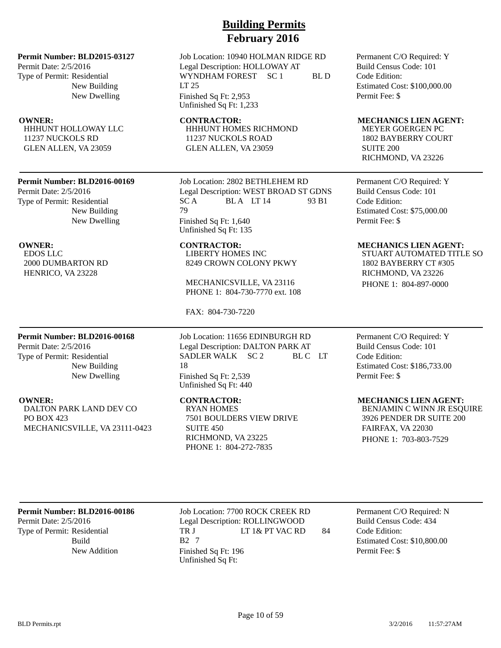Permit Date: 2/5/2016 Type of Permit: Residential New Building New Dwelling

HHHUNT HOLLOWAY LLC 11237 NUCKOLS RD GLEN ALLEN, VA 23059

### **Permit Number: BLD2016-00169**

Permit Date: 2/5/2016 Type of Permit: Residential New Building New Dwelling

EDOS LLC 2000 DUMBARTON RD HENRICO, VA 23228

### **Permit Number: BLD2016-00168**

Permit Date: 2/5/2016 Type of Permit: Residential New Building New Dwelling

DALTON PARK LAND DEV CO PO BOX 423 MECHANICSVILLE, VA 23111-0423

# **Building Permits February 2016**

Job Location: 10940 HOLMAN RIDGE RD Legal Description: HOLLOWAY AT WYNDHAM FOREST SC 1 BL D LT 25 Finished Sq Ft: 2,953 Unfinished Sq Ft: 1,233

HHHUNT HOMES RICHMOND 11237 NUCKOLS ROAD GLEN ALLEN, VA 23059

Job Location: 2802 BETHLEHEM RD Legal Description: WEST BROAD ST GDNS  $SC A$  BLA LT 14 93 B1 79 Finished Sq Ft: 1,640 Unfinished Sq Ft: 135

LIBERTY HOMES INC 8249 CROWN COLONY PKWY

MECHANICSVILLE, VA 23116 PHONE 1: 804-730-7770 ext. 108

FAX: 804-730-7220

Job Location: 11656 EDINBURGH RD Legal Description: DALTON PARK AT SADLER WALK SC 2 BL C LT 18 Finished Sq Ft: 2,539 Unfinished Sq Ft: 440

RYAN HOMES 7501 BOULDERS VIEW DRIVE SUITE 450 RICHMOND, VA 23225 PHONE 1: 804-272-7835

Permanent C/O Required: Y Build Census Code: 101 Code Edition: Estimated Cost: \$100,000.00 Permit Fee: \$

### **OWNER:** CONTRACTOR: MECHANICS LIEN AGENT:

MEYER GOERGEN PC 1802 BAYBERRY COURT SUITE 200 RICHMOND, VA 23226

Permanent C/O Required: Y Build Census Code: 101 Code Edition: Estimated Cost: \$75,000.00 Permit Fee: \$

### **OWNER: CONTRACTOR: MECHANICS LIEN AGENT:**

STUART AUTOMATED TITLE SO 1802 BAYBERRY CT #305 RICHMOND, VA 23226 PHONE 1: 804-897-0000

Permanent C/O Required: Y Build Census Code: 101 Code Edition: Estimated Cost: \$186,733.00 Permit Fee: \$

### **OWNER:** CONTRACTOR: MECHANICS LIEN AGENT:

BENJAMIN C WINN JR ESQUIRE 3926 PENDER DR SUITE 200 FAIRFAX, VA 22030 PHONE 1: 703-803-7529

### **Permit Number: BLD2016-00186**

Permit Date: 2/5/2016 Type of Permit: Residential Build

Job Location: 7700 ROCK CREEK RD Legal Description: ROLLINGWOOD TR J LT 1& PT VAC RD 84 B2 7 New Addition Finished Sq Ft: 196 Unfinished Sq Ft:

Permanent C/O Required: N Build Census Code: 434 Code Edition: Estimated Cost: \$10,800.00 Permit Fee: \$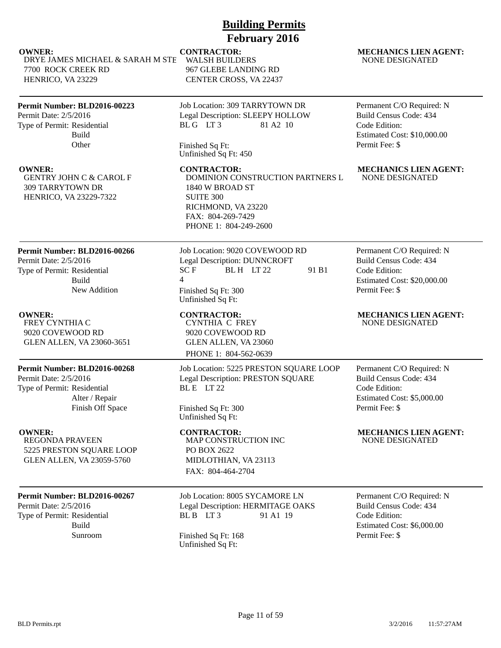DRYE JAMES MICHAEL & SARAH M STE 7700 ROCK CREEK RD HENRICO, VA 23229

## **Permit Number: BLD2016-00223**

Permit Date: 2/5/2016 Type of Permit: Residential Build **Other** 

GENTRY JOHN C & CAROL F 309 TARRYTOWN DR HENRICO, VA 23229-7322

# WALSH BUILDERS

967 GLEBE LANDING RD CENTER CROSS, VA 22437

Job Location: 309 TARRYTOWN DR Legal Description: SLEEPY HOLLOW BL G LT 3 81 A 2 10

Finished Sq Ft: Unfinished Sq Ft: 450

DOMINION CONSTRUCTION PARTNERS L 1840 W BROAD ST SUITE 300 RICHMOND, VA 23220 FAX: 804-269-7429 PHONE 1: 804-249-2600

## **Permit Number: BLD2016-00266**

Permit Date: 2/5/2016 Type of Permit: Residential Build New Addition

FREY CYNTHIA C 9020 COVEWOOD RD GLEN ALLEN, VA 23060-3651

### **Permit Number: BLD2016-00268**

Permit Date: 2/5/2016 Type of Permit: Residential Alter / Repair Finish Off Space

REGONDA PRAVEEN 5225 PRESTON SQUARE LOOP GLEN ALLEN, VA 23059-5760

### **Permit Number: BLD2016-00267**

Permit Date: 2/5/2016 Type of Permit: Residential Build

Job Location: 9020 COVEWOOD RD Legal Description: DUNNCROFT  $SCF$  BLH LT 22 91 B1 4 Finished Sq Ft: 300 Unfinished Sq Ft:

# CYNTHIA C FREY

9020 COVEWOOD RD GLEN ALLEN, VA 23060 PHONE 1: 804-562-0639

Job Location: 5225 PRESTON SQUARE LOOP Legal Description: PRESTON SQUARE BL E LT 22

Finished Sq Ft: 300 Unfinished Sq Ft:

MAP CONSTRUCTION INC PO BOX 2622 MIDLOTHIAN, VA 23113 FAX: 804-464-2704

## Job Location: 8005 SYCAMORE LN Legal Description: HERMITAGE OAKS BL B LT 3 91 A1 19

Sunroom Finished Sq Ft: 168 Unfinished Sq Ft:

### **OWNER:** CONTRACTOR: MECHANICS LIEN AGENT: NONE DESIGNATED

Permanent C/O Required: N Build Census Code: 434 Code Edition: Estimated Cost: \$10,000.00 Permit Fee: \$

### **OWNER:** CONTRACTOR: MECHANICS LIEN AGENT: NONE DESIGNATED

Permanent C/O Required: N Build Census Code: 434 Code Edition: Estimated Cost: \$20,000.00 Permit Fee: \$

### **OWNER:** CONTRACTOR: MECHANICS LIEN AGENT: NONE DESIGNATED

Permanent C/O Required: N Build Census Code: 434 Code Edition: Estimated Cost: \$5,000.00 Permit Fee: \$

### **OWNER: CONTRACTOR: MECHANICS LIEN AGENT:** NONE DESIGNATED

Permanent C/O Required: N Build Census Code: 434 Code Edition: Estimated Cost: \$6,000.00 Permit Fee: \$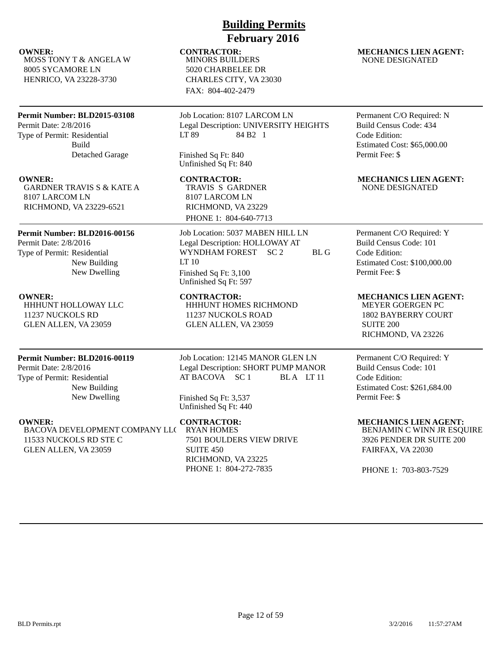MOSS TONY T & ANGELA W 8005 SYCAMORE LN HENRICO, VA 23228-3730

## **Permit Number: BLD2015-03108**

Permit Date: 2/8/2016 Type of Permit: Residential Build Detached Garage

GARDNER TRAVIS S & KATE A 8107 LARCOM LN RICHMOND, VA 23229-6521

## **Permit Number: BLD2016-00156**

Permit Date: 2/8/2016 Type of Permit: Residential New Building New Dwelling

HHHUNT HOLLOWAY LLC 11237 NUCKOLS RD GLEN ALLEN, VA 23059

## **Permit Number: BLD2016-00119**

Permit Date: 2/8/2016 Type of Permit: Residential New Building New Dwelling

BACOVA DEVELOPMENT COMPANY LLC 11533 NUCKOLS RD STE C GLEN ALLEN, VA 23059

# **Building Permits February 2016**

MINORS BUILDERS 5020 CHARBELEE DR CHARLES CITY, VA 23030 FAX: 804-402-2479

Job Location: 8107 LARCOM LN Legal Description: UNIVERSITY HEIGHTS LT 89 84 B2 1

Finished Sq Ft: 840 Unfinished Sq Ft: 840

TRAVIS S GARDNER 8107 LARCOM LN RICHMOND, VA 23229

PHONE 1: 804-640-7713

Job Location: 5037 MABEN HILL LN Legal Description: HOLLOWAY AT WYNDHAM FOREST SC 2 BL G LT 10 Finished Sq Ft: 3,100 Unfinished Sq Ft: 597

### **OWNER: CONTRACTOR: MECHANICS LIEN AGENT:** HHHUNT HOMES RICHMOND 11237 NUCKOLS ROAD GLEN ALLEN, VA 23059

Job Location: 12145 MANOR GLEN LN Legal Description: SHORT PUMP MANOR AT BACOVA SC 1 BLA LT 11

Finished Sq Ft: 3,537 Unfinished Sq Ft: 440

RYAN HOMES 7501 BOULDERS VIEW DRIVE SUITE 450 RICHMOND, VA 23225 PHONE 1: 804-272-7835

### **OWNER:** CONTRACTOR: MECHANICS LIEN AGENT: NONE DESIGNATED

Permanent C/O Required: N Build Census Code: 434 Code Edition: Estimated Cost: \$65,000.00 Permit Fee: \$

### **OWNER: CONTRACTOR: MECHANICS LIEN AGENT:** NONE DESIGNATED

Permanent C/O Required: Y Build Census Code: 101 Code Edition: Estimated Cost: \$100,000.00 Permit Fee: \$

MEYER GOERGEN PC 1802 BAYBERRY COURT SUITE 200 RICHMOND, VA 23226

Permanent C/O Required: Y Build Census Code: 101 Code Edition: Estimated Cost: \$261,684.00 Permit Fee: \$

**OWNER:** CONTRACTOR: MECHANICS LIEN AGENT: BENJAMIN C WINN JR ESQUIRE

3926 PENDER DR SUITE 200 FAIRFAX, VA 22030

PHONE 1: 703-803-7529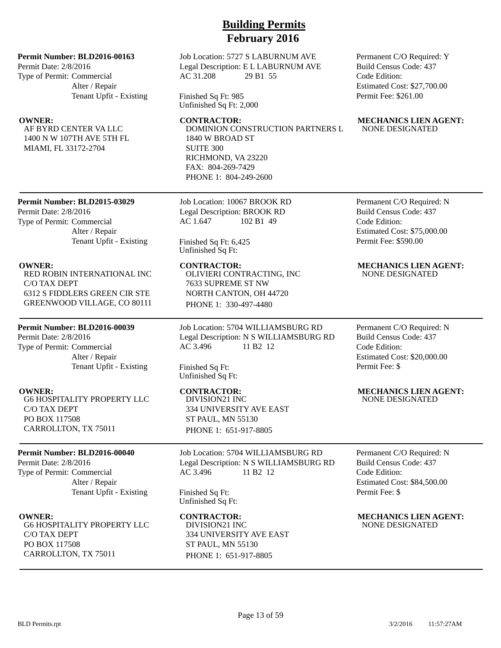### **Permit Number: BLD2016-00163**

Permit Date: 2/8/2016 Type of Permit: Commercial Alter / Repair Tenant Upfit - Existing

AF BYRD CENTER VA LLC 1400 N W 107TH AVE 5TH FL MIAMI, FL 33172-2704

Job Location: 5727 S LABURNUM AVE Legal Description: E L LABURNUM AVE AC 31.208 29 B1 55

Finished Sq Ft: 985 Unfinished Sq Ft: 2,000

DOMINION CONSTRUCTION PARTNERS L 1840 W BROAD ST SUITE 300 RICHMOND, VA 23220 FAX: 804-269-7429 PHONE 1: 804-249-2600

### **Permit Number: BLD2015-03029**

Permit Date: 2/8/2016 Type of Permit: Commercial Alter / Repair Tenant Upfit - Existing

RED ROBIN INTERNATIONAL INC C/O TAX DEPT 6312 S FIDDLERS GREEN CIR STE GREENWOOD VILLAGE, CO 80111

### **Permit Number: BLD2016-00039**

Permit Date: 2/8/2016 Type of Permit: Commercial Alter / Repair Tenant Upfit - Existing

G6 HOSPITALITY PROPERTY LLC C/O TAX DEPT PO BOX 117508 CARROLLTON, TX 75011

### **Permit Number: BLD2016-00040**

Permit Date: 2/8/2016 Type of Permit: Commercial Alter / Repair Tenant Upfit - Existing

G6 HOSPITALITY PROPERTY LLC C/O TAX DEPT PO BOX 117508 CARROLLTON, TX 75011

Job Location: 10067 BROOK RD Legal Description: BROOK RD AC 1.647 102 B1 49

Finished Sq Ft: 6,425 Unfinished Sq Ft:

OLIVIERI CONTRACTING, INC 7633 SUPREME ST NW NORTH CANTON, OH 44720 PHONE 1: 330-497-4480

Job Location: 5704 WILLIAMSBURG RD Legal Description: N S WILLIAMSBURG RD AC 3.496 11 B2 12

Finished Sq Ft: Unfinished Sq Ft:

DIVISION21 INC 334 UNIVERSITY AVE EAST ST PAUL, MN 55130 PHONE 1: 651-917-8805

Job Location: 5704 WILLIAMSBURG RD Legal Description: N S WILLIAMSBURG RD AC 3.496 11 B2 12

Finished Sq Ft: Unfinished Sq Ft:

DIVISION21 INC 334 UNIVERSITY AVE EAST ST PAUL, MN 55130 PHONE 1: 651-917-8805

Permanent C/O Required: Y Build Census Code: 437 Code Edition: Estimated Cost: \$27,700.00 Permit Fee: \$261.00

### **OWNER:** CONTRACTOR: MECHANICS LIEN AGENT: NONE DESIGNATED

Permanent C/O Required: N Build Census Code: 437 Code Edition: Estimated Cost: \$75,000.00 Permit Fee: \$590.00

### **OWNER: CONTRACTOR: MECHANICS LIEN AGENT:** NONE DESIGNATED

Permanent C/O Required: N Build Census Code: 437 Code Edition: Estimated Cost: \$20,000.00 Permit Fee: \$

### **OWNER: CONTRACTOR: MECHANICS LIEN AGENT:** NONE DESIGNATED

Permanent C/O Required: N Build Census Code: 437 Code Edition: Estimated Cost: \$84,500.00 Permit Fee: \$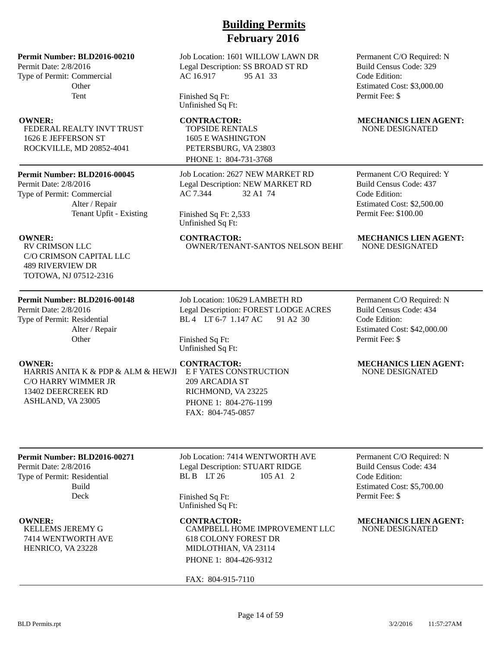Permit Date: 2/8/2016 Type of Permit: Commercial **Other** Tent

FEDERAL REALTY INVT TRUST 1626 E JEFFERSON ST ROCKVILLE, MD 20852-4041

### **Permit Number: BLD2016-00045**

Permit Date: 2/8/2016 Type of Permit: Commercial Alter / Repair Tenant Upfit - Existing

RV CRIMSON LLC C/O CRIMSON CAPITAL LLC 489 RIVERVIEW DR TOTOWA, NJ 07512-2316

### **Permit Number: BLD2016-00148**

Permit Date: 2/8/2016 Type of Permit: Residential Alter / Repair **Other** 

HARRIS ANITA K & PDP & ALM & HEWJI C/O HARRY WIMMER JR 13402 DEERCREEK RD ASHLAND, VA 23005

# **Building Permits February 2016**

Job Location: 1601 WILLOW LAWN DR Legal Description: SS BROAD ST RD AC 16.917 95 A1 33

Finished Sq Ft: Unfinished Sq Ft:

TOPSIDE RENTALS 1605 E WASHINGTON PETERSBURG, VA 23803 PHONE 1: 804-731-3768

Job Location: 2627 NEW MARKET RD Legal Description: NEW MARKET RD AC 7.344 32 A1 74

Finished Sq Ft: 2,533 Unfinished Sq Ft:

OWNER/TENANT-SANTOS NELSON BEHIT

Permanent C/O Required: N Build Census Code: 329 Code Edition: Estimated Cost: \$3,000.00 Permit Fee: \$

### **OWNER:** CONTRACTOR: MECHANICS LIEN AGENT: NONE DESIGNATED

Permanent C/O Required: Y Build Census Code: 437 Code Edition: Estimated Cost: \$2,500.00 Permit Fee: \$100.00

# **OWNER:** CONTRACTOR: MECHANICS LIEN AGENT:<br>
NOW CRIMSON LLC OWNER/TENANT-SANTOS NELSON BEHI' NONE DESIGNATED

Job Location: 10629 LAMBETH RD Legal Description: FOREST LODGE ACRES BL 4 LT 6-7 1.147 AC 91 A2 30

Finished Sq Ft: Unfinished Sq Ft:

E F YATES CONSTRUCTION 209 ARCADIA ST RICHMOND, VA 23225 PHONE 1: 804-276-1199 FAX: 804-745-0857

Permanent C/O Required: N Build Census Code: 434 Code Edition: Estimated Cost: \$42,000.00 Permit Fee: \$

### **OWNER:** CONTRACTOR: MECHANICS LIEN AGENT: NONE DESIGNATED

### **Permit Number: BLD2016-00271**

Permit Date: 2/8/2016 Type of Permit: Residential Build Deck

KELLEMS JEREMY G 7414 WENTWORTH AVE HENRICO, VA 23228

Job Location: 7414 WENTWORTH AVE Legal Description: STUART RIDGE BL B LT 26 105 A1 2

Finished Sq Ft: Unfinished Sq Ft:

CAMPBELL HOME IMPROVEMENT LLC 618 COLONY FOREST DR MIDLOTHIAN, VA 23114 PHONE 1: 804-426-9312

FAX: 804-915-7110

Permanent C/O Required: N Build Census Code: 434 Code Edition: Estimated Cost: \$5,700.00 Permit Fee: \$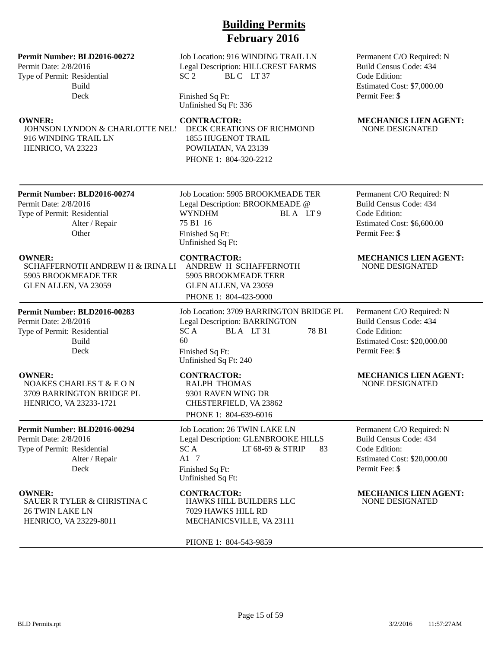### **Permit Number: BLD2016-00272**

Permit Date: 2/8/2016 Type of Permit: Residential Build Deck

JOHNSON LYNDON & CHARLOTTE NELS 916 WINDING TRAIL LN HENRICO, VA 23223

Job Location: 916 WINDING TRAIL LN Legal Description: HILLCREST FARMS SC 2 BLC LT 37

Finished Sq Ft: Unfinished Sq Ft: 336

DECK CREATIONS OF RICHMOND 1855 HUGENOT TRAIL POWHATAN, VA 23139 PHONE 1: 804-320-2212

Permanent C/O Required: N Build Census Code: 434 Code Edition: Estimated Cost: \$7,000.00 Permit Fee: \$

### **OWNER:** CONTRACTOR: MECHANICS LIEN AGENT: NONE DESIGNATED

### **Permit Number: BLD2016-00274**

Permit Date: 2/8/2016 Type of Permit: Residential Alter / Repair **Other** 

SCHAFFERNOTH ANDREW H & IRINA LI 5905 BROOKMEADE TER GLEN ALLEN, VA 23059

**Permit Number: BLD2016-00283** Permit Date: 2/8/2016 Type of Permit: Residential Build Deck

**OWNER:** CONTRACTOR: MECHANICS LIEN AGENT: NOAKES CHARLES T & E O N 3709 BARRINGTON BRIDGE PL HENRICO, VA 23233-1721

### **Permit Number: BLD2016-00294**

Permit Date: 2/8/2016 Type of Permit: Residential Alter / Repair Deck

**OWNER: CONTRACTOR: MECHANICS LIEN AGENT:** SAUER R TYLER & CHRISTINA C 26 TWIN LAKE LN HENRICO, VA 23229-8011

Job Location: 5905 BROOKMEADE TER Legal Description: BROOKMEADE @ WYNDHM BLA LT 9 75 B1 16 Finished Sq Ft: Unfinished Sq Ft:

ANDREW H SCHAFFERNOTH 5905 BROOKMEADE TERR GLEN ALLEN, VA 23059 PHONE 1: 804-423-9000

Job Location: 3709 BARRINGTON BRIDGE PL Legal Description: BARRINGTON  $SC A$  BLA LT 31 78 B1 60 Finished Sq Ft: Unfinished Sq Ft: 240

RALPH THOMAS 9301 RAVEN WING DR CHESTERFIELD, VA 23862 PHONE 1: 804-639-6016

Job Location: 26 TWIN LAKE LN Legal Description: GLENBROOKE HILLS SC A LT 68-69 & STRIP 83 A1 7 Finished Sq Ft: Unfinished Sq Ft:

HAWKS HILL BUILDERS LLC 7029 HAWKS HILL RD MECHANICSVILLE, VA 23111

PHONE 1: 804-543-9859

Permanent C/O Required: N Build Census Code: 434 Code Edition: Estimated Cost: \$6,600.00 Permit Fee: \$

### **OWNER:** CONTRACTOR: MECHANICS LIEN AGENT: NONE DESIGNATED

Permanent C/O Required: N Build Census Code: 434 Code Edition: Estimated Cost: \$20,000.00 Permit Fee: \$

# NONE DESIGNATED

Permanent C/O Required: N Build Census Code: 434 Code Edition: Estimated Cost: \$20,000.00 Permit Fee: \$

# NONE DESIGNATED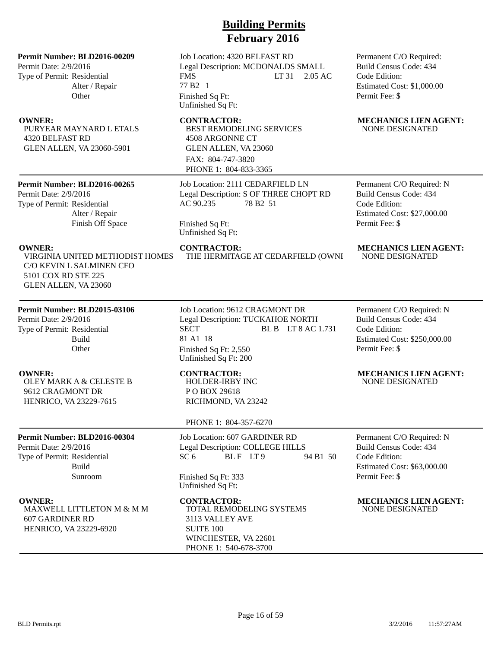Permit Date: 2/9/2016 Type of Permit: Residential Alter / Repair **Other** 

PURYEAR MAYNARD L ETALS 4320 BELFAST RD GLEN ALLEN, VA 23060-5901

### **Permit Number: BLD2016-00265**

Permit Date: 2/9/2016 Type of Permit: Residential Alter / Repair Finish Off Space

VIRGINIA UNITED METHODIST HOMES C/O KEVIN L SALMINEN CFO 5101 COX RD STE 225 GLEN ALLEN, VA 23060

## **Permit Number: BLD2015-03106**

Permit Date: 2/9/2016 Type of Permit: Residential Build **Other** 

OLEY MARK A & CELESTE B 9612 CRAGMONT DR HENRICO, VA 23229-7615

### **Permit Number: BLD2016-00304**

Permit Date: 2/9/2016 Type of Permit: Residential Build Sunroom

MAXWELL LITTLETON M & M M 607 GARDINER RD HENRICO, VA 23229-6920

# **Building Permits February 2016**

Job Location: 4320 BELFAST RD Legal Description: MCDONALDS SMALL FMS LT 31 2.05 AC 77 B2 1 Finished Sq Ft: Unfinished Sq Ft:

BEST REMODELING SERVICES 4508 ARGONNE CT GLEN ALLEN, VA 23060 FAX: 804-747-3820 PHONE 1: 804-833-3365

Job Location: 2111 CEDARFIELD LN Legal Description: S OF THREE CHOPT RD AC 90.235 78 B2 51

Finished Sq Ft: Unfinished Sq Ft: Permanent C/O Required: Build Census Code: 434 Code Edition: Estimated Cost: \$1,000.00 Permit Fee: \$

### **OWNER:** CONTRACTOR: MECHANICS LIEN AGENT: NONE DESIGNATED

Permanent C/O Required: N Build Census Code: 434 Code Edition: Estimated Cost: \$27,000.00 Permit Fee: \$

# **OWNER:** CONTRACTOR: MECHANICS LIEN AGENT: VIRGINIA UNITED METHODIST HOMES FOR HEREMITAGE AT CEDARFIELD (OWNI NONE DESIGNATED

Job Location: 9612 CRAGMONT DR Legal Description: TUCKAHOE NORTH SECT BL B LT 8 AC 1.731 81 A1 18 Finished Sq Ft: 2,550 Unfinished Sq Ft: 200

THE HERMITAGE AT CEDARFIELD (OWNI

HOLDER-IRBY INC P O BOX 29618 RICHMOND, VA 23242

### PHONE 1: 804-357-6270

Job Location: 607 GARDINER RD Legal Description: COLLEGE HILLS SC 6 BLF LT 9 94 B1 50

Finished Sq Ft: 333 Unfinished Sq Ft:

TOTAL REMODELING SYSTEMS 3113 VALLEY AVE SUITE 100 WINCHESTER, VA 22601 PHONE 1: 540-678-3700

Permanent C/O Required: N Build Census Code: 434 Code Edition: Estimated Cost: \$250,000.00 Permit Fee: \$

### **OWNER: CONTRACTOR: MECHANICS LIEN AGENT:** NONE DESIGNATED

Permanent C/O Required: N Build Census Code: 434 Code Edition: Estimated Cost: \$63,000.00 Permit Fee: \$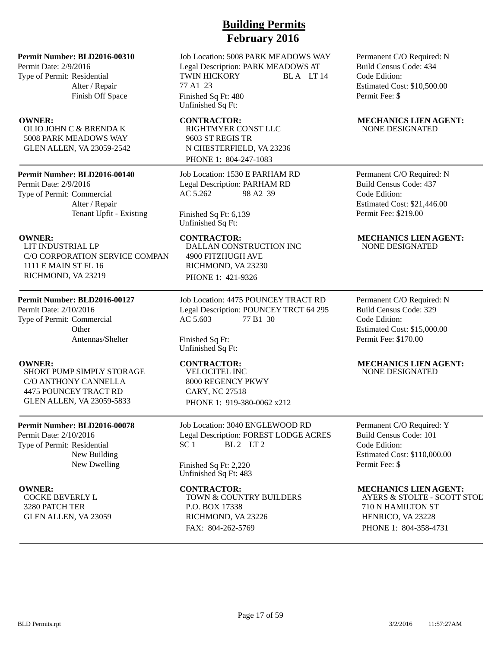Permit Date: 2/9/2016 Type of Permit: Residential Alter / Repair Finish Off Space

OLIO JOHN C & BRENDA K 5008 PARK MEADOWS WAY GLEN ALLEN, VA 23059-2542

### **Permit Number: BLD2016-00140**

Permit Date: 2/9/2016 Type of Permit: Commercial Alter / Repair Tenant Upfit - Existing

LIT INDUSTRIAL LP C/O CORPORATION SERVICE COMPAN 1111 E MAIN ST FL 16 RICHMOND, VA 23219

### **Permit Number: BLD2016-00127**

Permit Date: 2/10/2016 Type of Permit: Commercial **Other** Antennas/Shelter

SHORT PUMP SIMPLY STORAGE C/O ANTHONY CANNELLA 4475 POUNCEY TRACT RD GLEN ALLEN, VA 23059-5833

### **Permit Number: BLD2016-00078**

Permit Date: 2/10/2016 Type of Permit: Residential New Building New Dwelling

COCKE BEVERLY L 3280 PATCH TER GLEN ALLEN, VA 23059

# **Building Permits February 2016**

Job Location: 5008 PARK MEADOWS WAY Legal Description: PARK MEADOWS AT TWIN HICKORY BLA LT 14 77 A1 23 Finished Sq Ft: 480 Unfinished Sq Ft:

RIGHTMYER CONST LLC 9603 ST REGIS TR N CHESTERFIELD, VA 23236 PHONE 1: 804-247-1083

Job Location: 1530 E PARHAM RD Legal Description: PARHAM RD AC 5.262 98 A2 39

### Finished Sq Ft: 6,139 Unfinished Sq Ft:

DALLAN CONSTRUCTION INC 4900 FITZHUGH AVE RICHMOND, VA 23230 PHONE 1: 421-9326

Job Location: 4475 POUNCEY TRACT RD Legal Description: POUNCEY TRCT 64 295 AC 5.603 77 B1 30

Finished Sq Ft: Unfinished Sq Ft:

VELOCITEL INC 8000 REGENCY PKWY CARY, NC 27518 PHONE 1: 919-380-0062 x212

Job Location: 3040 ENGLEWOOD RD Legal Description: FOREST LODGE ACRES  $SC 1$   $BL 2$   $LT 2$ 

Finished Sq Ft: 2,220 Unfinished Sq Ft: 483

TOWN & COUNTRY BUILDERS P.O. BOX 17338 RICHMOND, VA 23226 FAX: 804-262-5769

Permanent C/O Required: N Build Census Code: 434 Code Edition: Estimated Cost: \$10,500.00 Permit Fee: \$

### **OWNER:** CONTRACTOR: MECHANICS LIEN AGENT: NONE DESIGNATED

Permanent C/O Required: N Build Census Code: 437 Code Edition: Estimated Cost: \$21,446.00 Permit Fee: \$219.00

### **OWNER:** CONTRACTOR: MECHANICS LIEN AGENT: NONE DESIGNATED

Permanent C/O Required: N Build Census Code: 329 Code Edition: Estimated Cost: \$15,000.00 Permit Fee: \$170.00

### **OWNER: CONTRACTOR: MECHANICS LIEN AGENT:** NONE DESIGNATED

Permanent C/O Required: Y Build Census Code: 101 Code Edition: Estimated Cost: \$110,000.00 Permit Fee: \$

### **OWNER: CONTRACTOR: MECHANICS LIEN AGENT:**

AYERS & STOLTE - SCOTT STOLT 710 N HAMILTON ST HENRICO, VA 23228 PHONE 1: 804-358-4731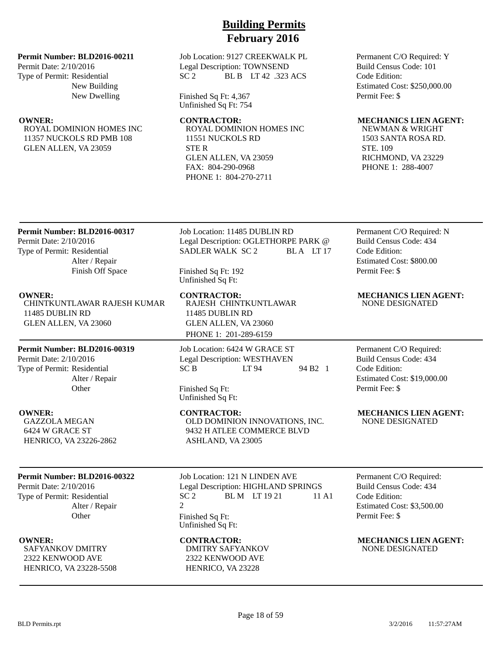**Permit Number: BLD2016-00211**

Permit Date: 2/10/2016 Type of Permit: Residential New Building New Dwelling

ROYAL DOMINION HOMES INC 11357 NUCKOLS RD PMB 108 GLEN ALLEN, VA 23059

Job Location: 9127 CREEKWALK PL Legal Description: TOWNSEND SC 2 BL B LT 42 .323 ACS

Finished Sq Ft: 4,367 Unfinished Sq Ft: 754

ROYAL DOMINION HOMES INC 11551 NUCKOLS RD STE R GLEN ALLEN, VA 23059 FAX: 804-290-0968 PHONE 1: 804-270-2711

Permanent C/O Required: Y Build Census Code: 101 Code Edition: Estimated Cost: \$250,000.00 Permit Fee: \$

## **OWNER:** CONTRACTOR: MECHANICS LIEN AGENT:

NEWMAN & WRIGHT 1503 SANTA ROSA RD. STE. 109 RICHMOND, VA 23229 PHONE 1: 288-4007

## **Permit Number: BLD2016-00317**

Permit Date: 2/10/2016 Type of Permit: Residential Alter / Repair Finish Off Space

CHINTKUNTLAWAR RAJESH KUMAR 11485 DUBLIN RD GLEN ALLEN, VA 23060

## **Permit Number: BLD2016-00319**

Permit Date: 2/10/2016 Type of Permit: Residential Alter / Repair **Other** 

GAZZOLA MEGAN 6424 W GRACE ST HENRICO, VA 23226-2862

## **Permit Number: BLD2016-00322**

Permit Date: 2/10/2016 Type of Permit: Residential Alter / Repair **Other** 

SAFYANKOV DMITRY 2322 KENWOOD AVE HENRICO, VA 23228-5508 Job Location: 11485 DUBLIN RD Legal Description: OGLETHORPE PARK @ SADLER WALK SC 2 BLA LT 17

Finished Sq Ft: 192 Unfinished Sq Ft:

**OWNER: CONTRACTOR: MECHANICS LIEN AGENT:** RAJESH CHINTKUNTLAWAR 11485 DUBLIN RD GLEN ALLEN, VA 23060 PHONE 1: 201-289-6159

> Job Location: 6424 W GRACE ST Legal Description: WESTHAVEN SC B LT 94 94 B2 1

Finished Sq Ft: Unfinished Sq Ft:

OLD DOMINION INNOVATIONS, INC. 9432 H ATLEE COMMERCE BLVD ASHLAND, VA 23005

Job Location: 121 N LINDEN AVE Legal Description: HIGHLAND SPRINGS SC 2 BLM LT 19 21 11 A1 2 Finished Sq Ft: Unfinished Sq Ft:

DMITRY SAFYANKOV 2322 KENWOOD AVE HENRICO, VA 23228

Permanent C/O Required: N Build Census Code: 434 Code Edition: Estimated Cost: \$800.00 Permit Fee: \$

# NONE DESIGNATED

Permanent C/O Required: Build Census Code: 434 Code Edition: Estimated Cost: \$19,000.00 Permit Fee: \$

**OWNER:** CONTRACTOR: MECHANICS LIEN AGENT: NONE DESIGNATED

> Permanent C/O Required: Build Census Code: 434 Code Edition: Estimated Cost: \$3,500.00 Permit Fee: \$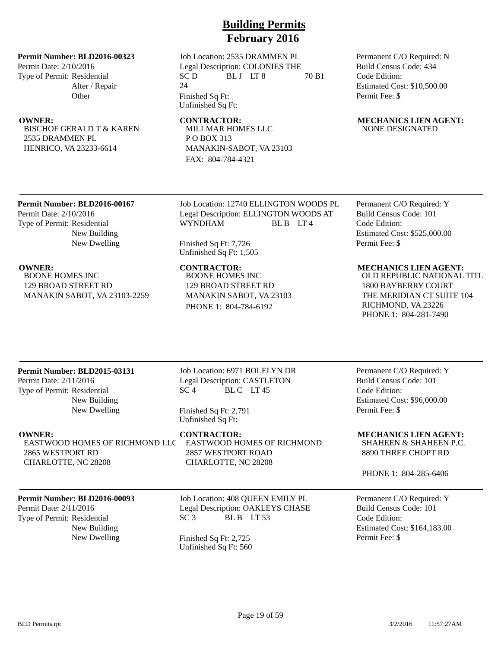### **Permit Number: BLD2016-00323**

Permit Date: 2/10/2016 Type of Permit: Residential Alter / Repair **Other** 

BISCHOF GERALD T & KAREN 2535 DRAMMEN PL HENRICO, VA 23233-6614

Job Location: 2535 DRAMMEN PL Legal Description: COLONIES THE  $SC D$  BLJ LT 8 70 B1 24 Finished Sq Ft: Unfinished Sq Ft:

MILLMAR HOMES LLC P O BOX 313 MANAKIN-SABOT, VA 23103 FAX: 804-784-4321

Permanent C/O Required: N Build Census Code: 434 Code Edition: Estimated Cost: \$10,500.00 Permit Fee: \$

### **OWNER:** CONTRACTOR: MECHANICS LIEN AGENT: NONE DESIGNATED

# **Permit Number: BLD2016-00167**

Permit Date: 2/10/2016 Type of Permit: Residential New Building New Dwelling

BOONE HOMES INC 129 BROAD STREET RD MANAKIN SABOT, VA 23103-2259 Job Location: 12740 ELLINGTON WOODS PL Legal Description: ELLINGTON WOODS AT WYNDHAM BL B LT 4

Finished Sq Ft: 7,726 Unfinished Sq Ft: 1,505

BOONE HOMES INC 129 BROAD STREET RD MANAKIN SABOT, VA 23103 PHONE 1: 804-784-6192

Permanent C/O Required: Y Build Census Code: 101 Code Edition: Estimated Cost: \$525,000.00 Permit Fee: \$

### **OWNER:** CONTRACTOR: MECHANICS LIEN AGENT:

OLD REPUBLIC NATIONAL TITL 1800 BAYBERRY COURT THE MERIDIAN CT SUITE 104 RICHMOND, VA 23226 PHONE 1: 804-281-7490

### **Permit Number: BLD2015-03131**

Permit Date: 2/11/2016 Type of Permit: Residential New Building New Dwelling

## Job Location: 6971 BOLELYN DR Legal Description: CASTLETON  $SC<sub>4</sub>$  BLC LT45

Finished Sq Ft: 2,791 Unfinished Sq Ft:

EASTWOOD HOMES OF RICHMOND LLC 2865 WESTPORT RD CHARLOTTE, NC 28208

**OWNER: CONTRACTOR: MECHANICS LIEN AGENT:** EASTWOOD HOMES OF RICHMOND 2857 WESTPORT ROAD CHARLOTTE, NC 28208

## **Permit Number: BLD2016-00093**

Permit Date: 2/11/2016 Type of Permit: Residential New Building Job Location: 408 QUEEN EMILY PL Legal Description: OAKLEYS CHASE  $SC3$  BLB  $LT53$ 

New Dwelling Finished Sq Ft: 2,725 Unfinished Sq Ft: 560

Permanent C/O Required: Y Build Census Code: 101 Code Edition: Estimated Cost: \$96,000.00 Permit Fee: \$

## SHAHEEN & SHAHEEN P.C. 8890 THREE CHOPT RD

PHONE 1: 804-285-6406

Permanent C/O Required: Y Build Census Code: 101 Code Edition: Estimated Cost: \$164,183.00 Permit Fee: \$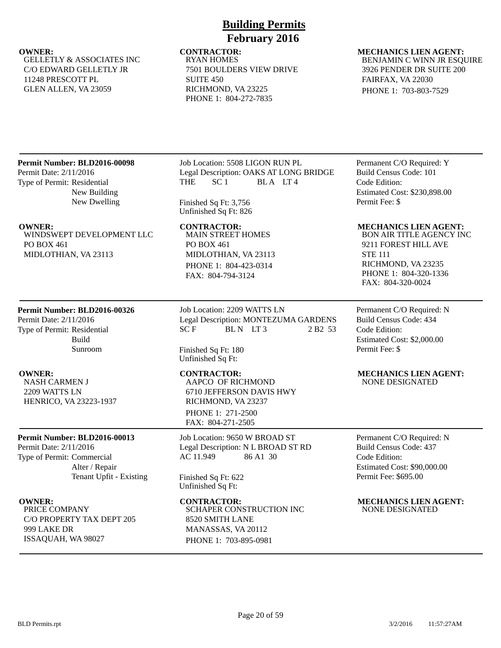GELLETLY & ASSOCIATES INC C/O EDWARD GELLETLY JR 11248 PRESCOTT PL GLEN ALLEN, VA 23059

## **Building Permits February 2016**

RYAN HOMES 7501 BOULDERS VIEW DRIVE SUITE 450 RICHMOND, VA 23225 PHONE 1: 804-272-7835

## **OWNER:** CONTRACTOR: MECHANICS LIEN AGENT: BENJAMIN C WINN JR ESQUIRE

3926 PENDER DR SUITE 200 FAIRFAX, VA 22030 PHONE 1: 703-803-7529

## **Permit Number: BLD2016-00098**

Permit Date: 2/11/2016 Type of Permit: Residential New Building New Dwelling

WINDSWEPT DEVELOPMENT LLC PO BOX 461 MIDLOTHIAN, VA 23113

## **Permit Number: BLD2016-00326**

Permit Date: 2/11/2016 Type of Permit: Residential Build Sunroom

NASH CARMEN J 2209 WATTS LN HENRICO, VA 23223-1937

### **Permit Number: BLD2016-00013**

Permit Date: 2/11/2016 Type of Permit: Commercial Alter / Repair Tenant Upfit - Existing

PRICE COMPANY C/O PROPERTY TAX DEPT 205 999 LAKE DR ISSAQUAH, WA 98027

Job Location: 5508 LIGON RUN PL Legal Description: OAKS AT LONG BRIDGE THE SC<sub>1</sub> BLA LT<sub>4</sub>

Finished Sq Ft: 3,756 Unfinished Sq Ft: 826

MAIN STREET HOMES PO BOX 461 MIDLOTHIAN, VA 23113 PHONE 1: 804-423-0314 FAX: 804-794-3124

Job Location: 2209 WATTS LN Legal Description: MONTEZUMA GARDENS  $SCF$  BLN LT3 2 B2 53

Finished Sq Ft: 180 Unfinished Sq Ft:

AAPCO OF RICHMOND 6710 JEFFERSON DAVIS HWY RICHMOND, VA 23237 PHONE 1: 271-2500 FAX: 804-271-2505

Job Location: 9650 W BROAD ST Legal Description: N L BROAD ST RD AC 11.949 86 A1 30

Finished Sq Ft: 622 Unfinished Sq Ft:

SCHAPER CONSTRUCTION INC 8520 SMITH LANE MANASSAS, VA 20112 PHONE 1: 703-895-0981

Permanent C/O Required: Y Build Census Code: 101 Code Edition: Estimated Cost: \$230,898.00 Permit Fee: \$

### **OWNER: CONTRACTOR: MECHANICS LIEN AGENT:**

BON AIR TITLE AGENCY INC 9211 FOREST HILL AVE STE 111 RICHMOND, VA 23235 PHONE 1: 804-320-1336 FAX: 804-320-0024

Permanent C/O Required: N Build Census Code: 434 Code Edition: Estimated Cost: \$2,000.00 Permit Fee: \$

### **OWNER: CONTRACTOR: MECHANICS LIEN AGENT:** NONE DESIGNATED

Permanent C/O Required: N Build Census Code: 437 Code Edition: Estimated Cost: \$90,000.00 Permit Fee: \$695.00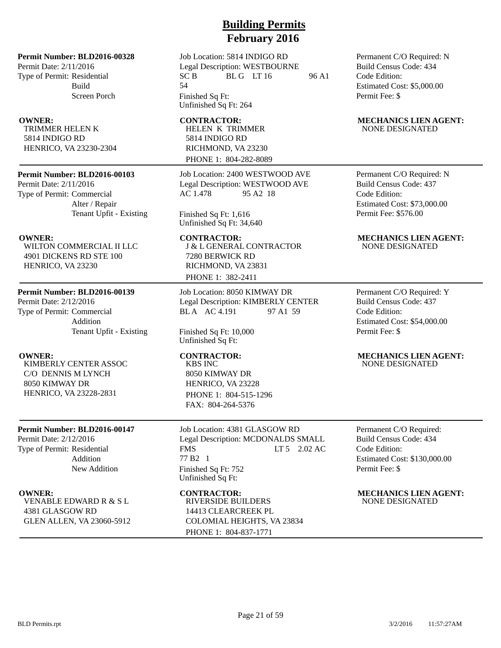Permit Date: 2/11/2016 Type of Permit: Residential Build Screen Porch

TRIMMER HELEN K 5814 INDIGO RD HENRICO, VA 23230-2304

### **Permit Number: BLD2016-00103**

Permit Date: 2/11/2016 Type of Permit: Commercial Alter / Repair Tenant Upfit - Existing

WILTON COMMERCIAL II LLC 4901 DICKENS RD STE 100 HENRICO, VA 23230

### **Permit Number: BLD2016-00139**

Permit Date: 2/12/2016 Type of Permit: Commercial Addition Tenant Upfit - Existing

KIMBERLY CENTER ASSOC C/O DENNIS M LYNCH 8050 KIMWAY DR HENRICO, VA 23228-2831

### **Permit Number: BLD2016-00147**

Permit Date: 2/12/2016 Type of Permit: Residential Addition New Addition

VENABLE EDWARD R & S L 4381 GLASGOW RD GLEN ALLEN, VA 23060-5912

# **Building Permits February 2016**

Job Location: 5814 INDIGO RD Legal Description: WESTBOURNE  $SC B$  BLG LT 16 96 A1 54 Finished Sq Ft:

Unfinished Sq Ft: 264

## HELEN K TRIMMER 5814 INDIGO RD RICHMOND, VA 23230 PHONE 1: 804-282-8089

Job Location: 2400 WESTWOOD AVE Legal Description: WESTWOOD AVE AC 1.478 95 A2 18

Finished Sq Ft: 1,616 Unfinished Sq Ft: 34,640

J & L GENERAL CONTRACTOR 7280 BERWICK RD RICHMOND, VA 23831 PHONE 1: 382-2411

Job Location: 8050 KIMWAY DR Legal Description: KIMBERLY CENTER BLA AC 4.191 97 A1 59

Finished Sq Ft: 10,000 Unfinished Sq Ft:

KBS INC 8050 KIMWAY DR HENRICO, VA 23228 PHONE 1: 804-515-1296 FAX: 804-264-5376

Job Location: 4381 GLASGOW RD Legal Description: MCDONALDS SMALL FMS LT 5 2.02 AC 77 B2 1 Finished Sq Ft: 752 Unfinished Sq Ft:

RIVERSIDE BUILDERS 14413 CLEARCREEK PL COLOMIAL HEIGHTS, VA 23834 PHONE 1: 804-837-1771

Permanent C/O Required: N Build Census Code: 434 Code Edition: Estimated Cost: \$5,000.00 Permit Fee: \$

### **OWNER:** CONTRACTOR: MECHANICS LIEN AGENT: NONE DESIGNATED

Permanent C/O Required: N Build Census Code: 437 Code Edition: Estimated Cost: \$73,000.00 Permit Fee: \$576.00

### **OWNER:** CONTRACTOR: MECHANICS LIEN AGENT: NONE DESIGNATED

Permanent C/O Required: Y Build Census Code: 437 Code Edition: Estimated Cost: \$54,000.00 Permit Fee: \$

### **OWNER: CONTRACTOR: MECHANICS LIEN AGENT:** NONE DESIGNATED

Permanent C/O Required: Build Census Code: 434 Code Edition: Estimated Cost: \$130,000.00 Permit Fee: \$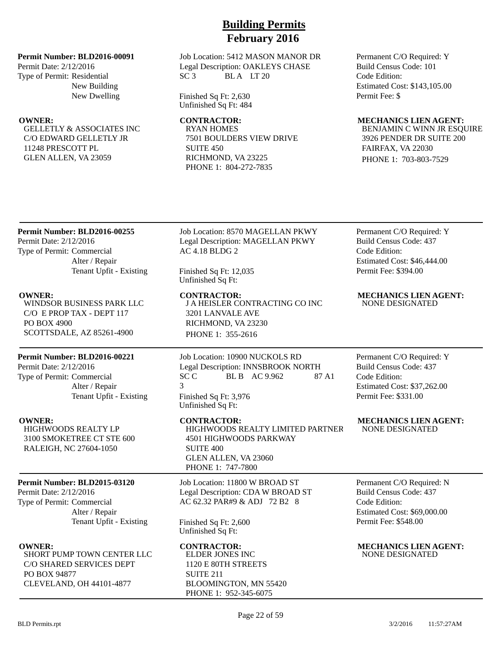### **Permit Number: BLD2016-00091**

Permit Date: 2/12/2016 Type of Permit: Residential New Building New Dwelling

GELLETLY & ASSOCIATES INC C/O EDWARD GELLETLY JR 11248 PRESCOTT PL GLEN ALLEN, VA 23059

### Job Location: 5412 MASON MANOR DR Legal Description: OAKLEYS CHASE SC 3 BLA LT 20

Finished Sq Ft: 2,630 Unfinished Sq Ft: 484

RYAN HOMES 7501 BOULDERS VIEW DRIVE SUITE 450 RICHMOND, VA 23225 PHONE 1: 804-272-7835

Permanent C/O Required: Y Build Census Code: 101 Code Edition: Estimated Cost: \$143,105.00 Permit Fee: \$

### **OWNER: CONTRACTOR: MECHANICS LIEN AGENT:**

BENJAMIN C WINN JR ESQUIRE 3926 PENDER DR SUITE 200 FAIRFAX, VA 22030 PHONE 1: 703-803-7529

### **Permit Number: BLD2016-00255**

Permit Date: 2/12/2016 Type of Permit: Commercial Alter / Repair Tenant Upfit - Existing

WINDSOR BUSINESS PARK LLC C/O E PROP TAX - DEPT 117 PO BOX 4900 SCOTTSDALE, AZ 85261-4900

### **Permit Number: BLD2016-00221**

Permit Date: 2/12/2016 Type of Permit: Commercial Alter / Repair Tenant Upfit - Existing

HIGHWOODS REALTY LP 3100 SMOKETREE CT STE 600 RALEIGH, NC 27604-1050

### **Permit Number: BLD2015-03120**

Permit Date: 2/12/2016 Type of Permit: Commercial Alter / Repair Tenant Upfit - Existing

SHORT PUMP TOWN CENTER LLC C/O SHARED SERVICES DEPT PO BOX 94877 CLEVELAND, OH 44101-4877

Job Location: 8570 MAGELLAN PKWY Legal Description: MAGELLAN PKWY AC 4.18 BLDG 2

Finished Sq Ft: 12,035 Unfinished Sq Ft:

J A HEISLER CONTRACTING CO INC 3201 LANVALE AVE RICHMOND, VA 23230 PHONE 1: 355-2616

Job Location: 10900 NUCKOLS RD Legal Description: INNSBROOK NORTH SC C BL B AC 9.962 87 A1 3 Finished Sq Ft: 3,976 Unfinished Sq Ft:

**OWNER: CONTRACTOR: MECHANICS LIEN AGENT:** HIGHWOODS REALTY LIMITED PARTNER 4501 HIGHWOODS PARKWAY SUITE 400 GLEN ALLEN, VA 23060 PHONE 1: 747-7800

> Job Location: 11800 W BROAD ST Legal Description: CDA W BROAD ST AC 62.32 PAR#9 & ADJ 72 B2 8

Finished Sq Ft: 2,600 Unfinished Sq Ft:

ELDER JONES INC 1120 E 80TH STREETS SUITE 211 BLOOMINGTON, MN 55420 PHONE 1: 952-345-6075

Permanent C/O Required: Y Build Census Code: 437 Code Edition: Estimated Cost: \$46,444.00 Permit Fee: \$394.00

**OWNER: CONTRACTOR: MECHANICS LIEN AGENT:** NONE DESIGNATED

> Permanent C/O Required: Y Build Census Code: 437 Code Edition: Estimated Cost: \$37,262.00 Permit Fee: \$331.00

NONE DESIGNATED

Permanent C/O Required: N Build Census Code: 437 Code Edition: Estimated Cost: \$69,000.00 Permit Fee: \$548.00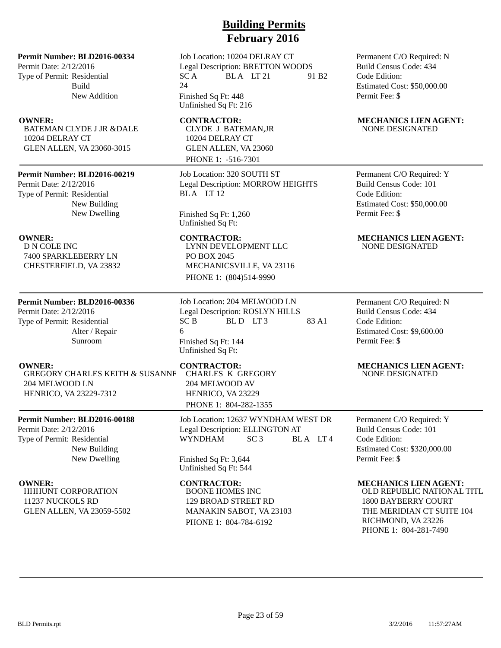Permit Date: 2/12/2016 Type of Permit: Residential Build New Addition

BATEMAN CLYDE J JR &DALE 10204 DELRAY CT GLEN ALLEN, VA 23060-3015

### **Permit Number: BLD2016-00219**

Permit Date: 2/12/2016 Type of Permit: Residential New Building New Dwelling

D N COLE INC 7400 SPARKLEBERRY LN CHESTERFIELD, VA 23832

### **Permit Number: BLD2016-00336**

Permit Date: 2/12/2016 Type of Permit: Residential Alter / Repair Sunroom

**OWNER:** CONTRACTOR: MECHANICS LIEN AGENT: GREGORY CHARLES KEITH & SUSANNE 204 MELWOOD LN HENRICO, VA 23229-7312

## **Permit Number: BLD2016-00188**

Permit Date: 2/12/2016 Type of Permit: Residential New Building New Dwelling

HHHUNT CORPORATION 11237 NUCKOLS RD GLEN ALLEN, VA 23059-5502

# **Building Permits February 2016**

Job Location: 10204 DELRAY CT Legal Description: BRETTON WOODS  $SC A$  BLA LT 21 91 B2 24 Finished Sq Ft: 448

Unfinished Sq Ft: 216

## CLYDE J BATEMAN,JR 10204 DELRAY CT GLEN ALLEN, VA 23060 PHONE 1: -516-7301

Job Location: 320 SOUTH ST Legal Description: MORROW HEIGHTS BLA LT<sub>12</sub>

Finished Sq Ft: 1,260 Unfinished Sq Ft:

LYNN DEVELOPMENT LLC PO BOX 2045 MECHANICSVILLE, VA 23116 PHONE 1: (804)514-9990

Job Location: 204 MELWOOD LN Legal Description: ROSLYN HILLS  $SC B$  BLD LT3 83 A1 6 Finished Sq Ft: 144 Unfinished Sq Ft:

CHARLES K GREGORY 204 MELWOOD AV HENRICO, VA 23229 PHONE 1: 804-282-1355

Job Location: 12637 WYNDHAM WEST DR Legal Description: ELLINGTON AT WYNDHAM SC 3 BLA LT 4

Finished Sq Ft: 3,644 Unfinished Sq Ft: 544

BOONE HOMES INC 129 BROAD STREET RD MANAKIN SABOT, VA 23103 PHONE 1: 804-784-6192

Permanent C/O Required: N Build Census Code: 434 Code Edition: Estimated Cost: \$50,000.00 Permit Fee: \$

### **OWNER:** CONTRACTOR: MECHANICS LIEN AGENT: NONE DESIGNATED

Permanent C/O Required: Y Build Census Code: 101 Code Edition: Estimated Cost: \$50,000.00 Permit Fee: \$

### **OWNER:** CONTRACTOR: MECHANICS LIEN AGENT: NONE DESIGNATED

Permanent C/O Required: N Build Census Code: 434 Code Edition: Estimated Cost: \$9,600.00 Permit Fee: \$

# NONE DESIGNATED

Permanent C/O Required: Y Build Census Code: 101 Code Edition: Estimated Cost: \$320,000.00 Permit Fee: \$

### **OWNER:** CONTRACTOR: MECHANICS LIEN AGENT:

OLD REPUBLIC NATIONAL TITL 1800 BAYBERRY COURT THE MERIDIAN CT SUITE 104 RICHMOND, VA 23226 PHONE 1: 804-281-7490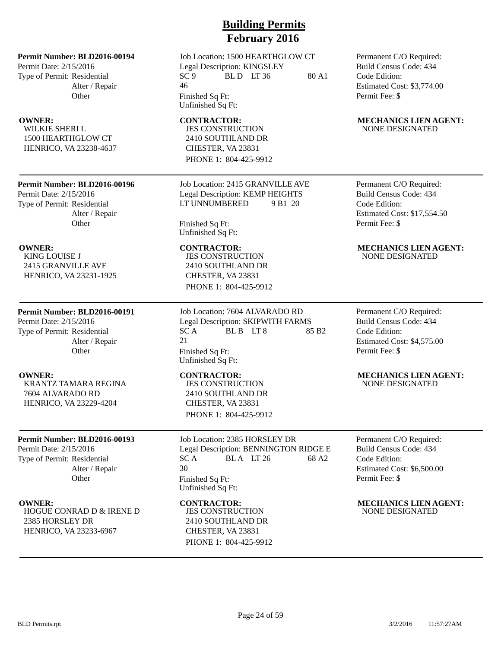Permit Date: 2/15/2016 Type of Permit: Residential Alter / Repair **Other** 

WILKIE SHERI L 1500 HEARTHGLOW CT HENRICO, VA 23238-4637

### **Permit Number: BLD2016-00196**

Permit Date: 2/15/2016 Type of Permit: Residential Alter / Repair **Other** 

KING LOUISE J 2415 GRANVILLE AVE HENRICO, VA 23231-1925

### **Permit Number: BLD2016-00191**

Permit Date: 2/15/2016 Type of Permit: Residential Alter / Repair **Other** 

KRANTZ TAMARA REGINA 7604 ALVARADO RD HENRICO, VA 23229-4204

### **Permit Number: BLD2016-00193**

Permit Date: 2/15/2016 Type of Permit: Residential Alter / Repair **Other** 

HOGUE CONRAD D & IRENE D 2385 HORSLEY DR HENRICO, VA 23233-6967

## **Building Permits February 2016**

Job Location: 1500 HEARTHGLOW CT Legal Description: KINGSLEY  $SC 9$  BLD LT 36 80 A1 46 Finished Sq Ft: Unfinished Sq Ft:

JES CONSTRUCTION 2410 SOUTHLAND DR CHESTER, VA 23831 PHONE 1: 804-425-9912

### Job Location: 2415 GRANVILLE AVE Legal Description: KEMP HEIGHTS LT UNNUMBERED 9 B1 20

Finished Sq Ft: Unfinished Sq Ft:

JES CONSTRUCTION 2410 SOUTHLAND DR CHESTER, VA 23831 PHONE 1: 804-425-9912

Job Location: 7604 ALVARADO RD Legal Description: SKIPWITH FARMS  $SC A$  BL B  $LT 8$  85 B2 21 Finished Sq Ft: Unfinished Sq Ft:

JES CONSTRUCTION 2410 SOUTHLAND DR CHESTER, VA 23831 PHONE 1: 804-425-9912

Job Location: 2385 HORSLEY DR Legal Description: BENNINGTON RIDGE E  $SC A$  BLA LT 26 68 A2 30 Finished Sq Ft: Unfinished Sq Ft:

JES CONSTRUCTION 2410 SOUTHLAND DR CHESTER, VA 23831 PHONE 1: 804-425-9912 Permanent C/O Required: Build Census Code: 434 Code Edition: Estimated Cost: \$3,774.00 Permit Fee: \$

### **OWNER:** CONTRACTOR: MECHANICS LIEN AGENT: NONE DESIGNATED

Permanent C/O Required: Build Census Code: 434 Code Edition: Estimated Cost: \$17,554.50 Permit Fee: \$

### **OWNER: CONTRACTOR: MECHANICS LIEN AGENT:** NONE DESIGNATED

Permanent C/O Required: Build Census Code: 434 Code Edition: Estimated Cost: \$4,575.00 Permit Fee: \$

### **OWNER:** CONTRACTOR: MECHANICS LIEN AGENT: NONE DESIGNATED

Permanent C/O Required: Build Census Code: 434 Code Edition: Estimated Cost: \$6,500.00 Permit Fee: \$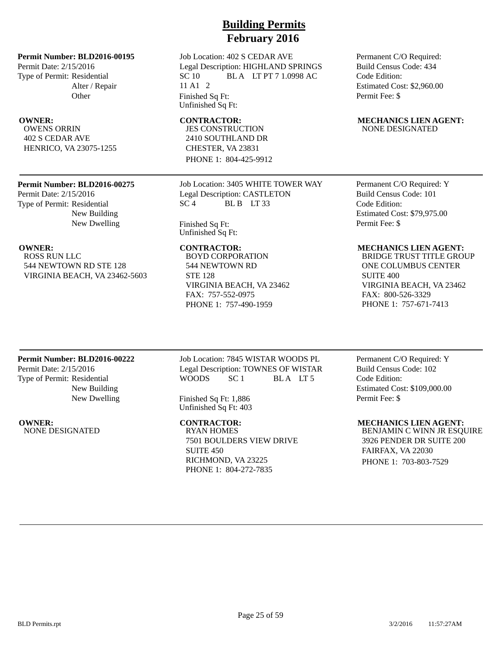Permit Date: 2/15/2016 Type of Permit: Residential Alter / Repair **Other** 

OWENS ORRIN 402 S CEDAR AVE HENRICO, VA 23075-1255

### **Permit Number: BLD2016-00275**

Permit Date: 2/15/2016 Type of Permit: Residential New Building New Dwelling

ROSS RUN LLC 544 NEWTOWN RD STE 128 VIRGINIA BEACH, VA 23462-5603

# **Building Permits February 2016**

Job Location: 402 S CEDAR AVE Legal Description: HIGHLAND SPRINGS SC 10 BLA LT PT 7 1.0998 AC 11 A1 2 Finished Sq Ft: Unfinished Sq Ft:

JES CONSTRUCTION 2410 SOUTHLAND DR CHESTER, VA 23831 PHONE 1: 804-425-9912

Job Location: 3405 WHITE TOWER WAY Legal Description: CASTLETON  $SC<sub>4</sub>$  BLB LT 33

Finished Sq Ft: Unfinished Sq Ft:

BOYD CORPORATION 544 NEWTOWN RD STE 128 VIRGINIA BEACH, VA 23462 FAX: 757-552-0975 PHONE 1: 757-490-1959

Permanent C/O Required: Build Census Code: 434 Code Edition: Estimated Cost: \$2,960.00 Permit Fee: \$

### **OWNER:** CONTRACTOR: MECHANICS LIEN AGENT: NONE DESIGNATED

Permanent C/O Required: Y Build Census Code: 101 Code Edition: Estimated Cost: \$79,975.00 Permit Fee: \$

### **OWNER: CONTRACTOR: MECHANICS LIEN AGENT:**

BRIDGE TRUST TITLE GROUP ONE COLUMBUS CENTER SUITE 400 VIRGINIA BEACH, VA 23462 FAX: 800-526-3329 PHONE 1: 757-671-7413

### **Permit Number: BLD2016-00222**

Permit Date: 2/15/2016 Type of Permit: Residential New Building New Dwelling

**OWNER:** CONTRACTOR: MECHANICS LIEN AGENT:<br>NONE DESIGNATED RYAN HOMES BENJAMIN C WINN JR ESO NONE DESIGNATED

Job Location: 7845 WISTAR WOODS PL Legal Description: TOWNES OF WISTAR WOODS SC 1 BLA LT 5

Finished Sq Ft: 1,886 Unfinished Sq Ft: 403

7501 BOULDERS VIEW DRIVE SUITE 450 RICHMOND, VA 23225 PHONE 1: 804-272-7835

Permanent C/O Required: Y Build Census Code: 102 Code Edition: Estimated Cost: \$109,000.00 Permit Fee: \$

BENJAMIN C WINN JR ESQUIRE 3926 PENDER DR SUITE 200 FAIRFAX, VA 22030 PHONE 1: 703-803-7529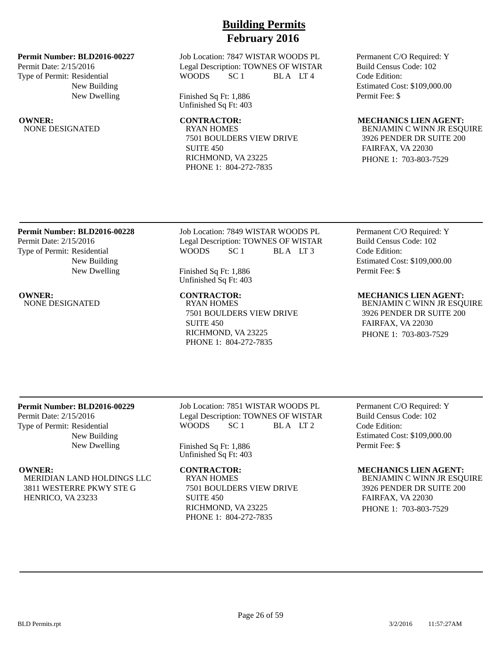### **Permit Number: BLD2016-00227**

Permit Date: 2/15/2016 Type of Permit: Residential New Building New Dwelling

NONE DESIGNATED

Job Location: 7847 WISTAR WOODS PL Legal Description: TOWNES OF WISTAR WOODS SC 1 BLA LT4

Finished Sq Ft: 1,886 Unfinished Sq Ft: 403

7501 BOULDERS VIEW DRIVE SUITE 450 RICHMOND, VA 23225 PHONE 1: 804-272-7835

Permanent C/O Required: Y Build Census Code: 102 Code Edition: Estimated Cost: \$109,000.00 Permit Fee: \$

# **OWNER:** CONTRACTOR: MECHANICS LIEN AGENT:<br>NONE DESIGNATED RYAN HOMES RYAN BENJAMIN C WINN JR ESO

BENJAMIN C WINN JR ESQUIRE 3926 PENDER DR SUITE 200 FAIRFAX, VA 22030 PHONE 1: 703-803-7529

## **Permit Number: BLD2016-00228** Permit Date: 2/15/2016 Type of Permit: Residential

New Building New Dwelling

NONE DESIGNATED

Job Location: 7849 WISTAR WOODS PL Legal Description: TOWNES OF WISTAR WOODS SC<sub>1</sub> BLA LT<sub>3</sub>

Finished Sq Ft: 1,886 Unfinished Sq Ft: 403

**OWNER:** CONTRACTOR: MECHANICS LIEN AGENT:<br>NONE DESIGNATED RYAN HOMES RYAN BENJAMIN C WINN JR ESO 7501 BOULDERS VIEW DRIVE SUITE 450 RICHMOND, VA 23225 PHONE 1: 804-272-7835

Permanent C/O Required: Y Build Census Code: 102 Code Edition: Estimated Cost: \$109,000.00 Permit Fee: \$

BENJAMIN C WINN JR ESQUIRE 3926 PENDER DR SUITE 200 FAIRFAX, VA 22030

PHONE 1: 703-803-7529

## **Permit Number: BLD2016-00229**

Permit Date: 2/15/2016 Type of Permit: Residential New Building New Dwelling

MERIDIAN LAND HOLDINGS LLC 3811 WESTERRE PKWY STE G HENRICO, VA 23233

Job Location: 7851 WISTAR WOODS PL Legal Description: TOWNES OF WISTAR<br>WOODS SC 1 BLA LT 2 SC 1 BLA LT 2

Finished Sq Ft: 1,886 Unfinished Sq Ft: 403

RYAN HOMES 7501 BOULDERS VIEW DRIVE SUITE 450 RICHMOND, VA 23225 PHONE 1: 804-272-7835

Permanent C/O Required: Y Build Census Code: 102 Code Edition: Estimated Cost: \$109,000.00 Permit Fee: \$

### **OWNER:** CONTRACTOR: MECHANICS LIEN AGENT:

BENJAMIN C WINN JR ESQUIRE 3926 PENDER DR SUITE 200 FAIRFAX, VA 22030 PHONE 1: 703-803-7529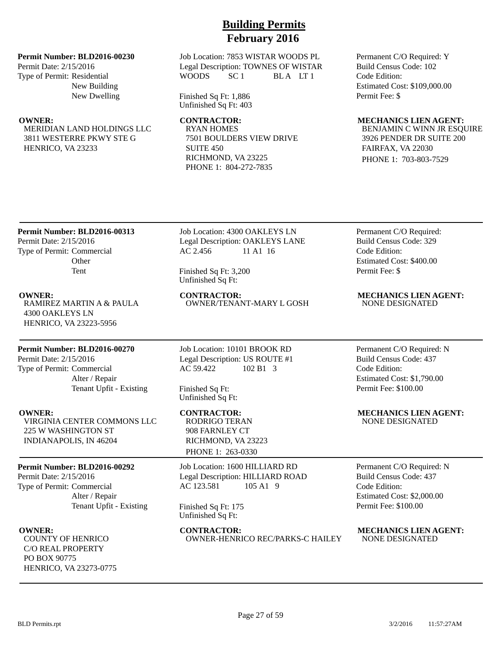### **Permit Number: BLD2016-00230**

Permit Date: 2/15/2016 Type of Permit: Residential New Building New Dwelling

MERIDIAN LAND HOLDINGS LLC 3811 WESTERRE PKWY STE G HENRICO, VA 23233

Job Location: 7853 WISTAR WOODS PL Legal Description: TOWNES OF WISTAR WOODS SC 1 BLA LT 1

Finished Sq Ft: 1,886 Unfinished Sq Ft: 403

RYAN HOMES 7501 BOULDERS VIEW DRIVE SUITE 450 RICHMOND, VA 23225 PHONE 1: 804-272-7835

Permanent C/O Required: Y Build Census Code: 102 Code Edition: Estimated Cost: \$109,000.00 Permit Fee: \$

### **OWNER: CONTRACTOR: MECHANICS LIEN AGENT:**

BENJAMIN C WINN JR ESQUIRE 3926 PENDER DR SUITE 200 FAIRFAX, VA 22030 PHONE 1: 703-803-7529

## **Permit Number: BLD2016-00313**

Permit Date: 2/15/2016 Type of Permit: Commercial **Other** Tent

RAMIREZ MARTIN A & PAULA 4300 OAKLEYS LN HENRICO, VA 23223-5956

## **Permit Number: BLD2016-00270**

Permit Date: 2/15/2016 Type of Permit: Commercial Alter / Repair Tenant Upfit - Existing

VIRGINIA CENTER COMMONS LLC 225 W WASHINGTON ST INDIANAPOLIS, IN 46204

### **Permit Number: BLD2016-00292**

Permit Date: 2/15/2016 Type of Permit: Commercial Alter / Repair Tenant Upfit - Existing

COUNTY OF HENRICO C/O REAL PROPERTY PO BOX 90775 HENRICO, VA 23273-0775 Job Location: 4300 OAKLEYS LN Legal Description: OAKLEYS LANE AC 2.456 11 A1 16

Finished Sq Ft: 3,200 Unfinished Sq Ft:

# OWNER/TENANT-MARY L GOSH

Job Location: 10101 BROOK RD Legal Description: US ROUTE #1 AC 59.422 102 B1 3

Finished Sq Ft: Unfinished Sq Ft:

RODRIGO TERAN 908 FARNLEY CT RICHMOND, VA 23223 PHONE 1: 263-0330

Job Location: 1600 HILLIARD RD Legal Description: HILLIARD ROAD AC 123.581 105 A1 9

Finished Sq Ft: 175 Unfinished Sq Ft:

**OWNER: CONTRACTOR: MECHANICS LIEN AGENT: COUNTY OF HENRICO COUNTRACTOR: COUNTY OF HENRICO COUNTY OF HENRICO** OWNER-HENRICO REC/PARKS-C HAILEY

Permanent C/O Required: Build Census Code: 329 Code Edition: Estimated Cost: \$400.00 Permit Fee: \$

**OWNER:** CONTRACTOR: MECHANICS LIEN AGENT:<br>
RAMIREZ MARTIN A & PAULA OWNER/TENANT-MARY LGOSH NONE DESIGNATED

Permanent C/O Required: N Build Census Code: 437 Code Edition: Estimated Cost: \$1,790.00 Permit Fee: \$100.00

**OWNER:** CONTRACTOR: MECHANICS LIEN AGENT: NONE DESIGNATED

> Permanent C/O Required: N Build Census Code: 437 Code Edition: Estimated Cost: \$2,000.00 Permit Fee: \$100.00

BLD Permits.rpt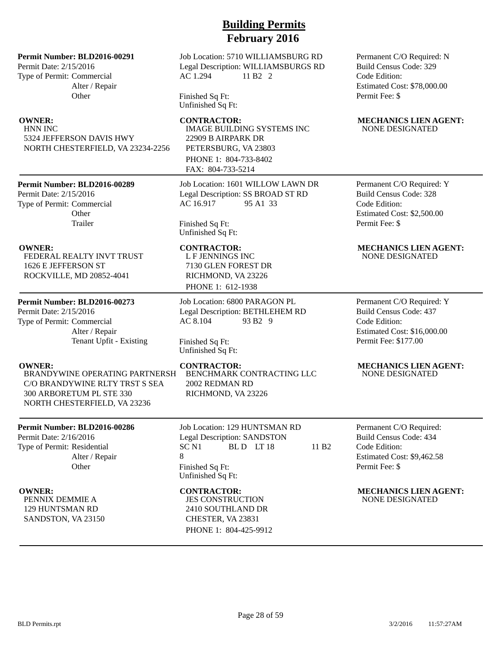### **Permit Number: BLD2016-00291**

Permit Date: 2/15/2016 Type of Permit: Commercial Alter / Repair **Other** 

HNN INC 5324 JEFFERSON DAVIS HWY NORTH CHESTERFIELD, VA 23234-2256

### **Permit Number: BLD2016-00289**

Permit Date: 2/15/2016 Type of Permit: Commercial **Other** Trailer

FEDERAL REALTY INVT TRUST 1626 E JEFFERSON ST ROCKVILLE, MD 20852-4041

### **Permit Number: BLD2016-00273**

Permit Date: 2/15/2016 Type of Permit: Commercial Alter / Repair Tenant Upfit - Existing

BRANDYWINE OPERATING PARTNERSH C/O BRANDYWINE RLTY TRST S SEA 300 ARBORETUM PL STE 330 NORTH CHESTERFIELD, VA 23236

### **Permit Number: BLD2016-00286**

Permit Date: 2/16/2016 Type of Permit: Residential Alter / Repair **Other** 

PENNIX DEMMIE A 129 HUNTSMAN RD SANDSTON, VA 23150

### Job Location: 5710 WILLIAMSBURG RD Legal Description: WILLIAMSBURGS RD AC 1.294 11 B2 2

Finished Sq Ft: Unfinished Sq Ft:

IMAGE BUILDING SYSTEMS INC 22909 B AIRPARK DR PETERSBURG, VA 23803 PHONE 1: 804-733-8402 FAX: 804-733-5214

Job Location: 1601 WILLOW LAWN DR Legal Description: SS BROAD ST RD AC 16.917 95 A1 33

Finished Sq Ft: Unfinished Sq Ft:

L F JENNINGS INC 7130 GLEN FOREST DR RICHMOND, VA 23226 PHONE 1: 612-1938

Job Location: 6800 PARAGON PL Legal Description: BETHLEHEM RD AC 8.104 93 B2 9

Finished Sq Ft: Unfinished Sq Ft:

BENCHMARK CONTRACTING LLC 2002 REDMAN RD RICHMOND, VA 23226

Job Location: 129 HUNTSMAN RD Legal Description: SANDSTON<br>SC N1 BL D LT 18 BL D LT 18 11 B2 8 Finished Sq Ft: Unfinished Sq Ft:

JES CONSTRUCTION 2410 SOUTHLAND DR CHESTER, VA 23831 PHONE 1: 804-425-9912 Permanent C/O Required: N Build Census Code: 329 Code Edition: Estimated Cost: \$78,000.00 Permit Fee: \$

### **OWNER:** CONTRACTOR: MECHANICS LIEN AGENT: NONE DESIGNATED

Permanent C/O Required: Y Build Census Code: 328 Code Edition: Estimated Cost: \$2,500.00 Permit Fee: \$

### **OWNER: CONTRACTOR: MECHANICS LIEN AGENT:** NONE DESIGNATED

Permanent C/O Required: Y Build Census Code: 437 Code Edition: Estimated Cost: \$16,000.00 Permit Fee: \$177.00

### **OWNER:** CONTRACTOR: MECHANICS LIEN AGENT: NONE DESIGNATED

Permanent C/O Required: Build Census Code: 434 Code Edition: Estimated Cost: \$9,462.58 Permit Fee: \$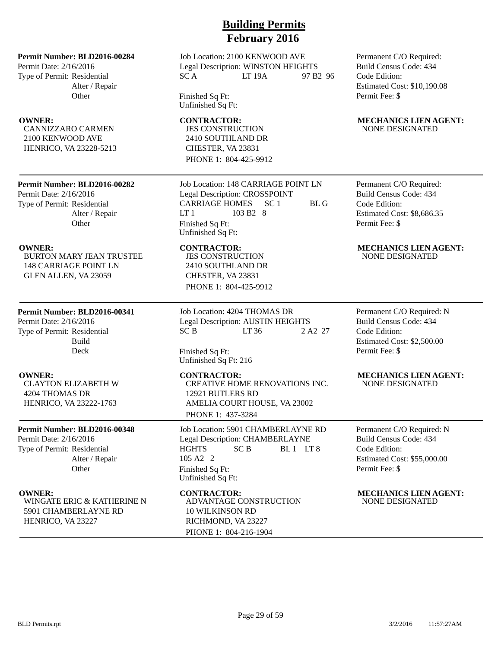Permit Date: 2/16/2016 Type of Permit: Residential Alter / Repair **Other** 

CANNIZZARO CARMEN 2100 KENWOOD AVE HENRICO, VA 23228-5213

### **Permit Number: BLD2016-00282**

Permit Date: 2/16/2016 Type of Permit: Residential Alter / Repair **Other** 

BURTON MARY JEAN TRUSTEE 148 CARRIAGE POINT LN GLEN ALLEN, VA 23059

## **Permit Number: BLD2016-00341**

Permit Date: 2/16/2016 Type of Permit: Residential Build Deck

CLAYTON ELIZABETH W 4204 THOMAS DR HENRICO, VA 23222-1763

### **Permit Number: BLD2016-00348**

Permit Date: 2/16/2016 Type of Permit: Residential Alter / Repair **Other** 

WINGATE ERIC & KATHERINE N 5901 CHAMBERLAYNE RD HENRICO, VA 23227

# **Building Permits February 2016**

Job Location: 2100 KENWOOD AVE Legal Description: WINSTON HEIGHTS SC A LT 19A 97 B2 96

Finished Sq Ft: Unfinished Sq Ft:

JES CONSTRUCTION 2410 SOUTHLAND DR CHESTER, VA 23831 PHONE 1: 804-425-9912

Job Location: 148 CARRIAGE POINT LN Legal Description: CROSSPOINT CARRIAGE HOMES SC 1 BL G LT 1 103 B2 8 Finished Sq Ft: Unfinished Sq Ft:

JES CONSTRUCTION 2410 SOUTHLAND DR CHESTER, VA 23831 PHONE 1: 804-425-9912

Job Location: 4204 THOMAS DR Legal Description: AUSTIN HEIGHTS SC B LT 36 2 A 2 27

Finished Sq Ft: Unfinished Sq Ft: 216

CREATIVE HOME RENOVATIONS INC. 12921 BUTLERS RD AMELIA COURT HOUSE, VA 23002 PHONE 1: 437-3284

Job Location: 5901 CHAMBERLAYNE RD Legal Description: CHAMBERLAYNE HGHTS SC B BL 1 LT 8 105 A2 2 Finished Sq Ft: Unfinished Sq Ft:

ADVANTAGE CONSTRUCTION 10 WILKINSON RD RICHMOND, VA 23227 PHONE 1: 804-216-1904

Permanent C/O Required: Build Census Code: 434 Code Edition: Estimated Cost: \$10,190.08 Permit Fee: \$

### **OWNER:** CONTRACTOR: MECHANICS LIEN AGENT: NONE DESIGNATED

Permanent C/O Required: Build Census Code: 434 Code Edition: Estimated Cost: \$8,686.35 Permit Fee: \$

### **OWNER: CONTRACTOR: MECHANICS LIEN AGENT:** NONE DESIGNATED

Permanent C/O Required: N Build Census Code: 434 Code Edition: Estimated Cost: \$2,500.00 Permit Fee: \$

### **OWNER:** CONTRACTOR: MECHANICS LIEN AGENT: NONE DESIGNATED

Permanent C/O Required: N Build Census Code: 434 Code Edition: Estimated Cost: \$55,000.00 Permit Fee: \$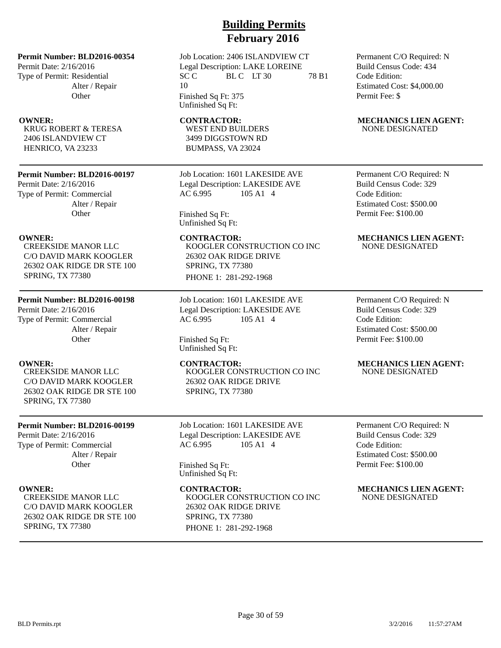Permit Date: 2/16/2016 Type of Permit: Residential Alter / Repair **Other** 

KRUG ROBERT & TERESA 2406 ISLANDVIEW CT HENRICO, VA 23233

### **Permit Number: BLD2016-00197**

Permit Date: 2/16/2016 Type of Permit: Commercial Alter / Repair **Other** 

CREEKSIDE MANOR LLC C/O DAVID MARK KOOGLER 26302 OAK RIDGE DR STE 100 SPRING, TX 77380

### **Permit Number: BLD2016-00198**

Permit Date: 2/16/2016 Type of Permit: Commercial Alter / Repair **Other** 

CREEKSIDE MANOR LLC C/O DAVID MARK KOOGLER 26302 OAK RIDGE DR STE 100 SPRING, TX 77380

### **Permit Number: BLD2016-00199**

Permit Date: 2/16/2016 Type of Permit: Commercial Alter / Repair **Other** 

CREEKSIDE MANOR LLC C/O DAVID MARK KOOGLER 26302 OAK RIDGE DR STE 100 SPRING, TX 77380

# **Building Permits February 2016**

Job Location: 2406 ISLANDVIEW CT Legal Description: LAKE LOREINE  $SCC$  BLC LT 30 78 B1 10 Finished Sq Ft: 375

Unfinished Sq Ft:

WEST END BUILDERS 3499 DIGGSTOWN RD BUMPASS, VA 23024

Job Location: 1601 LAKESIDE AVE Legal Description: LAKESIDE AVE AC 6.995 105 A1 4

Finished Sq Ft: Unfinished Sq Ft:

KOOGLER CONSTRUCTION CO INC 26302 OAK RIDGE DRIVE SPRING, TX 77380 PHONE 1: 281-292-1968

Job Location: 1601 LAKESIDE AVE Legal Description: LAKESIDE AVE AC 6.995 105 A1 4

Finished Sq Ft: Unfinished Sq Ft:

KOOGLER CONSTRUCTION CO INC 26302 OAK RIDGE DRIVE SPRING, TX 77380

Job Location: 1601 LAKESIDE AVE Legal Description: LAKESIDE AVE AC 6.995 105 A1 4

Finished Sq Ft: Unfinished Sq Ft:

KOOGLER CONSTRUCTION CO INC 26302 OAK RIDGE DRIVE SPRING, TX 77380 PHONE 1: 281-292-1968

Permanent C/O Required: N Build Census Code: 434 Code Edition: Estimated Cost: \$4,000.00 Permit Fee: \$

### **OWNER:** CONTRACTOR: MECHANICS LIEN AGENT: NONE DESIGNATED

Permanent C/O Required: N Build Census Code: 329 Code Edition: Estimated Cost: \$500.00 Permit Fee: \$100.00

### **OWNER:** CONTRACTOR: MECHANICS LIEN AGENT: NONE DESIGNATED

Permanent C/O Required: N Build Census Code: 329 Code Edition: Estimated Cost: \$500.00 Permit Fee: \$100.00

### **OWNER: CONTRACTOR: MECHANICS LIEN AGENT:** NONE DESIGNATED

Permanent C/O Required: N Build Census Code: 329 Code Edition: Estimated Cost: \$500.00 Permit Fee: \$100.00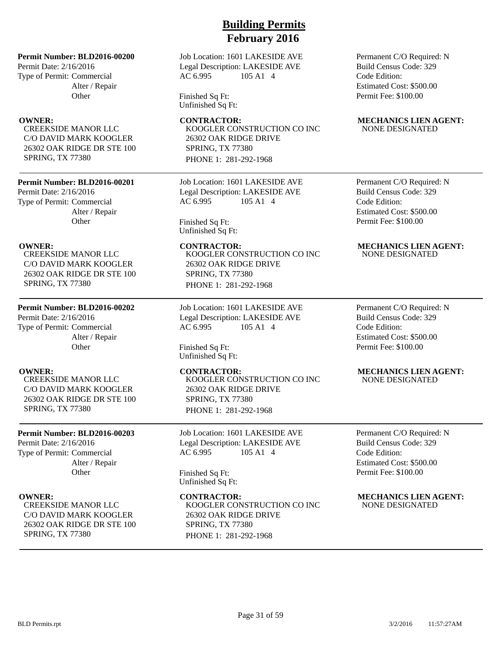Job Location: 1601 LAKESIDE AVE Legal Description: LAKESIDE AVE AC 6.995 105 A1 4

Finished Sq Ft: Unfinished Sq Ft:

KOOGLER CONSTRUCTION CO INC 26302 OAK RIDGE DRIVE SPRING, TX 77380 PHONE 1: 281-292-1968

Job Location: 1601 LAKESIDE AVE Legal Description: LAKESIDE AVE AC 6.995 105 A1 4

Finished Sq Ft: Unfinished Sq Ft:

KOOGLER CONSTRUCTION CO INC 26302 OAK RIDGE DRIVE SPRING, TX 77380 PHONE 1: 281-292-1968

Job Location: 1601 LAKESIDE AVE Legal Description: LAKESIDE AVE AC 6.995 105 A1 4

Finished Sq Ft: Unfinished Sq Ft:

KOOGLER CONSTRUCTION CO INC 26302 OAK RIDGE DRIVE SPRING, TX 77380 PHONE 1: 281-292-1968

Job Location: 1601 LAKESIDE AVE Legal Description: LAKESIDE AVE AC 6.995 105 A1 4

Finished Sq Ft: Unfinished Sq Ft:

KOOGLER CONSTRUCTION CO INC 26302 OAK RIDGE DRIVE SPRING, TX 77380 PHONE 1: 281-292-1968

Permanent C/O Required: N Build Census Code: 329 Code Edition: Estimated Cost: \$500.00 Permit Fee: \$100.00

### **OWNER:** CONTRACTOR: MECHANICS LIEN AGENT: NONE DESIGNATED

Permanent C/O Required: N Build Census Code: 329 Code Edition: Estimated Cost: \$500.00 Permit Fee: \$100.00

### **OWNER: CONTRACTOR: MECHANICS LIEN AGENT:** NONE DESIGNATED

Permanent C/O Required: N Build Census Code: 329 Code Edition: Estimated Cost: \$500.00 Permit Fee: \$100.00

### **OWNER: CONTRACTOR: MECHANICS LIEN AGENT:** NONE DESIGNATED

Permanent C/O Required: N Build Census Code: 329 Code Edition: Estimated Cost: \$500.00 Permit Fee: \$100.00

**OWNER:** CONTRACTOR: MECHANICS LIEN AGENT: NONE DESIGNATED

### Alter / Repair **Other**

SPRING, TX 77380

Permit Date: 2/16/2016 Type of Permit: Commercial

CREEKSIDE MANOR LLC C/O DAVID MARK KOOGLER 26302 OAK RIDGE DR STE 100 SPRING, TX 77380

**Permit Number: BLD2016-00200**

CREEKSIDE MANOR LLC C/O DAVID MARK KOOGLER 26302 OAK RIDGE DR STE 100

**Permit Number: BLD2016-00201**

Alter / Repair **Other** 

Permit Date: 2/16/2016 Type of Permit: Commercial

## **Permit Number: BLD2016-00202**

Permit Date: 2/16/2016 Type of Permit: Commercial Alter / Repair **Other** 

CREEKSIDE MANOR LLC C/O DAVID MARK KOOGLER 26302 OAK RIDGE DR STE 100 SPRING, TX 77380

### **Permit Number: BLD2016-00203**

Permit Date: 2/16/2016 Type of Permit: Commercial Alter / Repair **Other** 

CREEKSIDE MANOR LLC C/O DAVID MARK KOOGLER 26302 OAK RIDGE DR STE 100 SPRING, TX 77380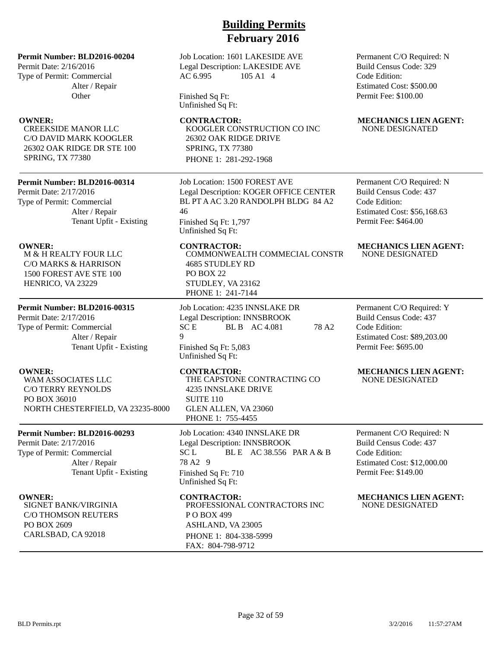Job Location: 1601 LAKESIDE AVE Legal Description: LAKESIDE AVE AC 6.995 105 A1 4

Finished Sq Ft: Unfinished Sq Ft:

**OWNER:** CONTRACTOR: MECHANICS LIEN AGENT: KOOGLER CONSTRUCTION CO INC 26302 OAK RIDGE DRIVE SPRING, TX 77380 PHONE 1: 281-292-1968

> Job Location: 1500 FOREST AVE Legal Description: KOGER OFFICE CENTER BL PT A AC 3.20 RANDOLPH BLDG 84 A2 46

Finished Sq Ft: 1,797 Unfinished Sq Ft:

COMMONWEALTH COMMECIAL CONSTR 4685 STUDLEY RD PO BOX 22 STUDLEY, VA 23162 PHONE 1: 241-7144

Job Location: 4235 INNSLAKE DR Legal Description: INNSBROOK SC E BL B AC 4.081 78 A2 9 Finished Sq Ft: 5,083 Unfinished Sq Ft:

THE CAPSTONE CONTRACTING CO 4235 INNSLAKE DRIVE SUITE 110 GLEN ALLEN, VA 23060 PHONE 1: 755-4455

Job Location: 4340 INNSLAKE DR Legal Description: INNSBROOK  $SC L$  BLE AC 38.556 PAR A & B 78 A2 9 Finished Sq Ft: 710 Unfinished Sq Ft:

PROFESSIONAL CONTRACTORS INC P O BOX 499 ASHLAND, VA 23005 PHONE 1: 804-338-5999 FAX: 804-798-9712

Permanent C/O Required: N Build Census Code: 329 Code Edition: Estimated Cost: \$500.00 Permit Fee: \$100.00

# NONE DESIGNATED

Permanent C/O Required: N Build Census Code: 437 Code Edition: Estimated Cost: \$56,168.63 Permit Fee: \$464.00

### **OWNER:** CONTRACTOR: MECHANICS LIEN AGENT: NONE DESIGNATED

Permanent C/O Required: Y Build Census Code: 437 Code Edition: Estimated Cost: \$89,203.00 Permit Fee: \$695.00

### **OWNER: CONTRACTOR: MECHANICS LIEN AGENT:** NONE DESIGNATED

Permanent C/O Required: N Build Census Code: 437 Code Edition: Estimated Cost: \$12,000.00 Permit Fee: \$149.00

**OWNER:** CONTRACTOR: MECHANICS LIEN AGENT: NONE DESIGNATED

## **Permit Number: BLD2016-00204**

Permit Date: 2/16/2016 Type of Permit: Commercial Alter / Repair **Other** 

CREEKSIDE MANOR LLC C/O DAVID MARK KOOGLER 26302 OAK RIDGE DR STE 100 SPRING, TX 77380

## **Permit Number: BLD2016-00314**

Permit Date: 2/17/2016 Type of Permit: Commercial Alter / Repair Tenant Upfit - Existing

M & H REALTY FOUR LLC C/O MARKS & HARRISON 1500 FOREST AVE STE 100 HENRICO, VA 23229

## **Permit Number: BLD2016-00315**

Permit Date: 2/17/2016 Type of Permit: Commercial Alter / Repair Tenant Upfit - Existing

WAM ASSOCIATES LLC C/O TERRY REYNOLDS PO BOX 36010 NORTH CHESTERFIELD, VA 23235-8000

### **Permit Number: BLD2016-00293**

Permit Date: 2/17/2016 Type of Permit: Commercial Alter / Repair Tenant Upfit - Existing

SIGNET BANK/VIRGINIA C/O THOMSON REUTERS PO BOX 2609 CARLSBAD, CA 92018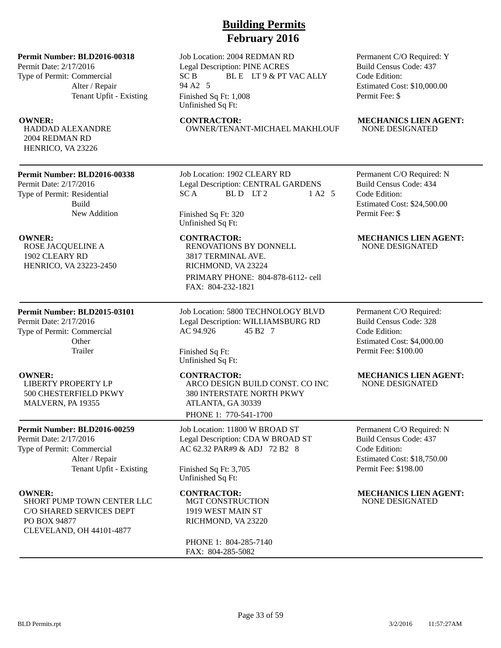Permit Date: 2/17/2016 Type of Permit: Commercial Alter / Repair Tenant Upfit - Existing

HADDAD ALEXANDRE 2004 REDMAN RD HENRICO, VA 23226

### **Permit Number: BLD2016-00338**

Permit Date: 2/17/2016 Type of Permit: Residential Build New Addition

ROSE JACQUELINE A 1902 CLEARY RD HENRICO, VA 23223-2450

### **Permit Number: BLD2015-03101**

Permit Date: 2/17/2016 Type of Permit: Commercial **Other** Trailer

LIBERTY PROPERTY LP 500 CHESTERFIELD PKWY MALVERN, PA 19355

### **Permit Number: BLD2016-00259**

Permit Date: 2/17/2016 Type of Permit: Commercial Alter / Repair Tenant Upfit - Existing

SHORT PUMP TOWN CENTER LLC C/O SHARED SERVICES DEPT PO BOX 94877 CLEVELAND, OH 44101-4877

# **Building Permits February 2016**

Job Location: 2004 REDMAN RD Legal Description: PINE ACRES SC B BLE LT 9 & PT VAC ALLY 94 A2 5 Finished Sq Ft: 1,008 Unfinished Sq Ft:

OWNER/TENANT-MICHAEL MAKHLOUF

Job Location: 1902 CLEARY RD Legal Description: CENTRAL GARDENS  $SC A$  BLD LT2 1 A2 5

Finished Sq Ft: 320 Unfinished Sq Ft:

RENOVATIONS BY DONNELL 3817 TERMINAL AVE. RICHMOND, VA 23224 PRIMARY PHONE: 804-878-6112- cell FAX: 804-232-1821

Job Location: 5800 TECHNOLOGY BLVD Legal Description: WILLIAMSBURG RD AC 94.926 45 B2 7

Finished Sq Ft: Unfinished Sq Ft:

ARCO DESIGN BUILD CONST. CO INC 380 INTERSTATE NORTH PKWY ATLANTA, GA 30339 PHONE 1: 770-541-1700

Job Location: 11800 W BROAD ST Legal Description: CDA W BROAD ST AC 62.32 PAR#9 & ADJ 72 B2 8

Finished Sq Ft: 3,705 Unfinished Sq Ft:

MGT CONSTRUCTION 1919 WEST MAIN ST RICHMOND, VA 23220

PHONE 1: 804-285-7140 FAX: 804-285-5082

Permanent C/O Required: Y Build Census Code: 437 Code Edition: Estimated Cost: \$10,000.00 Permit Fee: \$

# **OWNER:** CONTRACTOR: MECHANICS LIEN AGENT:<br>
HADDAD ALEXANDRE OWNER/TENANT-MICHAEL MAKHLOUF NONE DESIGNATED

Permanent C/O Required: N Build Census Code: 434 Code Edition: Estimated Cost: \$24,500.00 Permit Fee: \$

### **OWNER:** CONTRACTOR: MECHANICS LIEN AGENT: NONE DESIGNATED

Permanent C/O Required: Build Census Code: 328 Code Edition: Estimated Cost: \$4,000.00 Permit Fee: \$100.00

### **OWNER:** CONTRACTOR: MECHANICS LIEN AGENT: NONE DESIGNATED

Permanent C/O Required: N Build Census Code: 437 Code Edition: Estimated Cost: \$18,750.00 Permit Fee: \$198.00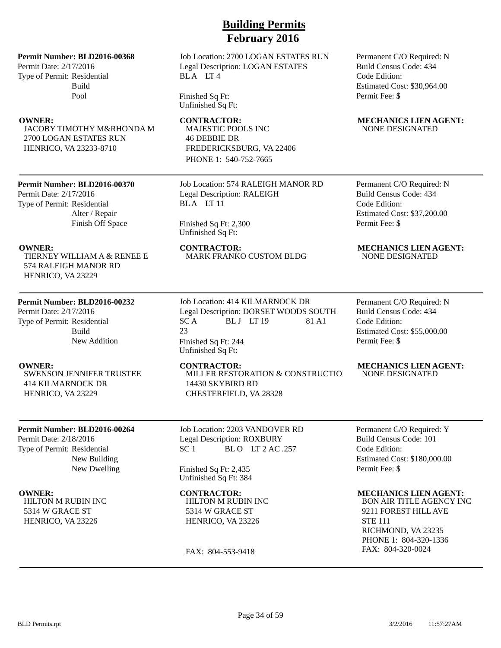Permit Date: 2/17/2016 Type of Permit: Residential Build Pool

JACOBY TIMOTHY M&RHONDA M 2700 LOGAN ESTATES RUN HENRICO, VA 23233-8710

### **Permit Number: BLD2016-00370**

TIERNEY WILLIAM A & RENEE E

Permit Date: 2/17/2016 Type of Permit: Residential Alter / Repair Finish Off Space

574 RALEIGH MANOR RD HENRICO, VA 23229

**Permit Number: BLD2016-00232**

Build

SWENSON JENNIFER TRUSTEE

**Permit Number: BLD2016-00264**

414 KILMARNOCK DR HENRICO, VA 23229

Permit Date: 2/18/2016 Type of Permit: Residential

HILTON M RUBIN INC 5314 W GRACE ST HENRICO, VA 23226

New Addition

New Building New Dwelling

Permit Date: 2/17/2016 Type of Permit: Residential

## Job Location: 574 RALEIGH MANOR RD Legal Description: RALEIGH BLA LT<sub>11</sub>

MAJESTIC POOLS INC

FREDERICKSBURG, VA 22406 PHONE 1: 540-752-7665

46 DEBBIE DR

### Finished Sq Ft: 2,300 Unfinished Sq Ft:

BLA LT4

Finished Sq Ft: Unfinished Sq Ft:

MARK FRANKO CUSTOM BLDG

**Building Permits February 2016**

Job Location: 2700 LOGAN ESTATES RUN Legal Description: LOGAN ESTATES

Job Location: 414 KILMARNOCK DR Legal Description: DORSET WOODS SOUTH<br>SC A BL J LT 19 81 A1 BL J LT 19 81 A1 23 Finished Sq Ft: 244 Unfinished Sq Ft:

MILLER RESTORATION & CONSTRUCTION

14430 SKYBIRD RD CHESTERFIELD, VA 28328

Job Location: 2203 VANDOVER RD Legal Description: ROXBURY  $SC1$  BLO LT 2 AC .257

Finished Sq Ft: 2,435 Unfinished Sq Ft: 384

HILTON M RUBIN INC 5314 W GRACE ST HENRICO, VA 23226

FAX: 804-553-9418

### Permanent C/O Required: N Build Census Code: 434 Code Edition: Estimated Cost: \$30,964.00 Permit Fee: \$

### **OWNER:** CONTRACTOR: MECHANICS LIEN AGENT: NONE DESIGNATED

Permanent C/O Required: N Build Census Code: 434 Code Edition: Estimated Cost: \$37,200.00 Permit Fee: \$

# **OWNER:** CONTRACTOR: MECHANICS LIEN AGENT: CONTRACTOR: MECHANICS LIEN AGENT: TIERNEY WILLIAM A & RENEE E MARK FRANKO CUSTOM BLDG NONE DESIGNATED

Permanent C/O Required: N Build Census Code: 434 Code Edition: Estimated Cost: \$55,000.00 Permit Fee: \$

### **OWNER:** CONTRACTOR: MECHANICS LIEN AGENT: NONE DESIGNATED

Permanent C/O Required: Y Build Census Code: 101 Code Edition: Estimated Cost: \$180,000.00 Permit Fee: \$

### **OWNER: CONTRACTOR: MECHANICS LIEN AGENT:**

BON AIR TITLE AGENCY INC 9211 FOREST HILL AVE STE 111 RICHMOND, VA 23235 PHONE 1: 804-320-1336 FAX: 804-320-0024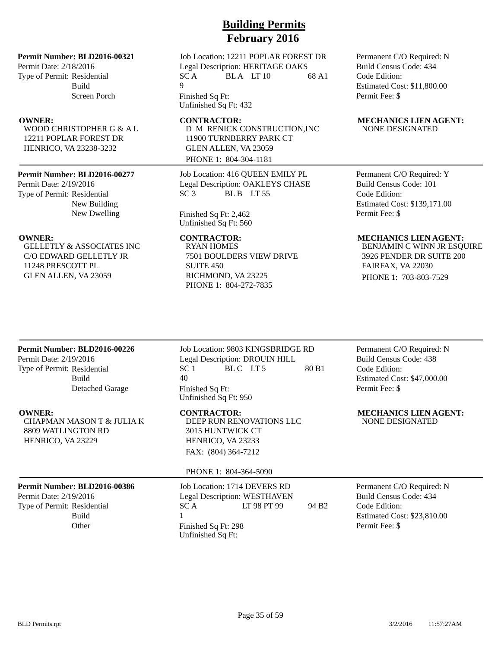Permit Date: 2/18/2016 Type of Permit: Residential Build Screen Porch

WOOD CHRISTOPHER G & A L 12211 POPLAR FOREST DR HENRICO, VA 23238-3232

### **Permit Number: BLD2016-00277**

Permit Date: 2/19/2016 Type of Permit: Residential New Building New Dwelling

GELLETLY & ASSOCIATES INC C/O EDWARD GELLETLY JR 11248 PRESCOTT PL GLEN ALLEN, VA 23059

# **Building Permits February 2016**

Job Location: 12211 POPLAR FOREST DR Legal Description: HERITAGE OAKS  $SC A$  BLA LT 10 68 A1  $\overline{Q}$ 

Finished Sq Ft: Unfinished Sq Ft: 432

D M RENICK CONSTRUCTION,INC 11900 TURNBERRY PARK CT GLEN ALLEN, VA 23059 PHONE 1: 804-304-1181

Job Location: 416 QUEEN EMILY PL Legal Description: OAKLEYS CHASE  $SC3$  BLB  $LT55$ 

Finished Sq Ft: 2,462 Unfinished Sq Ft: 560

RYAN HOMES 7501 BOULDERS VIEW DRIVE SUITE 450 RICHMOND, VA 23225 PHONE 1: 804-272-7835

Permanent C/O Required: N Build Census Code: 434 Code Edition: Estimated Cost: \$11,800.00 Permit Fee: \$

### **OWNER:** CONTRACTOR: MECHANICS LIEN AGENT: NONE DESIGNATED

Permanent C/O Required: Y Build Census Code: 101 Code Edition: Estimated Cost: \$139,171.00 Permit Fee: \$

### **OWNER:** CONTRACTOR: MECHANICS LIEN AGENT:

BENJAMIN C WINN JR ESQUIRE 3926 PENDER DR SUITE 200 FAIRFAX, VA 22030 PHONE 1: 703-803-7529

### **Permit Number: BLD2016-00226**

Permit Date: 2/19/2016 Type of Permit: Residential Build Detached Garage

CHAPMAN MASON T & JULIA K 8809 WATLINGTON RD HENRICO, VA 23229

# **Permit Number: BLD2016-00386**

Permit Date: 2/19/2016 Type of Permit: Residential Build

Job Location: 9803 KINGSBRIDGE RD Legal Description: DROUIN HILL SC 1 BLC LT 5 80 B1 40 Finished Sq Ft: Unfinished Sq Ft: 950

DEEP RUN RENOVATIONS LLC 3015 HUNTWICK CT HENRICO, VA 23233 FAX: (804) 364-7212

### PHONE 1: 804-364-5090

Job Location: 1714 DEVERS RD Legal Description: WESTHAVEN  $SC A$  LT 98 PT 99 94 B2 1 Other Finished Sq Ft: 298 Unfinished Sq Ft:

Permanent C/O Required: N Build Census Code: 438 Code Edition: Estimated Cost: \$47,000.00 Permit Fee: \$

**OWNER:** CONTRACTOR: MECHANICS LIEN AGENT: NONE DESIGNATED

> Permanent C/O Required: N Build Census Code: 434 Code Edition: Estimated Cost: \$23,810.00 Permit Fee: \$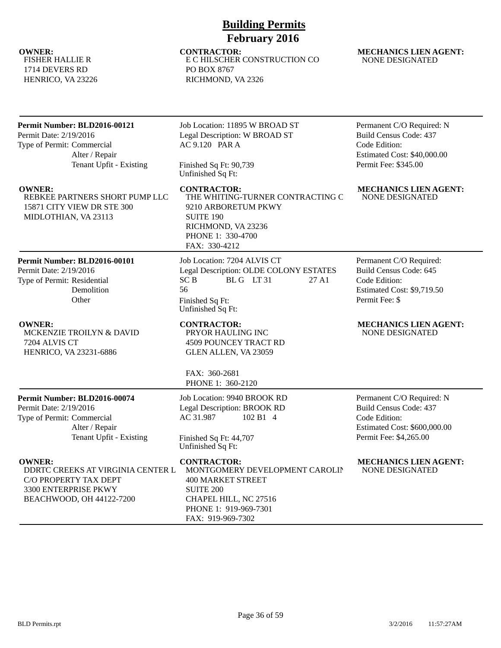FISHER HALLIE R 1714 DEVERS RD HENRICO, VA 23226

# **Building Permits February 2016**

**OWNER: CONTRACTOR: MECHANICS LIEN AGENT:** E C HILSCHER CONSTRUCTION CO PO BOX 8767 RICHMOND, VA 2326

# NONE DESIGNATED

| Permit Number: BLD2016-00121<br>Permit Date: 2/19/2016<br>Type of Permit: Commercial<br>Alter / Repair<br>Tenant Upfit - Existing | Job Location: 11895 W BROAD ST<br>Legal Description: W BROAD ST<br>AC 9.120 PAR A<br>Finished Sq Ft: 90,739<br>Unfinished Sq Ft:                              | Permanent C/O Required: N<br><b>Build Census Code: 437</b><br>Code Edition:<br>Estimated Cost: \$40,000.00<br>Permit Fee: \$345.00    |
|-----------------------------------------------------------------------------------------------------------------------------------|---------------------------------------------------------------------------------------------------------------------------------------------------------------|---------------------------------------------------------------------------------------------------------------------------------------|
| <b>OWNER:</b><br>REBKEE PARTNERS SHORT PUMP LLC<br>15871 CITY VIEW DR STE 300<br>MIDLOTHIAN, VA 23113                             | <b>CONTRACTOR:</b><br>THE WHITING-TURNER CONTRACTING C<br>9210 ARBORETUM PKWY<br><b>SUITE 190</b><br>RICHMOND, VA 23236<br>PHONE 1: 330-4700<br>FAX: 330-4212 | <b>MECHANICS LIEN AGENT:</b><br><b>NONE DESIGNATED</b>                                                                                |
| Permit Number: BLD2016-00101<br>Permit Date: 2/19/2016<br>Type of Permit: Residential<br>Demolition<br>Other                      | Job Location: 7204 ALVIS CT<br>Legal Description: OLDE COLONY ESTATES<br>BLG LT31<br><b>SCB</b><br>27 A1<br>56<br>Finished Sq Ft:<br>Unfinished Sq Ft:        | Permanent C/O Required:<br>Build Census Code: 645<br>Code Edition:<br>Estimated Cost: \$9,719.50<br>Permit Fee: \$                    |
| <b>OWNER:</b><br>MCKENZIE TROILYN & DAVID<br>7204 ALVIS CT<br>HENRICO, VA 23231-6886                                              | <b>CONTRACTOR:</b><br>PRYOR HAULING INC<br><b>4509 POUNCEY TRACT RD</b><br>GLEN ALLEN, VA 23059<br>FAX: 360-2681<br>PHONE 1: 360-2120                         | <b>MECHANICS LIEN AGENT:</b><br><b>NONE DESIGNATED</b>                                                                                |
| Permit Number: BLD2016-00074<br>Permit Date: 2/19/2016<br>Type of Permit: Commercial<br>Alter / Repair<br>Tenant Upfit - Existing | Job Location: 9940 BROOK RD<br>Legal Description: BROOK RD<br>AC 31.987<br>102 B1 4<br>Finished Sq Ft: 44,707<br>Unfinished Sq Ft:                            | Permanent C/O Required: N<br><b>Build Census Code: 437</b><br>Code Edition:<br>Estimated Cost: \$600,000.00<br>Permit Fee: \$4,265.00 |
| <b>OWNER:</b><br>DDRTC CREEKS AT VIRGINIA CENTER L<br>C/O PROPERTY TAX DEPT<br>3300 ENTERPRISE PKWY<br>BEACHWOOD, OH 44122-7200   | <b>CONTRACTOR:</b><br>MONTGOMERY DEVELOPMENT CAROLIN<br><b>400 MARKET STREET</b><br><b>SUITE 200</b><br>CHAPEL HILL, NC 27516<br>PHONE 1: 919-969-7301        | <b>MECHANICS LIEN AGENT:</b><br><b>NONE DESIGNATED</b>                                                                                |

FAX: 919-969-7302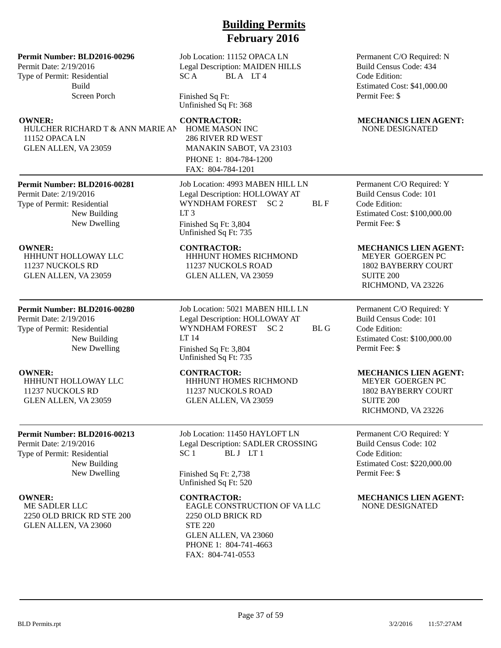### **Permit Number: BLD2016-00296**

Permit Date: 2/19/2016 Type of Permit: Residential Build Screen Porch

HULCHER RICHARD T & ANN MARIE AN 11152 OPACA LN GLEN ALLEN, VA 23059

### **Permit Number: BLD2016-00281**

Permit Date: 2/19/2016 Type of Permit: Residential New Building New Dwelling

HHHUNT HOLLOWAY LLC 11237 NUCKOLS RD GLEN ALLEN, VA 23059

## **Permit Number: BLD2016-00280**

Permit Date: 2/19/2016 Type of Permit: Residential New Building New Dwelling

HHHUNT HOLLOWAY LLC 11237 NUCKOLS RD GLEN ALLEN, VA 23059

### **Permit Number: BLD2016-00213**

Permit Date: 2/19/2016 Type of Permit: Residential New Building New Dwelling

ME SADLER LLC 2250 OLD BRICK RD STE 200 GLEN ALLEN, VA 23060

Job Location: 11152 OPACA LN Legal Description: MAIDEN HILLS SCA BLA LT4

Finished Sq Ft: Unfinished Sq Ft: 368

HOME MASON INC 286 RIVER RD WEST MANAKIN SABOT, VA 23103 PHONE 1: 804-784-1200 FAX: 804-784-1201

Job Location: 4993 MABEN HILL LN Legal Description: HOLLOWAY AT WYNDHAM FOREST SC 2 BL F  $LT<sub>3</sub>$ Finished Sq Ft: 3,804 Unfinished Sq Ft: 735

HHHUNT HOMES RICHMOND 11237 NUCKOLS ROAD GLEN ALLEN, VA 23059

Job Location: 5021 MABEN HILL LN Legal Description: HOLLOWAY AT WYNDHAM FOREST SC 2 BL G LT 14 Finished Sq Ft: 3,804 Unfinished Sq Ft: 735

HHHUNT HOMES RICHMOND 11237 NUCKOLS ROAD GLEN ALLEN, VA 23059

Job Location: 11450 HAYLOFT LN Legal Description: SADLER CROSSING SC 1 BLJ LT 1

Finished Sq Ft: 2,738 Unfinished Sq Ft: 520

EAGLE CONSTRUCTION OF VA LLC 2250 OLD BRICK RD STE 220 GLEN ALLEN, VA 23060 PHONE 1: 804-741-4663 FAX: 804-741-0553

Permanent C/O Required: N Build Census Code: 434 Code Edition: Estimated Cost: \$41,000.00 Permit Fee: \$

### **OWNER:** CONTRACTOR: MECHANICS LIEN AGENT: NONE DESIGNATED

Permanent C/O Required: Y Build Census Code: 101 Code Edition: Estimated Cost: \$100,000.00 Permit Fee: \$

### **OWNER: CONTRACTOR: MECHANICS LIEN AGENT:**

MEYER GOERGEN PC 1802 BAYBERRY COURT SUITE 200 RICHMOND, VA 23226

Permanent C/O Required: Y Build Census Code: 101 Code Edition: Estimated Cost: \$100,000.00 Permit Fee: \$

### **OWNER: CONTRACTOR: MECHANICS LIEN AGENT:**

MEYER GOERGEN PC 1802 BAYBERRY COURT SUITE 200 RICHMOND, VA 23226

Permanent C/O Required: Y Build Census Code: 102 Code Edition: Estimated Cost: \$220,000.00 Permit Fee: \$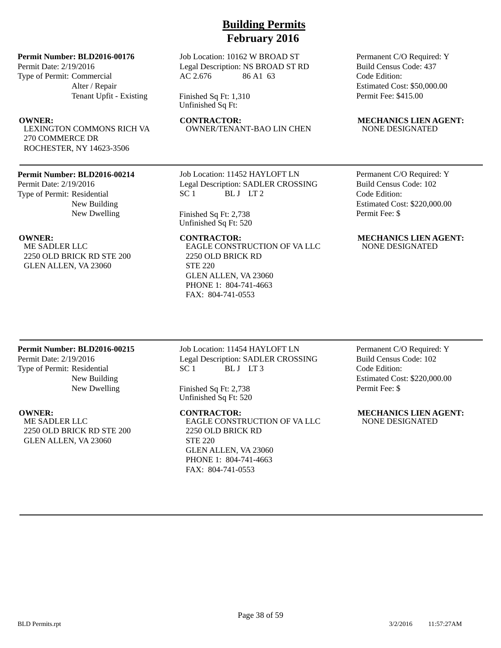**Permit Number: BLD2016-00176**

Permit Date: 2/19/2016 Type of Permit: Commercial Alter / Repair Tenant Upfit - Existing

LEXINGTON COMMONS RICH VA 270 COMMERCE DR ROCHESTER, NY 14623-3506

### **Permit Number: BLD2016-00214**

Permit Date: 2/19/2016 Type of Permit: Residential New Building New Dwelling

ME SADLER LLC 2250 OLD BRICK RD STE 200 GLEN ALLEN, VA 23060

Job Location: 10162 W BROAD ST Legal Description: NS BROAD ST RD AC 2.676 86 A1 63

Finished Sq Ft: 1,310 Unfinished Sq Ft:

OWNER/TENANT-BAO LIN CHEN

Job Location: 11452 HAYLOFT LN Legal Description: SADLER CROSSING SC 1 BLJ LT 2

Finished Sq Ft: 2,738 Unfinished Sq Ft: 520

EAGLE CONSTRUCTION OF VA LLC 2250 OLD BRICK RD STE 220 GLEN ALLEN, VA 23060 PHONE 1: 804-741-4663 FAX: 804-741-0553

Permanent C/O Required: Y Build Census Code: 437 Code Edition: Estimated Cost: \$50,000.00 Permit Fee: \$415.00

# **OWNER:** CONTRACTOR: MECHANICS LIEN AGENT:<br>
LEXINGTON COMMONS RICH VA OWNER/TENANT-BAO LIN CHEN NONE DESIGNATED

Permanent C/O Required: Y Build Census Code: 102 Code Edition: Estimated Cost: \$220,000.00 Permit Fee: \$

### **OWNER:** CONTRACTOR: MECHANICS LIEN AGENT: NONE DESIGNATED

### **Permit Number: BLD2016-00215**

Permit Date: 2/19/2016 Type of Permit: Residential New Building New Dwelling

ME SADLER LLC 2250 OLD BRICK RD STE 200 GLEN ALLEN, VA 23060

Job Location: 11454 HAYLOFT LN Legal Description: SADLER CROSSING SC 1 BLJ LT 3

Finished Sq Ft: 2,738 Unfinished Sq Ft: 520

EAGLE CONSTRUCTION OF VA LLC 2250 OLD BRICK RD STE 220 GLEN ALLEN, VA 23060 PHONE 1: 804-741-4663 FAX: 804-741-0553

Permanent C/O Required: Y Build Census Code: 102 Code Edition: Estimated Cost: \$220,000.00 Permit Fee: \$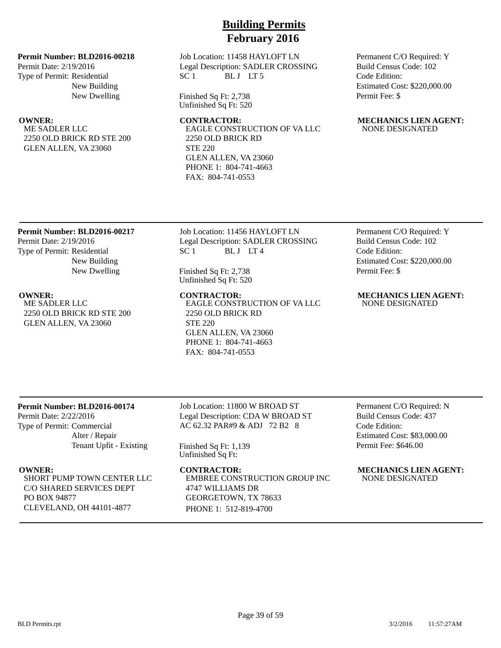Job Location: 11458 HAYLOFT LN Legal Description: SADLER CROSSING SC 1 BLJ LT5

Finished Sq Ft: 2,738 Unfinished Sq Ft: 520

EAGLE CONSTRUCTION OF VA LLC 2250 OLD BRICK RD STE 220 GLEN ALLEN, VA 23060 PHONE 1: 804-741-4663 FAX: 804-741-0553

Permanent C/O Required: Y Build Census Code: 102 Code Edition: Estimated Cost: \$220,000.00 Permit Fee: \$

### **OWNER:** CONTRACTOR: MECHANICS LIEN AGENT: NONE DESIGNATED

## **Permit Number: BLD2016-00217**

**Permit Number: BLD2016-00218**

2250 OLD BRICK RD STE 200 GLEN ALLEN, VA 23060

New Building New Dwelling

Permit Date: 2/19/2016 Type of Permit: Residential

ME SADLER LLC

Permit Date: 2/19/2016 Type of Permit: Residential New Building New Dwelling

ME SADLER LLC 2250 OLD BRICK RD STE 200 GLEN ALLEN, VA 23060

Job Location: 11456 HAYLOFT LN Legal Description: SADLER CROSSING SC 1 BLJ LT4

Finished Sq Ft: 2,738 Unfinished Sq Ft: 520

EAGLE CONSTRUCTION OF VA LLC 2250 OLD BRICK RD STE 220 GLEN ALLEN, VA 23060 PHONE 1: 804-741-4663 FAX: 804-741-0553

Permanent C/O Required: Y Build Census Code: 102 Code Edition: Estimated Cost: \$220,000.00 Permit Fee: \$

### **OWNER: CONTRACTOR: MECHANICS LIEN AGENT:** NONE DESIGNATED

## **Permit Number: BLD2016-00174**

Permit Date: 2/22/2016 Type of Permit: Commercial Alter / Repair Tenant Upfit - Existing

SHORT PUMP TOWN CENTER LLC C/O SHARED SERVICES DEPT PO BOX 94877 CLEVELAND, OH 44101-4877

Job Location: 11800 W BROAD ST Legal Description: CDA W BROAD ST AC 62.32 PAR#9 & ADJ 72 B2 8

Finished Sq Ft: 1,139 Unfinished Sq Ft:

EMBREE CONSTRUCTION GROUP INC 4747 WILLIAMS DR GEORGETOWN, TX 78633 PHONE 1: 512-819-4700

Permanent C/O Required: N Build Census Code: 437 Code Edition: Estimated Cost: \$83,000.00 Permit Fee: \$646.00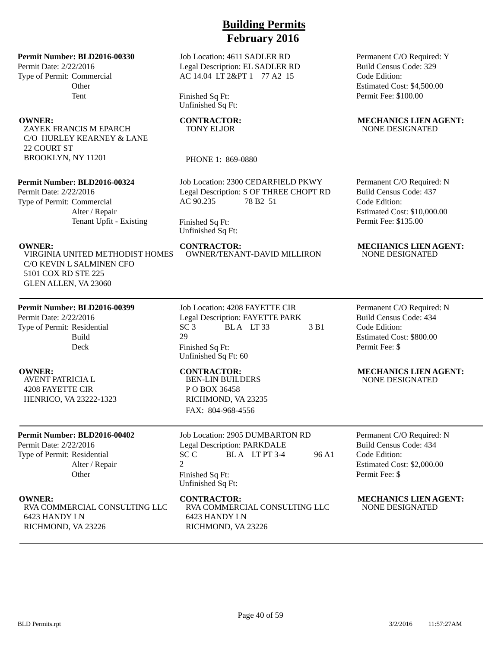Job Location: 4611 SADLER RD Legal Description: EL SADLER RD AC 14.04 LT 2&PT 1 77 A2 15

Finished Sq Ft: Unfinished Sq Ft:

# TONY ELJOR

PHONE 1: 869-0880

Job Location: 2300 CEDARFIELD PKWY Legal Description: S OF THREE CHOPT RD AC 90.235 78 B2 51

Finished Sq Ft: Unfinished Sq Ft:

VIRGINIA UNITED METHODIST HOMES C/O KEVIN L SALMINEN CFO 5101 COX RD STE 225 GLEN ALLEN, VA 23060

Alter / Repair

Tenant Upfit - Existing

### **Permit Number: BLD2016-00399**

**Permit Number: BLD2016-00330**

**Other** Tent

ZAYEK FRANCIS M EPARCH C/O HURLEY KEARNEY & LANE

**Permit Number: BLD2016-00324**

BROOKLYN, NY 11201

Permit Date: 2/22/2016 Type of Permit: Commercial

Permit Date: 2/22/2016 Type of Permit: Commercial

22 COURT ST

Permit Date: 2/22/2016 Type of Permit: Residential Build Deck

AVENT PATRICIA L 4208 FAYETTE CIR HENRICO, VA 23222-1323

### **Permit Number: BLD2016-00402**

Permit Date: 2/22/2016 Type of Permit: Residential Alter / Repair **Other** 

RVA COMMERCIAL CONSULTING LLC 6423 HANDY LN RICHMOND, VA 23226

Job Location: 4208 FAYETTE CIR Legal Description: FAYETTE PARK  $SC3$  BLA LT 33 3 B1 29 Finished Sq Ft: Unfinished Sq Ft: 60

BEN-LIN BUILDERS P O BOX 36458 RICHMOND, VA 23235 FAX: 804-968-4556

Job Location: 2905 DUMBARTON RD Legal Description: PARKDALE  $SC C$  BLA LT PT 3-4 96 A1  $\mathcal{D}_{\mathcal{L}}$ Finished Sq Ft: Unfinished Sq Ft:

RVA COMMERCIAL CONSULTING LLC 6423 HANDY LN RICHMOND, VA 23226

Permanent C/O Required: Y Build Census Code: 329 Code Edition: Estimated Cost: \$4,500.00 Permit Fee: \$100.00

### **OWNER:** CONTRACTOR: MECHANICS LIEN AGENT: NONE DESIGNATED

Permanent C/O Required: N Build Census Code: 437 Code Edition: Estimated Cost: \$10,000.00 Permit Fee: \$135.00

### **OWNER:** CONTRACTOR: MECHANICS LIEN AGENT: OWNER/TENANT-DAVID MILLIRON NONE DESIGNATED

Permanent C/O Required: N Build Census Code: 434 Code Edition: Estimated Cost: \$800.00 Permit Fee: \$

### **OWNER: CONTRACTOR: MECHANICS LIEN AGENT:** NONE DESIGNATED

Permanent C/O Required: N Build Census Code: 434 Code Edition: Estimated Cost: \$2,000.00 Permit Fee: \$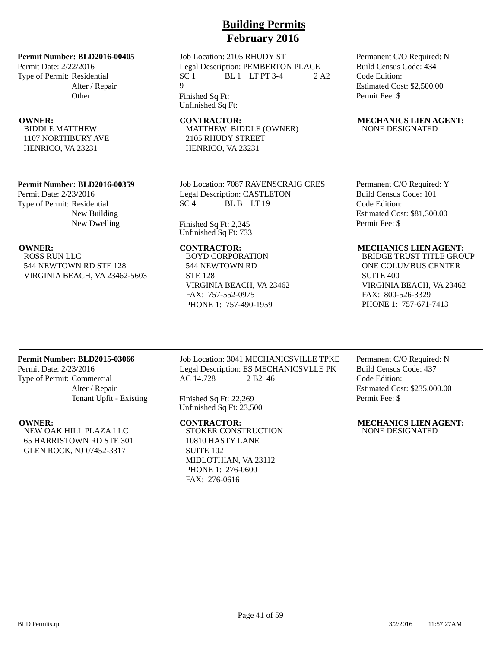**Permit Number: BLD2016-00405** Permit Date: 2/22/2016 Type of Permit: Residential Alter / Repair **Other** 

BIDDLE MATTHEW 1107 NORTHBURY AVE HENRICO, VA 23231

### **Permit Number: BLD2016-00359**

Permit Date: 2/23/2016 Type of Permit: Residential New Building New Dwelling

ROSS RUN LLC 544 NEWTOWN RD STE 128 VIRGINIA BEACH, VA 23462-5603 Job Location: 2105 RHUDY ST Legal Description: PEMBERTON PLACE  $SC 1$  BL 1 LT PT 3-4 2 A2  $\overline{Q}$ 

**Building Permits February 2016**

Finished Sq Ft: Unfinished Sq Ft:

MATTHEW BIDDLE (OWNER) 2105 RHUDY STREET HENRICO, VA 23231

Job Location: 7087 RAVENSCRAIG CRES Legal Description: CASTLETON  $SC<sub>4</sub>$  BLB LT 19

Finished Sq Ft: 2,345 Unfinished Sq Ft: 733

BOYD CORPORATION 544 NEWTOWN RD STE 128 VIRGINIA BEACH, VA 23462 FAX: 757-552-0975 PHONE 1: 757-490-1959

### Permanent C/O Required: N Build Census Code: 434 Code Edition: Estimated Cost: \$2,500.00 Permit Fee: \$

### **OWNER:** CONTRACTOR: MECHANICS LIEN AGENT: NONE DESIGNATED

Permanent C/O Required: Y Build Census Code: 101 Code Edition: Estimated Cost: \$81,300.00 Permit Fee: \$

### **OWNER: CONTRACTOR: MECHANICS LIEN AGENT:**

BRIDGE TRUST TITLE GROUP ONE COLUMBUS CENTER SUITE 400 VIRGINIA BEACH, VA 23462 FAX: 800-526-3329 PHONE 1: 757-671-7413

### **Permit Number: BLD2015-03066**

Permit Date: 2/23/2016 Type of Permit: Commercial Alter / Repair Tenant Upfit - Existing

NEW OAK HILL PLAZA LLC 65 HARRISTOWN RD STE 301 GLEN ROCK, NJ 07452-3317

Job Location: 3041 MECHANICSVILLE TPKE Legal Description: ES MECHANICSVLLE PK AC 14.728 2 B2 46

Finished Sq Ft: 22,269 Unfinished Sq Ft: 23,500

STOKER CONSTRUCTION 10810 HASTY LANE SUITE 102 MIDLOTHIAN, VA 23112 PHONE 1: 276-0600 FAX: 276-0616

Permanent C/O Required: N Build Census Code: 437 Code Edition: Estimated Cost: \$235,000.00 Permit Fee: \$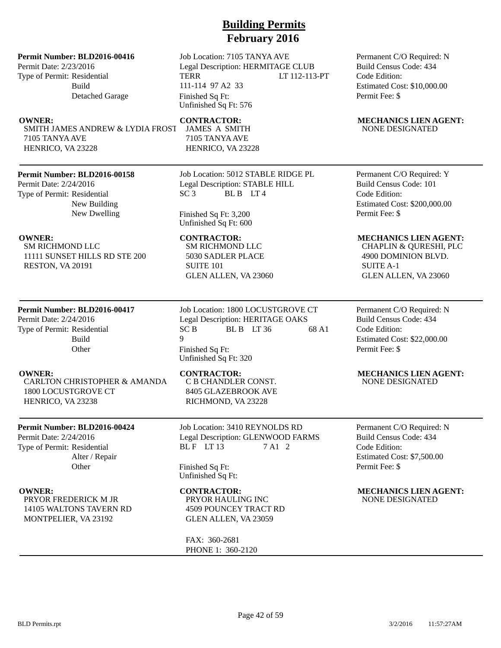### **Permit Number: BLD2016-00416**

Permit Date: 2/23/2016 Type of Permit: Residential Build Detached Garage

SMITH JAMES ANDREW & LYDIA FROST 7105 TANYA AVE HENRICO, VA 23228

## **Permit Number: BLD2016-00158**

Permit Date: 2/24/2016 Type of Permit: Residential New Building New Dwelling

SM RICHMOND LLC 11111 SUNSET HILLS RD STE 200 RESTON, VA 20191

## **Permit Number: BLD2016-00417**

Permit Date: 2/24/2016 Type of Permit: Residential Build **Other** 

CARLTON CHRISTOPHER & AMANDA 1800 LOCUSTGROVE CT HENRICO, VA 23238

## **Permit Number: BLD2016-00424**

Permit Date: 2/24/2016 Type of Permit: Residential Alter / Repair **Other** 

PRYOR FREDERICK M JR 14105 WALTONS TAVERN RD MONTPELIER, VA 23192

Job Location: 7105 TANYA AVE Legal Description: HERMITAGE CLUB TERR LT 112-113-PT 111-114 97 A2 33 Finished Sq Ft: Unfinished Sq Ft: 576

JAMES A SMITH 7105 TANYA AVE HENRICO, VA 23228

Job Location: 5012 STABLE RIDGE PL Legal Description: STABLE HILL  $SC3$  BLB  $LT4$ 

Finished Sq Ft: 3,200 Unfinished Sq Ft: 600

SM RICHMOND LLC 5030 SADLER PLACE SUITE 101 GLEN ALLEN, VA 23060

Job Location: 1800 LOCUSTGROVE CT Legal Description: HERITAGE OAKS  $SC B$  BLB LT 36 68 A1 9 Finished Sq Ft: Unfinished Sq Ft: 320

C B CHANDLER CONST. 8405 GLAZEBROOK AVE RICHMOND, VA 23228

Job Location: 3410 REYNOLDS RD Legal Description: GLENWOOD FARMS BLF LT  $13$  7 A1 2

Finished Sq Ft: Unfinished Sq Ft:

PRYOR HAULING INC 4509 POUNCEY TRACT RD GLEN ALLEN, VA 23059

FAX: 360-2681 PHONE 1: 360-2120 Permanent C/O Required: N Build Census Code: 434 Code Edition: Estimated Cost: \$10,000.00 Permit Fee: \$

### **OWNER:** CONTRACTOR: MECHANICS LIEN AGENT: NONE DESIGNATED

Permanent C/O Required: Y Build Census Code: 101 Code Edition: Estimated Cost: \$200,000.00 Permit Fee: \$

### **OWNER:** CONTRACTOR: MECHANICS LIEN AGENT:

CHAPLIN & QURESHI, PLC 4900 DOMINION BLVD. SUITE A-1 GLEN ALLEN, VA 23060

Permanent C/O Required: N Build Census Code: 434 Code Edition: Estimated Cost: \$22,000.00 Permit Fee: \$

# **OWNER: CONTRACTOR: MECHANICS LIEN AGENT:**

NONE DESIGNATED

Permanent C/O Required: N Build Census Code: 434 Code Edition: Estimated Cost: \$7,500.00 Permit Fee: \$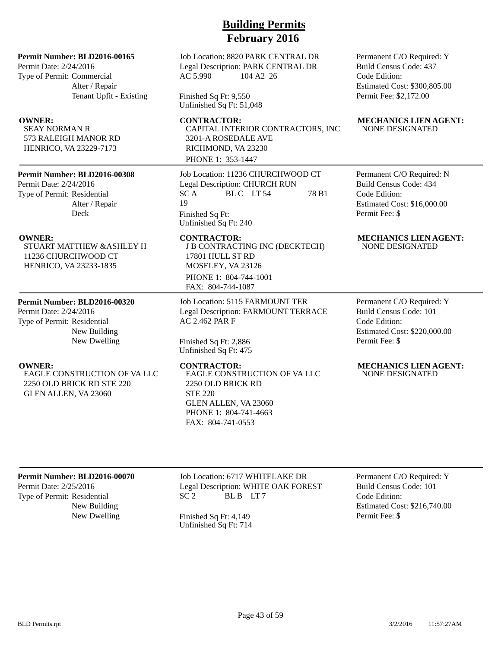### **Permit Number: BLD2016-00165**

Permit Date: 2/24/2016 Type of Permit: Commercial Alter / Repair Tenant Upfit - Existing

SEAY NORMAN R 573 RALEIGH MANOR RD HENRICO, VA 23229-7173

### **Permit Number: BLD2016-00308**

Permit Date: 2/24/2016 Type of Permit: Residential Alter / Repair Deck

STUART MATTHEW &ASHLEY H 11236 CHURCHWOOD CT HENRICO, VA 23233-1835

### **Permit Number: BLD2016-00320**

Permit Date: 2/24/2016 Type of Permit: Residential New Building New Dwelling

EAGLE CONSTRUCTION OF VA LLC 2250 OLD BRICK RD STE 220 GLEN ALLEN, VA 23060

## Job Location: 8820 PARK CENTRAL DR Legal Description: PARK CENTRAL DR AC 5.990 104 A2 26

Finished Sq Ft: 9,550 Unfinished Sq Ft: 51,048

CAPITAL INTERIOR CONTRACTORS, INC 3201-A ROSEDALE AVE RICHMOND, VA 23230 PHONE 1: 353-1447

Job Location: 11236 CHURCHWOOD CT Legal Description: CHURCH RUN SCA BLC LT 54 78 B1 19 Finished Sq Ft: Unfinished Sq Ft: 240

J B CONTRACTING INC (DECKTECH) 17801 HULL ST RD MOSELEY, VA 23126 PHONE 1: 804-744-1001 FAX: 804-744-1087

Job Location: 5115 FARMOUNT TER Legal Description: FARMOUNT TERRACE AC 2.462 PAR F

Finished Sq Ft: 2,886 Unfinished Sq Ft: 475

EAGLE CONSTRUCTION OF VA LLC 2250 OLD BRICK RD STE 220 GLEN ALLEN, VA 23060 PHONE 1: 804-741-4663 FAX: 804-741-0553

Permanent C/O Required: Y Build Census Code: 437 Code Edition: Estimated Cost: \$300,805.00 Permit Fee: \$2,172.00

### **OWNER:** CONTRACTOR: MECHANICS LIEN AGENT: NONE DESIGNATED

Permanent C/O Required: N Build Census Code: 434 Code Edition: Estimated Cost: \$16,000.00 Permit Fee: \$

### **OWNER:** CONTRACTOR: MECHANICS LIEN AGENT: NONE DESIGNATED

Permanent C/O Required: Y Build Census Code: 101 Code Edition: Estimated Cost: \$220,000.00 Permit Fee: \$

### **OWNER: CONTRACTOR: MECHANICS LIEN AGENT:** NONE DESIGNATED

### **Permit Number: BLD2016-00070**

Permit Date: 2/25/2016 Type of Permit: Residential New Building Job Location: 6717 WHITELAKE DR Legal Description: WHITE OAK FOREST SC 2 BL B LT 7

New Dwelling Finished Sq Ft: 4,149 Unfinished Sq Ft: 714

Permanent C/O Required: Y Build Census Code: 101 Code Edition: Estimated Cost: \$216,740.00 Permit Fee: \$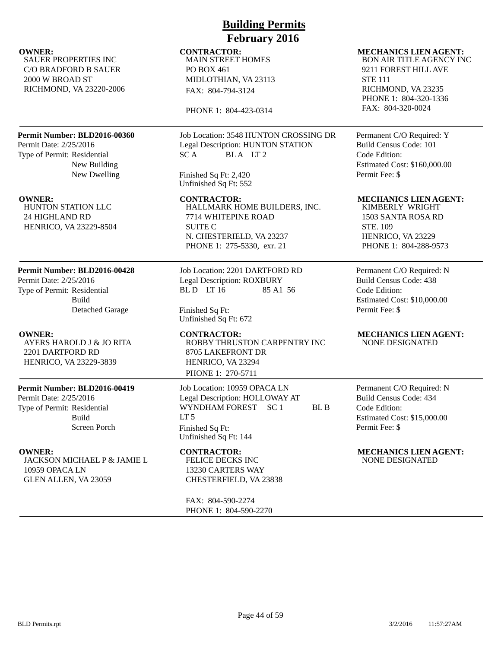SAUER PROPERTIES INC C/O BRADFORD B SAUER 2000 W BROAD ST RICHMOND, VA 23220-2006

### **Permit Number: BLD2016-00360**

Permit Date: 2/25/2016 Type of Permit: Residential New Building New Dwelling

HUNTON STATION LLC 24 HIGHLAND RD HENRICO, VA 23229-8504

### **Permit Number: BLD2016-00428**

Permit Date: 2/25/2016 Type of Permit: Residential Build Detached Garage

# AYERS HAROLD J & JO RITA 2201 DARTFORD RD

HENRICO, VA 23229-3839

### **Permit Number: BLD2016-00419**

Permit Date: 2/25/2016 Type of Permit: Residential Build Screen Porch

JACKSON MICHAEL P & JAMIE L 10959 OPACA LN GLEN ALLEN, VA 23059

# **Building Permits February 2016**

MAIN STREET HOMES PO BOX 461 MIDLOTHIAN, VA 23113 FAX: 804-794-3124

PHONE 1: 804-423-0314

Job Location: 3548 HUNTON CROSSING DR Legal Description: HUNTON STATION SCA BLA LT2

Finished Sq Ft: 2,420 Unfinished Sq Ft: 552

**OWNER: CONTRACTOR: MECHANICS LIEN AGENT:** HALLMARK HOME BUILDERS, INC. 7714 WHITEPINE ROAD SUITE C N. CHESTERIELD, VA 23237 PHONE 1: 275-5330, exr. 21

> Job Location: 2201 DARTFORD RD Legal Description: ROXBURY BL D LT 16 85 A1 56

Finished Sq Ft: Unfinished Sq Ft: 672

**OWNER: CONTRACTOR: MECHANICS LIEN AGENT:** ROBBY THRUSTON CARPENTRY INC 8705 LAKEFRONT DR HENRICO, VA 23294 PHONE 1: 270-5711

> Job Location: 10959 OPACA LN Legal Description: HOLLOWAY AT WYNDHAM FOREST SC 1 BL B  $LT<sub>5</sub>$ Finished Sq Ft: Unfinished Sq Ft: 144

FELICE DECKS INC 13230 CARTERS WAY CHESTERFIELD, VA 23838

FAX: 804-590-2274 PHONE 1: 804-590-2270

### **OWNER:** CONTRACTOR: MECHANICS LIEN AGENT: BON AIR TITLE AGENCY INC 9211 FOREST HILL AVE

STE 111 RICHMOND, VA 23235 PHONE 1: 804-320-1336 FAX: 804-320-0024

Permanent C/O Required: Y Build Census Code: 101 Code Edition: Estimated Cost: \$160,000.00 Permit Fee: \$

KIMBERLY WRIGHT 1503 SANTA ROSA RD STE. 109 HENRICO, VA 23229 PHONE 1: 804-288-9573

Permanent C/O Required: N Build Census Code: 438 Code Edition: Estimated Cost: \$10,000.00 Permit Fee: \$

NONE DESIGNATED

Permanent C/O Required: N Build Census Code: 434 Code Edition: Estimated Cost: \$15,000.00 Permit Fee: \$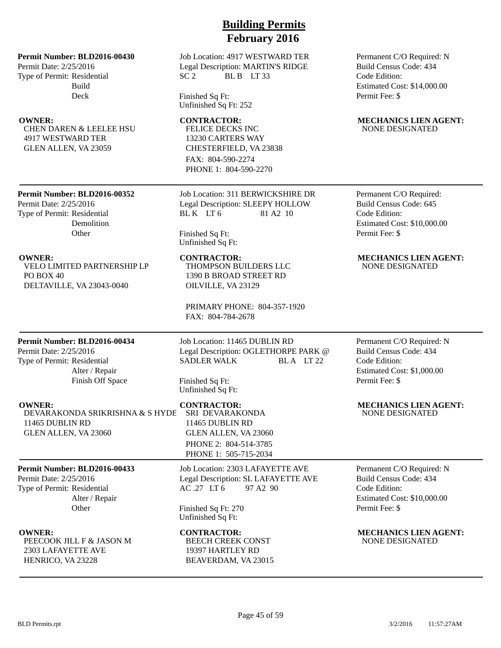Permit Date: 2/25/2016 Type of Permit: Residential Build Deck

CHEN DAREN & LEELEE HSU 4917 WESTWARD TER GLEN ALLEN, VA 23059

## **Building Permits February 2016**

Job Location: 4917 WESTWARD TER Legal Description: MARTIN'S RIDGE  $SC<sub>2</sub>$  BL B LT 33

Finished Sq Ft: Unfinished Sq Ft: 252

FELICE DECKS INC 13230 CARTERS WAY CHESTERFIELD, VA 23838 FAX: 804-590-2274 PHONE 1: 804-590-2270

**Permit Number: BLD2016-00352**

## Permit Date: 2/25/2016 Type of Permit: Residential Demolition **Other**

VELO LIMITED PARTNERSHIP LP PO BOX 40 DELTAVILLE, VA 23043-0040

Job Location: 311 BERWICKSHIRE DR Legal Description: SLEEPY HOLLOW BL K LT 6 81 A 2 10

Finished Sq Ft: Unfinished Sq Ft:

THOMPSON BUILDERS LLC 1390 B BROAD STREET RD OILVILLE, VA 23129

PRIMARY PHONE: 804-357-1920 FAX: 804-784-2678

### **Permit Number: BLD2016-00434**

Permit Date: 2/25/2016 Type of Permit: Residential Alter / Repair Finish Off Space

DEVARAKONDA SRIKRISHNA & S HYDE SRI DEVARAKONDA 11465 DUBLIN RD GLEN ALLEN, VA 23060

### **Permit Number: BLD2016-00433**

Permit Date: 2/25/2016 Type of Permit: Residential Alter / Repair **Other** 

PEECOOK JILL F & JASON M 2303 LAFAYETTE AVE HENRICO, VA 23228

Job Location: 11465 DUBLIN RD Legal Description: OGLETHORPE PARK @ SADLER WALK BLA LT 22

Finished Sq Ft: Unfinished Sq Ft:

11465 DUBLIN RD GLEN ALLEN, VA 23060 PHONE 2: 804-514-3785 PHONE 1: 505-715-2034

## Job Location: 2303 LAFAYETTE AVE Legal Description: SL LAFAYETTE AVE AC .27 LT 6 97 A2 90

Finished Sq Ft: 270 Unfinished Sq Ft:

BEECH CREEK CONST 19397 HARTLEY RD BEAVERDAM, VA 23015 Permanent C/O Required: N Build Census Code: 434 Code Edition: Estimated Cost: \$14,000.00 Permit Fee: \$

### **OWNER:** CONTRACTOR: MECHANICS LIEN AGENT: NONE DESIGNATED

Permanent C/O Required: Build Census Code: 645 Code Edition: Estimated Cost: \$10,000.00 Permit Fee: \$

### **OWNER:** CONTRACTOR: MECHANICS LIEN AGENT: NONE DESIGNATED

### Permanent C/O Required: N Build Census Code: 434 Code Edition: Estimated Cost: \$1,000.00 Permit Fee: \$

**OWNER: CONTRACTOR: MECHANICS LIEN AGENT:** NONE DESIGNATED

> Permanent C/O Required: N Build Census Code: 434 Code Edition: Estimated Cost: \$10,000.00 Permit Fee: \$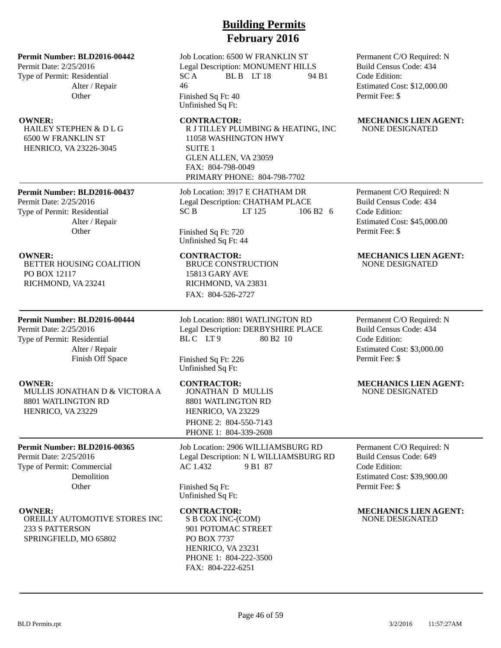Permit Date: 2/25/2016 Type of Permit: Residential Alter / Repair **Other** 

HAILEY STEPHEN & D L G 6500 W FRANKLIN ST HENRICO, VA 23226-3045

**Permit Number: BLD2016-00437** Permit Date: 2/25/2016

Type of Permit: Residential Alter / Repair **Other** 

BETTER HOUSING COALITION PO BOX 12117 RICHMOND, VA 23241

### **Permit Number: BLD2016-00444**

Permit Date: 2/25/2016 Type of Permit: Residential Alter / Repair Finish Off Space

MULLIS JONATHAN D & VICTORA A 8801 WATLINGTON RD HENRICO, VA 23229

### **Permit Number: BLD2016-00365**

Permit Date: 2/25/2016 Type of Permit: Commercial Demolition **Other** 

OREILLY AUTOMOTIVE STORES INC 233 S PATTERSON SPRINGFIELD, MO 65802

# **Building Permits February 2016**

Job Location: 6500 W FRANKLIN ST Legal Description: MONUMENT HILLS  $SC A$  BL B LT 18 94 B1 46

Finished Sq Ft: 40 Unfinished Sq Ft:

R J TILLEY PLUMBING & HEATING, INC 11058 WASHINGTON HWY SUITE 1 GLEN ALLEN, VA 23059 FAX: 804-798-0049 PRIMARY PHONE: 804-798-7702

Job Location: 3917 E CHATHAM DR Legal Description: CHATHAM PLACE SC B LT 125 106 B2 6

Finished Sq Ft: 720 Unfinished Sq Ft: 44

BRUCE CONSTRUCTION 15813 GARY AVE RICHMOND, VA 23831 FAX: 804-526-2727

Job Location: 8801 WATLINGTON RD Legal Description: DERBYSHIRE PLACE BLC LT9 80 B2 10

Finished Sq Ft: 226 Unfinished Sq Ft:

JONATHAN D MULLIS 8801 WATLINGTON RD HENRICO, VA 23229 PHONE 2: 804-550-7143 PHONE 1: 804-339-2608

Job Location: 2906 WILLIAMSBURG RD Legal Description: N L WILLIAMSBURG RD AC 1.432 9 B1 87

Finished Sq Ft: Unfinished Sq Ft:

S B COX INC-(COM) 901 POTOMAC STREET PO BOX 7737 HENRICO, VA 23231 PHONE 1: 804-222-3500 FAX: 804-222-6251

Permanent C/O Required: N Build Census Code: 434 Code Edition: Estimated Cost: \$12,000.00 Permit Fee: \$

### **OWNER: CONTRACTOR: MECHANICS LIEN AGENT:** NONE DESIGNATED

Permanent C/O Required: N Build Census Code: 434 Code Edition: Estimated Cost: \$45,000.00 Permit Fee: \$

### **OWNER:** CONTRACTOR: MECHANICS LIEN AGENT: NONE DESIGNATED

Permanent C/O Required: N Build Census Code: 434 Code Edition: Estimated Cost: \$3,000.00 Permit Fee: \$

### **OWNER:** CONTRACTOR: MECHANICS LIEN AGENT: NONE DESIGNATED

Permanent C/O Required: N Build Census Code: 649 Code Edition: Estimated Cost: \$39,900.00 Permit Fee: \$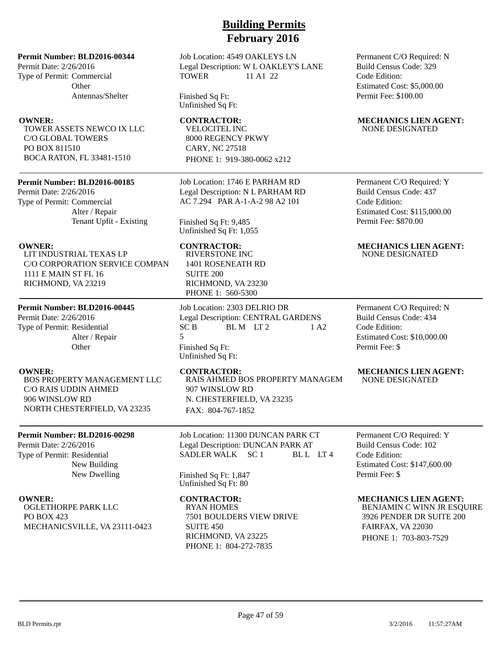### **Permit Number: BLD2016-00344**

Permit Date: 2/26/2016 Type of Permit: Commercial **Other** Antennas/Shelter

TOWER ASSETS NEWCO IX LLC C/O GLOBAL TOWERS PO BOX 811510 BOCA RATON, FL 33481-1510

### **Permit Number: BLD2016-00185**

Permit Date: 2/26/2016 Type of Permit: Commercial Alter / Repair Tenant Upfit - Existing

LIT INDUSTRIAL TEXAS LP C/O CORPORATION SERVICE COMPAN 1111 E MAIN ST FL 16 RICHMOND, VA 23219

### **Permit Number: BLD2016-00445**

Permit Date: 2/26/2016 Type of Permit: Residential Alter / Repair **Other** 

BOS PROPERTY MANAGEMENT LLC C/O RAIS UDDIN AHMED 906 WINSLOW RD NORTH CHESTERFIELD, VA 23235

### **Permit Number: BLD2016-00298**

Permit Date: 2/26/2016 Type of Permit: Residential New Building New Dwelling

OGLETHORPE PARK LLC PO BOX 423 MECHANICSVILLE, VA 23111-0423 Job Location: 4549 OAKLEYS LN Legal Description: W L OAKLEY'S LANE TOWER 11 A1 22

Finished Sq Ft: Unfinished Sq Ft:

VELOCITEL INC 8000 REGENCY PKWY CARY, NC 27518 PHONE 1: 919-380-0062 x212

Job Location: 1746 E PARHAM RD Legal Description: N L PARHAM RD AC 7.294 PAR A-1-A-2 98 A2 101

Finished Sq Ft: 9,485 Unfinished Sq Ft: 1,055

RIVERSTONE INC 1401 ROSENEATH RD SUITE 200 RICHMOND, VA 23230 PHONE 1: 560-5300

Job Location: 2303 DELRIO DR Legal Description: CENTRAL GARDENS  $SC B$  BLM LT2 1 A2 5 Finished Sq Ft: Unfinished Sq Ft:

RAIS AHMED BOS PROPERTY MANAGEM 907 WINSLOW RD N. CHESTERFIELD, VA 23235 FAX: 804-767-1852

Job Location: 11300 DUNCAN PARK CT Legal Description: DUNCAN PARK AT SADLER WALK SC 1 BL L LT 4

Finished Sq Ft: 1,847 Unfinished Sq Ft: 80

RYAN HOMES 7501 BOULDERS VIEW DRIVE SUITE 450 RICHMOND, VA 23225 PHONE 1: 804-272-7835

Permanent C/O Required: N Build Census Code: 329 Code Edition: Estimated Cost: \$5,000.00 Permit Fee: \$100.00

### **OWNER:** CONTRACTOR: MECHANICS LIEN AGENT: NONE DESIGNATED

Permanent C/O Required: Y Build Census Code: 437 Code Edition: Estimated Cost: \$115,000.00 Permit Fee: \$870.00

### **OWNER: CONTRACTOR: MECHANICS LIEN AGENT:** NONE DESIGNATED

Permanent C/O Required: N Build Census Code: 434 Code Edition: Estimated Cost: \$10,000.00 Permit Fee: \$

### **OWNER: CONTRACTOR: MECHANICS LIEN AGENT:** NONE DESIGNATED

Permanent C/O Required: Y Build Census Code: 102 Code Edition: Estimated Cost: \$147,600.00 Permit Fee: \$

### **OWNER: CONTRACTOR: MECHANICS LIEN AGENT:**

BENJAMIN C WINN JR ESQUIRE 3926 PENDER DR SUITE 200 FAIRFAX, VA 22030 PHONE 1: 703-803-7529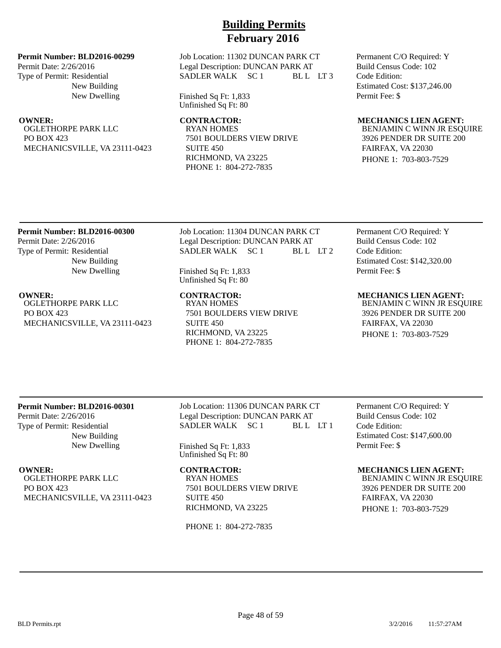### **Permit Number: BLD2016-00299**

Permit Date: 2/26/2016 Type of Permit: Residential New Building New Dwelling

OGLETHORPE PARK LLC PO BOX 423 MECHANICSVILLE, VA 23111-0423 Job Location: 11302 DUNCAN PARK CT Legal Description: DUNCAN PARK AT SADLER WALK SC 1 BL L LT 3

Finished Sq Ft: 1,833 Unfinished Sq Ft: 80

RYAN HOMES 7501 BOULDERS VIEW DRIVE SUITE 450 RICHMOND, VA 23225 PHONE 1: 804-272-7835

Permanent C/O Required: Y Build Census Code: 102 Code Edition: Estimated Cost: \$137,246.00 Permit Fee: \$

### **OWNER: CONTRACTOR: MECHANICS LIEN AGENT:**

BENJAMIN C WINN JR ESQUIRE 3926 PENDER DR SUITE 200 FAIRFAX, VA 22030 PHONE 1: 703-803-7529

### **Permit Number: BLD2016-00300** Permit Date: 2/26/2016 Type of Permit: Residential New Building New Dwelling

OGLETHORPE PARK LLC PO BOX 423 MECHANICSVILLE, VA 23111-0423 Job Location: 11304 DUNCAN PARK CT Legal Description: DUNCAN PARK AT SADLER WALK SC 1 BLL LT 2

Finished Sq Ft: 1,833 Unfinished Sq Ft: 80

**OWNER:** CONTRACTOR: MECHANICS LIEN AGENT: RYAN HOMES 7501 BOULDERS VIEW DRIVE SUITE 450 RICHMOND, VA 23225 PHONE 1: 804-272-7835

Permanent C/O Required: Y Build Census Code: 102 Code Edition: Estimated Cost: \$142,320.00 Permit Fee: \$

BENJAMIN C WINN JR ESQUIRE 3926 PENDER DR SUITE 200 FAIRFAX, VA 22030 PHONE 1: 703-803-7529

## **Permit Number: BLD2016-00301**

Permit Date: 2/26/2016 Type of Permit: Residential New Building New Dwelling

OGLETHORPE PARK LLC PO BOX 423 MECHANICSVILLE, VA 23111-0423 Job Location: 11306 DUNCAN PARK CT Legal Description: DUNCAN PARK AT SADLER WALK SC 1 BL L LT 1

Finished Sq Ft: 1,833 Unfinished Sq Ft: 80

RYAN HOMES 7501 BOULDERS VIEW DRIVE SUITE 450 RICHMOND, VA 23225

PHONE 1: 804-272-7835

Permanent C/O Required: Y Build Census Code: 102 Code Edition: Estimated Cost: \$147,600.00 Permit Fee: \$

**OWNER:** CONTRACTOR: MECHANICS LIEN AGENT:

BENJAMIN C WINN JR ESQUIRE 3926 PENDER DR SUITE 200 FAIRFAX, VA 22030 PHONE 1: 703-803-7529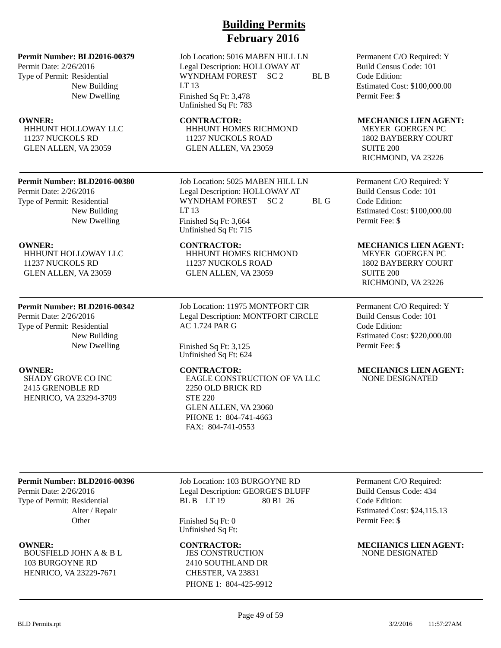Permit Date: 2/26/2016 Type of Permit: Residential New Building New Dwelling

HHHUNT HOLLOWAY LLC 11237 NUCKOLS RD GLEN ALLEN, VA 23059

### **Permit Number: BLD2016-00380**

Permit Date: 2/26/2016 Type of Permit: Residential New Building New Dwelling

HHHUNT HOLLOWAY LLC 11237 NUCKOLS RD GLEN ALLEN, VA 23059

### **Permit Number: BLD2016-00342**

Permit Date: 2/26/2016 Type of Permit: Residential New Building New Dwelling

SHADY GROVE CO INC 2415 GRENOBLE RD HENRICO, VA 23294-3709

# **Building Permits February 2016**

Job Location: 5016 MABEN HILL LN Legal Description: HOLLOWAY AT WYNDHAM FOREST SC 2 BL B LT 13 Finished Sq Ft: 3,478 Unfinished Sq Ft: 783

HHHUNT HOMES RICHMOND 11237 NUCKOLS ROAD GLEN ALLEN, VA 23059

Job Location: 5025 MABEN HILL LN Legal Description: HOLLOWAY AT WYNDHAM FOREST SC 2 BL G LT 13 Finished Sq Ft: 3,664 Unfinished Sq Ft: 715

HHHUNT HOMES RICHMOND 11237 NUCKOLS ROAD GLEN ALLEN, VA 23059

Job Location: 11975 MONTFORT CIR Legal Description: MONTFORT CIRCLE AC 1.724 PAR G

Finished Sq Ft: 3,125 Unfinished Sq Ft: 624

EAGLE CONSTRUCTION OF VA LLC 2250 OLD BRICK RD STE 220 GLEN ALLEN, VA 23060 PHONE 1: 804-741-4663 FAX: 804-741-0553

Permanent C/O Required: Y Build Census Code: 101 Code Edition: Estimated Cost: \$100,000.00 Permit Fee: \$

### **OWNER:** CONTRACTOR: MECHANICS LIEN AGENT:

MEYER GOERGEN PC 1802 BAYBERRY COURT SUITE 200 RICHMOND, VA 23226

Permanent C/O Required: Y Build Census Code: 101 Code Edition: Estimated Cost: \$100,000.00 Permit Fee: \$

### **OWNER:** CONTRACTOR: MECHANICS LIEN AGENT:

MEYER GOERGEN PC 1802 BAYBERRY COURT SUITE 200 RICHMOND, VA 23226

Permanent C/O Required: Y Build Census Code: 101 Code Edition: Estimated Cost: \$220,000.00 Permit Fee: \$

### **OWNER:** CONTRACTOR: MECHANICS LIEN AGENT: NONE DESIGNATED

### **Permit Number: BLD2016-00396**

Permit Date: 2/26/2016 Type of Permit: Residential Alter / Repair **Other** 

BOUSFIELD JOHN A & B L 103 BURGOYNE RD HENRICO, VA 23229-7671

Job Location: 103 BURGOYNE RD Legal Description: GEORGE'S BLUFF BL B LT 19 80 B1 26

Finished Sq Ft: 0 Unfinished Sq Ft:

JES CONSTRUCTION 2410 SOUTHLAND DR CHESTER, VA 23831 PHONE 1: 804-425-9912 Permanent C/O Required: Build Census Code: 434 Code Edition: Estimated Cost: \$24,115.13 Permit Fee: \$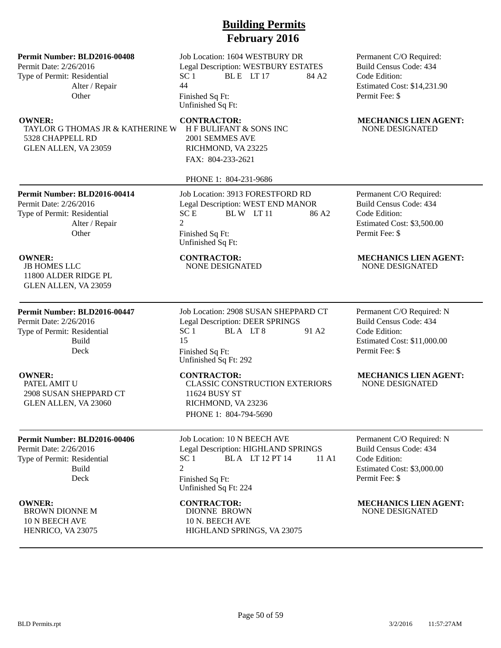### **Permit Number: BLD2016-00408**

Permit Date: 2/26/2016 Type of Permit: Residential Alter / Repair **Other** 

TAYLOR G THOMAS JR & KATHERINE W 5328 CHAPPELL RD GLEN ALLEN, VA 23059

Job Location: 1604 WESTBURY DR Legal Description: WESTBURY ESTATES  $SC 1$  BLE LT 17 84 A2 44 Finished Sq Ft: Unfinished Sq Ft:

H F BULIFANT & SONS INC 2001 SEMMES AVE RICHMOND, VA 23225 FAX: 804-233-2621

PHONE 1: 804-231-9686

**Permit Number: BLD2016-00414**

Permit Date: 2/26/2016 Type of Permit: Residential Alter / Repair **Other** 

JB HOMES LLC 11800 ALDER RIDGE PL GLEN ALLEN, VA 23059

## **Permit Number: BLD2016-00447**

Permit Date: 2/26/2016 Type of Permit: Residential Build Deck

PATEL AMIT U

2908 SUSAN SHEPPARD CT GLEN ALLEN, VA 23060

## **Permit Number: BLD2016-00406**

Permit Date: 2/26/2016 Type of Permit: Residential Build Deck

BROWN DIONNE M 10 N BEECH AVE HENRICO, VA 23075

Job Location: 3913 FORESTFORD RD Legal Description: WEST END MANOR  $SC E$  BLW LT 11 86 A2 2 Finished Sq Ft: Unfinished Sq Ft:

Job Location: 2908 SUSAN SHEPPARD CT Legal Description: DEER SPRINGS  $SC 1$  BLA LT 8 91 A 2 15 Finished Sq Ft: Unfinished Sq Ft: 292

CLASSIC CONSTRUCTION EXTERIORS 11624 BUSY ST RICHMOND, VA 23236 PHONE 1: 804-794-5690

Job Location: 10 N BEECH AVE Legal Description: HIGHLAND SPRINGS SC 1 BLA LT 12 PT 14 11 A1  $\mathcal{D}$ Finished Sq Ft: Unfinished Sq Ft: 224

DIONNE BROWN 10 N. BEECH AVE HIGHLAND SPRINGS, VA 23075 Permanent C/O Required: Build Census Code: 434 Code Edition: Estimated Cost: \$14,231.90 Permit Fee: \$

### **OWNER:** CONTRACTOR: MECHANICS LIEN AGENT: NONE DESIGNATED

Permanent C/O Required: Build Census Code: 434 Code Edition: Estimated Cost: \$3,500.00 Permit Fee: \$

### **OWNER:** CONTRACTOR: MECHANICS LIEN AGENT:<br>
IB HOMES LLC MONE DESIGNATED MONE DESIGNATED NONE DESIGNATED NONE DESIGNATED

Permanent C/O Required: N Build Census Code: 434 Code Edition: Estimated Cost: \$11,000.00 Permit Fee: \$

### **OWNER:** CONTRACTOR: MECHANICS LIEN AGENT: NONE DESIGNATED

Permanent C/O Required: N Build Census Code: 434 Code Edition: Estimated Cost: \$3,000.00 Permit Fee: \$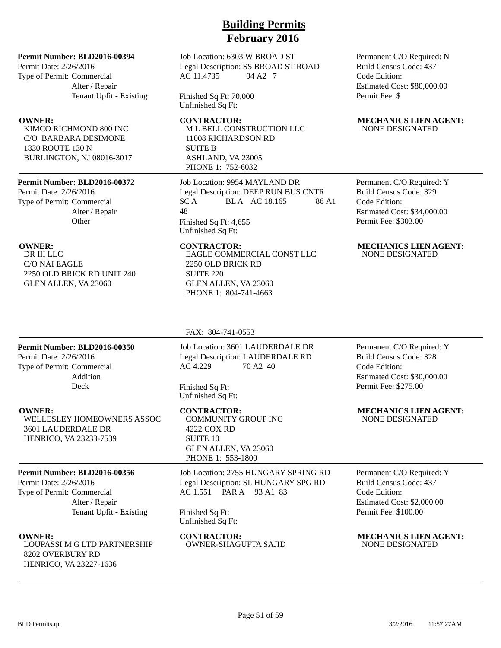### **Permit Number: BLD2016-00394**

Permit Date: 2/26/2016 Type of Permit: Commercial Alter / Repair Tenant Upfit - Existing

KIMCO RICHMOND 800 INC C/O BARBARA DESIMONE 1830 ROUTE 130 N BURLINGTON, NJ 08016-3017

### **Permit Number: BLD2016-00372**

Permit Date: 2/26/2016 Type of Permit: Commercial Alter / Repair **Other** 

DR III LLC C/O NAI EAGLE 2250 OLD BRICK RD UNIT 240 GLEN ALLEN, VA 23060

## Job Location: 6303 W BROAD ST Legal Description: SS BROAD ST ROAD AC 11.4735 94 A2 7

Finished Sq Ft: 70,000 Unfinished Sq Ft:

M L BELL CONSTRUCTION LLC 11008 RICHARDSON RD SUITE B ASHLAND, VA 23005 PHONE 1: 752-6032

Job Location: 9954 MAYLAND DR Legal Description: DEEP RUN BUS CNTR SC A BLA AC 18.165 86 A1 48 Finished Sq Ft: 4,655 Unfinished Sq Ft:

EAGLE COMMERCIAL CONST LLC 2250 OLD BRICK RD SUITE 220 GLEN ALLEN, VA 23060 PHONE 1: 804-741-4663

Permanent C/O Required: N Build Census Code: 437 Code Edition: Estimated Cost: \$80,000.00 Permit Fee: \$

### **OWNER: CONTRACTOR: MECHANICS LIEN AGENT:** NONE DESIGNATED

Permanent C/O Required: Y Build Census Code: 329 Code Edition: Estimated Cost: \$34,000.00 Permit Fee: \$303.00

### **OWNER:** CONTRACTOR: MECHANICS LIEN AGENT: NONE DESIGNATED

### FAX: 804-741-0553

## **Permit Number: BLD2016-00350**

Permit Date: 2/26/2016 Type of Permit: Commercial Addition Deck

WELLESLEY HOMEOWNERS ASSOC 3601 LAUDERDALE DR HENRICO, VA 23233-7539

### **Permit Number: BLD2016-00356**

Permit Date: 2/26/2016 Type of Permit: Commercial Alter / Repair Tenant Upfit - Existing

LOUPASSI M G LTD PARTNERSHIP 8202 OVERBURY RD HENRICO, VA 23227-1636

Job Location: 3601 LAUDERDALE DR Legal Description: LAUDERDALE RD AC 4.229 70 A2 40

Finished Sq Ft: Unfinished Sq Ft:

COMMUNITY GROUP INC 4222 COX RD SUITE 10 GLEN ALLEN, VA 23060 PHONE 1: 553-1800

Job Location: 2755 HUNGARY SPRING RD Legal Description: SL HUNGARY SPG RD AC 1.551 PAR A 93 A1 83

Finished Sq Ft: Unfinished Sq Ft:

OWNER-SHAGUFTA SAJID

Permanent C/O Required: Y Build Census Code: 328 Code Edition: Estimated Cost: \$30,000.00 Permit Fee: \$275.00

**OWNER:** CONTRACTOR: MECHANICS LIEN AGENT: NONE DESIGNATED

> Permanent C/O Required: Y Build Census Code: 437 Code Edition: Estimated Cost: \$2,000.00 Permit Fee: \$100.00

**OWNER: CONTRACTOR: MECHANICS LIEN AGENT: CONTRACTOR: MECHANICS LIEN AGENT: CONTRACTOR**<br> **CONTRACTOR OWNER-SHAGUFTA SAJID** MONE DESIGNATED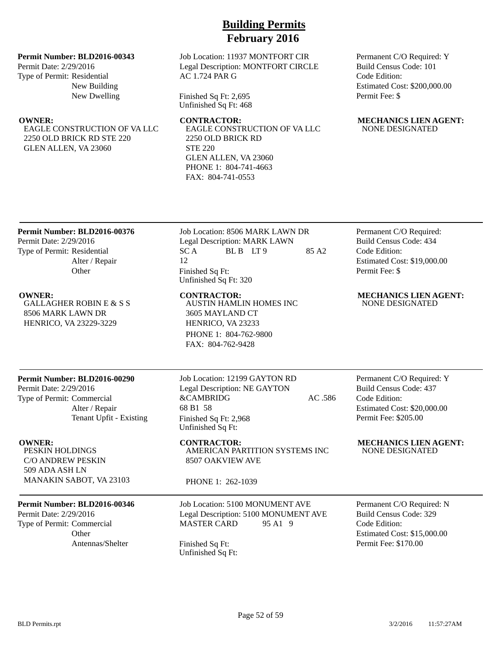### **Permit Number: BLD2016-00343**

Permit Date: 2/29/2016 Type of Permit: Residential New Building New Dwelling

EAGLE CONSTRUCTION OF VA LLC 2250 OLD BRICK RD STE 220 GLEN ALLEN, VA 23060

Job Location: 11937 MONTFORT CIR Legal Description: MONTFORT CIRCLE AC 1.724 PAR G

Finished Sq Ft: 2,695 Unfinished Sq Ft: 468

EAGLE CONSTRUCTION OF VA LLC 2250 OLD BRICK RD STE 220 GLEN ALLEN, VA 23060 PHONE 1: 804-741-4663 FAX: 804-741-0553

Permanent C/O Required: Y Build Census Code: 101 Code Edition: Estimated Cost: \$200,000.00 Permit Fee: \$

### **OWNER:** CONTRACTOR: MECHANICS LIEN AGENT: NONE DESIGNATED

### **Permit Number: BLD2016-00376**

Permit Date: 2/29/2016 Type of Permit: Residential Alter / Repair **Other** 

GALLAGHER ROBIN E & S S 8506 MARK LAWN DR HENRICO, VA 23229-3229

## Job Location: 8506 MARK LAWN DR Legal Description: MARK LAWN  $SC A$  BLB LT9 85 A2 12 Finished Sq Ft: Unfinished Sq Ft: 320

AUSTIN HAMLIN HOMES INC

3605 MAYLAND CT HENRICO, VA 23233 PHONE 1: 804-762-9800 FAX: 804-762-9428

Permanent C/O Required: Build Census Code: 434 Code Edition: Estimated Cost: \$19,000.00 Permit Fee: \$

### **OWNER: CONTRACTOR: MECHANICS LIEN AGENT:** NONE DESIGNATED

## **Permit Number: BLD2016-00290**

Permit Date: 2/29/2016 Type of Permit: Commercial Alter / Repair Tenant Upfit - Existing

PESKIN HOLDINGS C/O ANDREW PESKIN 509 ADA ASH LN MANAKIN SABOT, VA 23103

### **Permit Number: BLD2016-00346**

Permit Date: 2/29/2016 Type of Permit: Commercial **Other** Antennas/Shelter Finished Sq Ft:

Job Location: 12199 GAYTON RD Legal Description: NE GAYTON &CAMBRIDG AC .586 68 B1 58 Finished Sq Ft: 2,968 Unfinished Sq Ft:

**OWNER: CONTRACTOR: MECHANICS LIEN AGENT:** AMERICAN PARTITION SYSTEMS INC 8507 OAKVIEW AVE

PHONE 1: 262-1039

Job Location: 5100 MONUMENT AVE Legal Description: 5100 MONUMENT AVE MASTER CARD 95 A1 9

Unfinished Sq Ft:

Permanent C/O Required: Y Build Census Code: 437 Code Edition: Estimated Cost: \$20,000.00 Permit Fee: \$205.00

NONE DESIGNATED

Permanent C/O Required: N Build Census Code: 329 Code Edition: Estimated Cost: \$15,000.00 Permit Fee: \$170.00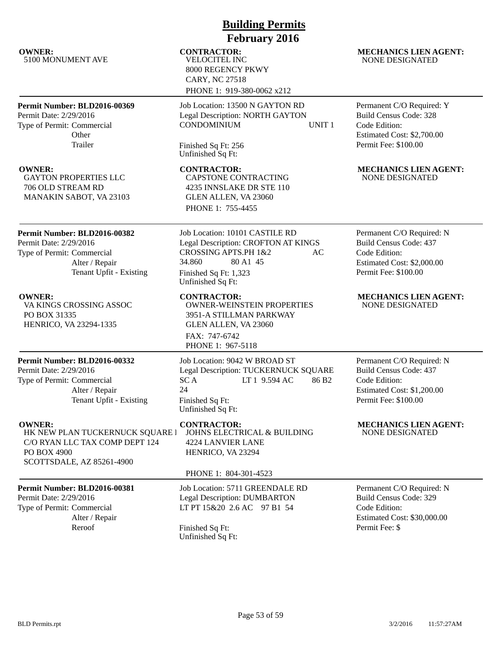| <b>Building Permits</b>                                                                                                           |                                                                                                                                                                         |                                                                                                                                   |  |  |
|-----------------------------------------------------------------------------------------------------------------------------------|-------------------------------------------------------------------------------------------------------------------------------------------------------------------------|-----------------------------------------------------------------------------------------------------------------------------------|--|--|
| <b>February 2016</b>                                                                                                              |                                                                                                                                                                         |                                                                                                                                   |  |  |
| <b>OWNER:</b><br>5100 MONUMENT AVE                                                                                                | <b>CONTRACTOR:</b><br><b>VELOCITEL INC</b><br>8000 REGENCY PKWY<br><b>CARY, NC 27518</b><br>PHONE 1: 919-380-0062 x212                                                  | <b>MECHANICS LIEN AGENT:</b><br><b>NONE DESIGNATED</b>                                                                            |  |  |
| Permit Number: BLD2016-00369<br>Permit Date: 2/29/2016<br>Type of Permit: Commercial<br>Other<br>Trailer                          | Job Location: 13500 N GAYTON RD<br>Legal Description: NORTH GAYTON<br><b>CONDOMINIUM</b><br>UNIT <sub>1</sub><br>Finished Sq Ft: 256<br>Unfinished Sq Ft:               | Permanent C/O Required: Y<br><b>Build Census Code: 328</b><br>Code Edition:<br>Estimated Cost: \$2,700.00<br>Permit Fee: \$100.00 |  |  |
| <b>OWNER:</b><br><b>GAYTON PROPERTIES LLC</b><br>706 OLD STREAM RD<br>MANAKIN SABOT, VA 23103                                     | <b>CONTRACTOR:</b><br>CAPSTONE CONTRACTING<br>4235 INNSLAKE DR STE 110<br>GLEN ALLEN, VA 23060<br>PHONE 1: 755-4455                                                     | <b>MECHANICS LIEN AGENT:</b><br>NONE DESIGNATED                                                                                   |  |  |
| Permit Number: BLD2016-00382<br>Permit Date: 2/29/2016<br>Type of Permit: Commercial<br>Alter / Repair<br>Tenant Upfit - Existing | Job Location: 10101 CASTILE RD<br>Legal Description: CROFTON AT KINGS<br>CROSSING APTS.PH 1&2<br>AC<br>34.860<br>80 A1 45<br>Finished Sq Ft: 1,323<br>Unfinished Sq Ft: | Permanent C/O Required: N<br><b>Build Census Code: 437</b><br>Code Edition:<br>Estimated Cost: \$2,000.00<br>Permit Fee: \$100.00 |  |  |
| <b>OWNER:</b><br>VA KINGS CROSSING ASSOC<br>PO BOX 31335<br>HENRICO, VA 23294-1335                                                | <b>CONTRACTOR:</b><br><b>OWNER-WEINSTEIN PROPERTIES</b><br>3951-A STILLMAN PARKWAY<br>GLEN ALLEN, VA 23060<br>FAX: 747-6742<br>PHONE 1: 967-5118                        | <b>MECHANICS LIEN AGENT:</b><br><b>NONE DESIGNATED</b>                                                                            |  |  |
| Permit Number: BLD2016-00332<br>Permit Date: 2/29/2016<br>Type of Permit: Commercial<br>Alter / Repair<br>Tenant Upfit - Existing | Job Location: 9042 W BROAD ST<br>Legal Description: TUCKERNUCK SQUARE<br>SCA<br>LT 1 9.594 AC<br>86 <sub>B2</sub><br>24<br>Finished Sq Ft:<br>Unfinished Sq Ft:         | Permanent C/O Required: N<br><b>Build Census Code: 437</b><br>Code Edition:<br>Estimated Cost: \$1,200.00<br>Permit Fee: \$100.00 |  |  |
| <b>OWNER:</b><br>HK NEW PLAN TUCKERNUCK SQUARE I<br>C/O RYAN LLC TAX COMP DEPT 124<br>PO BOX 4900<br>SCOTTSDALE, AZ 85261-4900    | <b>CONTRACTOR:</b><br>JOHNS ELECTRICAL & BUILDING<br><b>4224 LANVIER LANE</b><br>HENRICO, VA 23294<br>PHONE 1: 804-301-4523                                             | <b>MECHANICS LIEN AGENT:</b><br><b>NONE DESIGNATED</b>                                                                            |  |  |
| Permit Number: BLD2016-00381<br>Permit Date: 2/29/2016<br>Type of Permit: Commercial<br>Alter / Repair<br>Reroof                  | Job Location: 5711 GREENDALE RD<br><b>Legal Description: DUMBARTON</b><br>LT PT 15&20 2.6 AC 97 B1 54<br>Finished Sq Ft:<br>Unfinished Sq Ft:                           | Permanent C/O Required: N<br>Build Census Code: 329<br>Code Edition:<br>Estimated Cost: \$30,000.00<br>Permit Fee: \$             |  |  |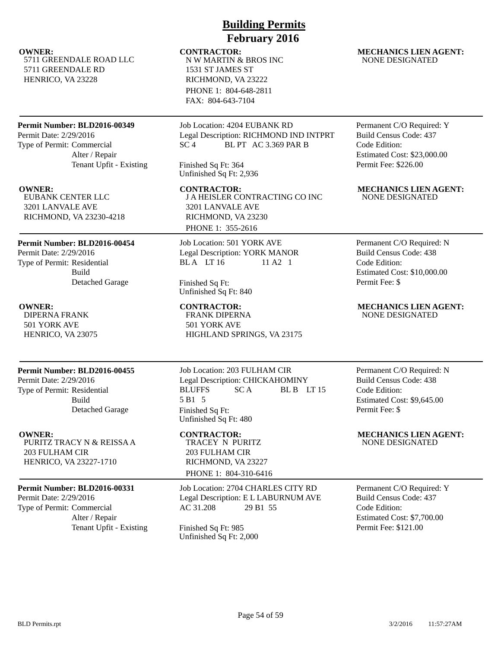5711 GREENDALE ROAD LLC 5711 GREENDALE RD HENRICO, VA 23228

### **Permit Number: BLD2016-00349**

Permit Date: 2/29/2016 Type of Permit: Commercial Alter / Repair Tenant Upfit - Existing

EUBANK CENTER LLC 3201 LANVALE AVE RICHMOND, VA 23230-4218

### **Permit Number: BLD2016-00454**

Permit Date: 2/29/2016 Type of Permit: Residential Build Detached Garage

DIPERNA FRANK 501 YORK AVE HENRICO, VA 23075

### **Permit Number: BLD2016-00455**

Permit Date: 2/29/2016 Type of Permit: Residential Build Detached Garage

PURITZ TRACY N & REISSA A 203 FULHAM CIR HENRICO, VA 23227-1710

## **Permit Number: BLD2016-00331**

Permit Date: 2/29/2016 Type of Permit: Commercial Alter / Repair Tenant Upfit - Existing Finished Sq Ft: 985

# **Building Permits February 2016**

## N W MARTIN & BROS INC 1531 ST JAMES ST RICHMOND, VA 23222 PHONE 1: 804-648-2811 FAX: 804-643-7104

Job Location: 4204 EUBANK RD Legal Description: RICHMOND IND INTPRT SC 4 BL PT AC 3.369 PAR B

Finished Sq Ft: 364 Unfinished Sq Ft: 2,936

**OWNER:** CONTRACTOR: MECHANICS LIEN AGENT: J A HEISLER CONTRACTING CO INC 3201 LANVALE AVE RICHMOND, VA 23230 PHONE 1: 355-2616

> Job Location: 501 YORK AVE Legal Description: YORK MANOR BLA LT 16 11 A2 1

Finished Sq Ft: Unfinished Sq Ft: 840

FRANK DIPERNA 501 YORK AVE HIGHLAND SPRINGS, VA 23175

Job Location: 203 FULHAM CIR Legal Description: CHICKAHOMINY BLUFFS SCA BLB LT 15 5 B1 5 Finished Sq Ft: Unfinished Sq Ft: 480

TRACEY N PURITZ 203 FULHAM CIR RICHMOND, VA 23227 PHONE 1: 804-310-6416

Job Location: 2704 CHARLES CITY RD Legal Description: E L LABURNUM AVE AC 31.208 29 B1 55

Unfinished Sq Ft: 2,000

### **OWNER:** CONTRACTOR: MECHANICS LIEN AGENT: NONE DESIGNATED

Permanent C/O Required: Y Build Census Code: 437 Code Edition: Estimated Cost: \$23,000.00 Permit Fee: \$226.00

# NONE DESIGNATED

Permanent C/O Required: N Build Census Code: 438 Code Edition: Estimated Cost: \$10,000.00 Permit Fee: \$

**OWNER:** CONTRACTOR: MECHANICS LIEN AGENT: NONE DESIGNATED

> Permanent C/O Required: N Build Census Code: 438 Code Edition: Estimated Cost: \$9,645.00 Permit Fee: \$

### **OWNER: CONTRACTOR: MECHANICS LIEN AGENT:** NONE DESIGNATED

Permanent C/O Required: Y Build Census Code: 437 Code Edition: Estimated Cost: \$7,700.00 Permit Fee: \$121.00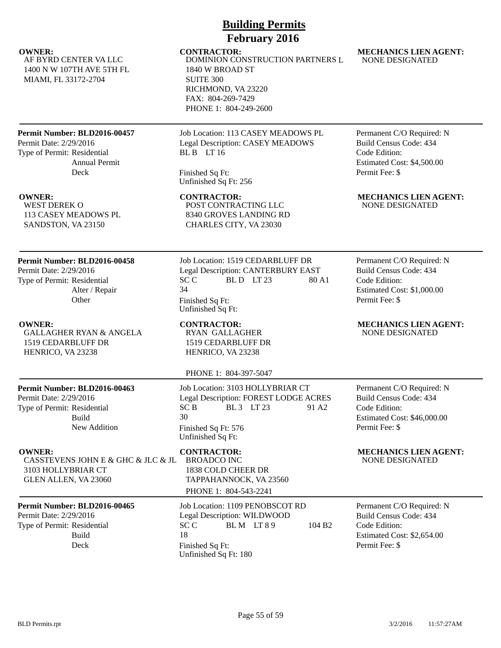AF BYRD CENTER VA LLC 1400 N W 107TH AVE 5TH FL MIAMI, FL 33172-2704

## **Permit Number: BLD2016-00457**

Permit Date: 2/29/2016 Type of Permit: Residential Annual Permit Deck

WEST DEREK O 113 CASEY MEADOWS PL SANDSTON, VA 23150

## **Permit Number: BLD2016-00458**

Permit Date: 2/29/2016 Type of Permit: Residential Alter / Repair **Other** 

GALLAGHER RYAN & ANGELA 1519 CEDARBLUFF DR HENRICO, VA 23238

## **Permit Number: BLD2016-00463**

Permit Date: 2/29/2016 Type of Permit: Residential Build New Addition

CASSTEVENS JOHN E & GHC & JLC & JL 3103 HOLLYBRIAR CT GLEN ALLEN, VA 23060

## **Permit Number: BLD2016-00465**

Permit Date: 2/29/2016 Type of Permit: Residential Build

Job Location: 113 CASEY MEADOWS PL Legal Description: CASEY MEADOWS BL B LT 16

**Building Permits February 2016**

DOMINION CONSTRUCTION PARTNERS L

Finished Sq Ft: Unfinished Sq Ft: 256

1840 W BROAD ST

RICHMOND, VA 23220 FAX: 804-269-7429 PHONE 1: 804-249-2600

SUITE 300

POST CONTRACTING LLC 8340 GROVES LANDING RD CHARLES CITY, VA 23030

Job Location: 1519 CEDARBLUFF DR Legal Description: CANTERBURY EAST  $SCC$  BLD LT 23 80 A1 34 Finished Sq Ft: Unfinished Sq Ft:

RYAN GALLAGHER 1519 CEDARBLUFF DR HENRICO, VA 23238

PHONE 1: 804-397-5047

### Job Location: 3103 HOLLYBRIAR CT Legal Description: FOREST LODGE ACRES  $SC B$  BL 3 LT 23 91 A2 30 Finished Sq Ft: 576 Unfinished Sq Ft:

BROADCO INC 1838 COLD CHEER DR TAPPAHANNOCK, VA 23560 PHONE 1: 804-543-2241

Job Location: 1109 PENOBSCOT RD Legal Description: WILDWOOD  $SCC$  BLM  $LT 89$  104 B2 18 Deck Finished Sq Ft: Unfinished Sq Ft: 180

**OWNER:** CONTRACTOR: MECHANICS LIEN AGENT: NONE DESIGNATED

> Permanent C/O Required: N Build Census Code: 434 Code Edition: Estimated Cost: \$4,500.00 Permit Fee: \$

**OWNER:** CONTRACTOR: MECHANICS LIEN AGENT: NONE DESIGNATED

> Permanent C/O Required: N Build Census Code: 434 Code Edition: Estimated Cost: \$1,000.00 Permit Fee: \$

**OWNER:** CONTRACTOR: MECHANICS LIEN AGENT: NONE DESIGNATED

> Permanent C/O Required: N Build Census Code: 434 Code Edition: Estimated Cost: \$46,000.00 Permit Fee: \$

**OWNER: CONTRACTOR: MECHANICS LIEN AGENT:** NONE DESIGNATED

> Permanent C/O Required: N Build Census Code: 434 Code Edition: Estimated Cost: \$2,654.00 Permit Fee: \$

BLD Permits.rpt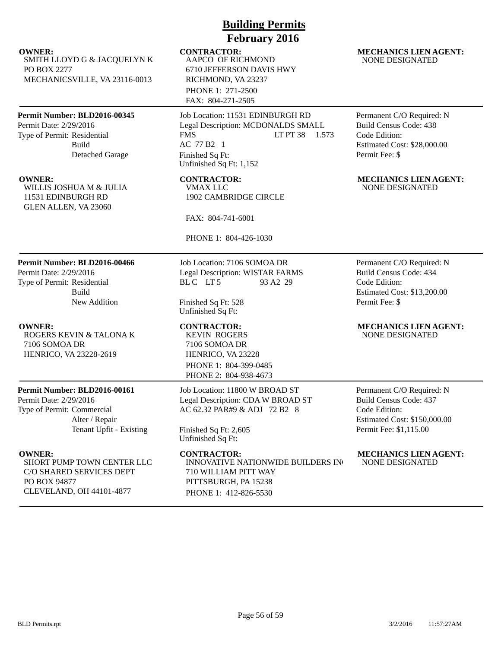SMITH LLOYD G & JACQUELYN K PO BOX 2277 MECHANICSVILLE, VA 23116-0013

### **Permit Number: BLD2016-00345**

Permit Date: 2/29/2016 Type of Permit: Residential Build Detached Garage

WILLIS JOSHUA M & JULIA 11531 EDINBURGH RD GLEN ALLEN, VA 23060

### **Permit Number: BLD2016-00466**

Permit Date: 2/29/2016 Type of Permit: Residential Build New Addition

ROGERS KEVIN & TALONA K 7106 SOMOA DR HENRICO, VA 23228-2619

### **Permit Number: BLD2016-00161**

Permit Date: 2/29/2016 Type of Permit: Commercial Alter / Repair Tenant Upfit - Existing

SHORT PUMP TOWN CENTER LLC C/O SHARED SERVICES DEPT PO BOX 94877 CLEVELAND, OH 44101-4877

## **Building Permits February 2016**

AAPCO OF RICHMOND 6710 JEFFERSON DAVIS HWY RICHMOND, VA 23237 PHONE 1: 271-2500 FAX: 804-271-2505

Job Location: 11531 EDINBURGH RD Legal Description: MCDONALDS SMALL FMS LT PT 38 1.573 AC 77 B2 1 Finished Sq Ft: Unfinished Sq Ft: 1,152

VMAX LLC 1902 CAMBRIDGE CIRCLE

FAX: 804-741-6001

PHONE 1: 804-426-1030

Job Location: 7106 SOMOA DR Legal Description: WISTAR FARMS BL C LT 5 93 A2 29

Finished Sq Ft: 528 Unfinished Sq Ft:

KEVIN ROGERS 7106 SOMOA DR HENRICO, VA 23228 PHONE 1: 804-399-0485 PHONE 2: 804-938-4673

Job Location: 11800 W BROAD ST Legal Description: CDA W BROAD ST AC 62.32 PAR#9 & ADJ 72 B2 8

Finished Sq Ft: 2,605 Unfinished Sq Ft:

INNOVATIVE NATIONWIDE BUILDERS IN 710 WILLIAM PITT WAY PITTSBURGH, PA 15238 PHONE 1: 412-826-5530

### **OWNER:** CONTRACTOR: MECHANICS LIEN AGENT: NONE DESIGNATED

Permanent C/O Required: N Build Census Code: 438 Code Edition: Estimated Cost: \$28,000.00 Permit Fee: \$

### **OWNER: CONTRACTOR: MECHANICS LIEN AGENT:** NONE DESIGNATED

Permanent C/O Required: N Build Census Code: 434 Code Edition: Estimated Cost: \$13,200.00 Permit Fee: \$

### **OWNER:** CONTRACTOR: MECHANICS LIEN AGENT: NONE DESIGNATED

Permanent C/O Required: N Build Census Code: 437 Code Edition: Estimated Cost: \$150,000.00 Permit Fee: \$1,115.00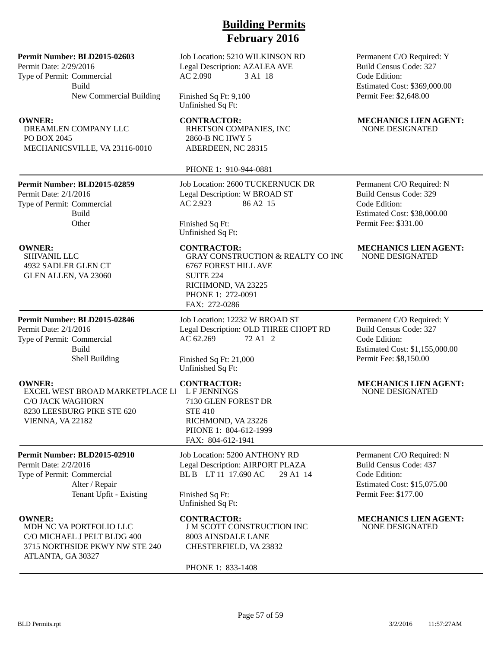**Permit Number: BLD2015-02603**

Permit Date: 2/29/2016 Type of Permit: Commercial Build New Commercial Building

DREAMLEN COMPANY LLC PO BOX 2045 MECHANICSVILLE, VA 23116-0010

### **Permit Number: BLD2015-02859**

Permit Date: 2/1/2016 Type of Permit: Commercial Build **Other** 

SHIVANIL LLC 4932 SADLER GLEN CT GLEN ALLEN, VA 23060

### **Permit Number: BLD2015-02846**

Permit Date: 2/1/2016 Type of Permit: Commercial Build Shell Building

EXCEL WEST BROAD MARKETPLACE LL C/O JACK WAGHORN 8230 LEESBURG PIKE STE 620 VIENNA, VA 22182

### **Permit Number: BLD2015-02910**

Permit Date: 2/2/2016 Type of Permit: Commercial Alter / Repair Tenant Upfit - Existing

MDH NC VA PORTFOLIO LLC C/O MICHAEL J PELT BLDG 400 3715 NORTHSIDE PKWY NW STE 240 ATLANTA, GA 30327

Job Location: 5210 WILKINSON RD Legal Description: AZALEA AVE AC 2.090 3 A1 18

Finished Sq Ft: 9,100 Unfinished Sq Ft:

RHETSON COMPANIES, INC 2860-B NC HWY 5 ABERDEEN, NC 28315

PHONE 1: 910-944-0881

Job Location: 2600 TUCKERNUCK DR Legal Description: W BROAD ST AC 2.923 86 A2 15

Finished Sq Ft: Unfinished Sq Ft:

GRAY CONSTRUCTION & REALTY CO INC 6767 FOREST HILL AVE SUITE 224 RICHMOND, VA 23225 PHONE 1: 272-0091 FAX: 272-0286

Job Location: 12232 W BROAD ST Legal Description: OLD THREE CHOPT RD AC 62.269 72 A1 2

Finished Sq Ft: 21,000 Unfinished Sq Ft:

L F JENNINGS

7130 GLEN FOREST DR STE 410 RICHMOND, VA 23226 PHONE 1: 804-612-1999 FAX: 804-612-1941

Job Location: 5200 ANTHONY RD Legal Description: AIRPORT PLAZA BL B LT 11 17.690 AC 29 A1 14

Finished Sq Ft: Unfinished Sq Ft:

J M SCOTT CONSTRUCTION INC 8003 AINSDALE LANE CHESTERFIELD, VA 23832

PHONE 1: 833-1408

Permanent C/O Required: Y Build Census Code: 327 Code Edition: Estimated Cost: \$369,000.00 Permit Fee: \$2,648.00

### **OWNER:** CONTRACTOR: MECHANICS LIEN AGENT: NONE DESIGNATED

Permanent C/O Required: N Build Census Code: 329 Code Edition: Estimated Cost: \$38,000.00 Permit Fee: \$331.00

### **OWNER: CONTRACTOR: MECHANICS LIEN AGENT:** NONE DESIGNATED

Permanent C/O Required: Y Build Census Code: 327 Code Edition: Estimated Cost: \$1,155,000.00 Permit Fee: \$8,150.00

### **OWNER: CONTRACTOR: MECHANICS LIEN AGENT:** NONE DESIGNATED

Permanent C/O Required: N Build Census Code: 437 Code Edition: Estimated Cost: \$15,075.00 Permit Fee: \$177.00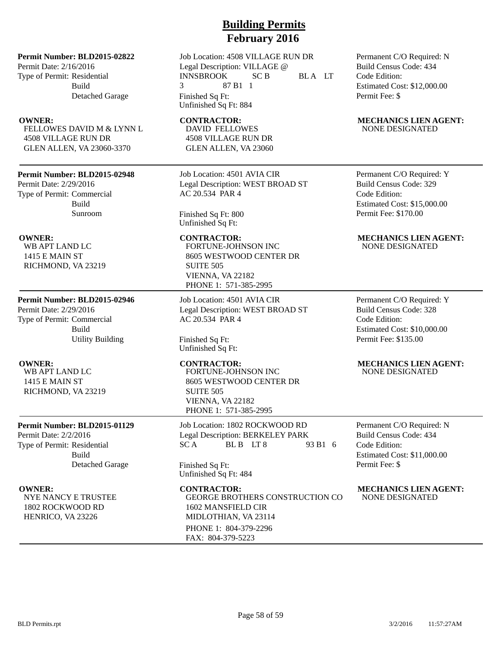**Permit Number: BLD2015-02822**

Permit Date: 2/16/2016 Type of Permit: Residential Build Detached Garage

FELLOWES DAVID M & LYNN L 4508 VILLAGE RUN DR GLEN ALLEN, VA 23060-3370

### **Permit Number: BLD2015-02948**

Permit Date: 2/29/2016 Type of Permit: Commercial Build Sunroom

WB APT LAND LC 1415 E MAIN ST RICHMOND, VA 23219

## **Permit Number: BLD2015-02946** Permit Date: 2/29/2016 Type of Permit: Commercial

Build Utility Building

WB APT LAND LC 1415 E MAIN ST RICHMOND, VA 23219

### **Permit Number: BLD2015-01129**

Permit Date: 2/2/2016 Type of Permit: Residential Build Detached Garage

NYE NANCY E TRUSTEE 1802 ROCKWOOD RD HENRICO, VA 23226

Job Location: 4508 VILLAGE RUN DR Legal Description: VILLAGE @ INNSBROOK SC B BLA LT 3 87 B1 1 Finished Sq Ft: Unfinished Sq Ft: 884

DAVID FELLOWES 4508 VILLAGE RUN DR GLEN ALLEN, VA 23060

Job Location: 4501 AVIA CIR Legal Description: WEST BROAD ST AC 20.534 PAR 4

Finished Sq Ft: 800 Unfinished Sq Ft:

## FORTUNE-JOHNSON INC 8605 WESTWOOD CENTER DR SUITE 505 VIENNA, VA 22182 PHONE 1: 571-385-2995

Job Location: 4501 AVIA CIR Legal Description: WEST BROAD ST AC 20.534 PAR 4

Finished Sq Ft: Unfinished Sq Ft:

FORTUNE-JOHNSON INC 8605 WESTWOOD CENTER DR SUITE 505 VIENNA, VA 22182 PHONE 1: 571-385-2995

Job Location: 1802 ROCKWOOD RD Legal Description: BERKELEY PARK SCA BLB LT8 93 B1 6

Finished Sq Ft: Unfinished Sq Ft: 484

GEORGE BROTHERS CONSTRUCTION CO 1602 MANSFIELD CIR MIDLOTHIAN, VA 23114 PHONE 1: 804-379-2296 FAX: 804-379-5223

Permanent C/O Required: N Build Census Code: 434 Code Edition: Estimated Cost: \$12,000.00 Permit Fee: \$

### **OWNER:** CONTRACTOR: MECHANICS LIEN AGENT: NONE DESIGNATED

Permanent C/O Required: Y Build Census Code: 329 Code Edition: Estimated Cost: \$15,000.00 Permit Fee: \$170.00

### **OWNER:** CONTRACTOR: MECHANICS LIEN AGENT: NONE DESIGNATED

Permanent C/O Required: Y Build Census Code: 328 Code Edition: Estimated Cost: \$10,000.00 Permit Fee: \$135.00

### **OWNER:** CONTRACTOR: MECHANICS LIEN AGENT: NONE DESIGNATED

Permanent C/O Required: N Build Census Code: 434 Code Edition: Estimated Cost: \$11,000.00 Permit Fee: \$